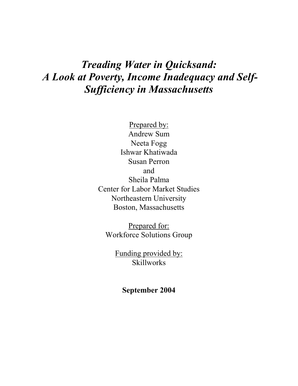# *Treading Water in Quicksand: A Look at Poverty, Income Inadequacy and Self-Sufficiency in Massachusetts*

Prepared by: Andrew Sum Neeta Fogg Ishwar Khatiwada Susan Perron and Sheila Palma Center for Labor Market Studies Northeastern University Boston, Massachusetts

Prepared for: Workforce Solutions Group

> Funding provided by: Skillworks

> > **September 2004**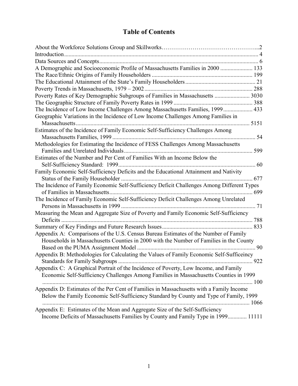## **Table of Contents**

| A Demographic and Socioeconomic Profile of Massachusetts Families in 2000  133             |      |
|--------------------------------------------------------------------------------------------|------|
|                                                                                            |      |
|                                                                                            |      |
|                                                                                            |      |
| Poverty Rates of Key Demographic Subgroups of Families in Massachusetts  3030              |      |
|                                                                                            |      |
| The Incidence of Low Income Challenges Among Massachusetts Families, 1999 433              |      |
| Geographic Variations in the Incidence of Low Income Challenges Among Families in          |      |
|                                                                                            | 5151 |
| Estimates of the Incidence of Family Economic Self-Sufficiency Challenges Among            |      |
|                                                                                            |      |
| Methodologies for Estimating the Incidence of FESS Challenges Among Massachusetts          |      |
|                                                                                            | 599  |
| Estimates of the Number and Per Cent of Families With an Income Below the                  |      |
|                                                                                            |      |
| Family Economic Self-Sufficiency Deficits and the Educational Attainment and Nativity      |      |
|                                                                                            |      |
| The Incidence of Family Economic Self-Sufficiency Deficit Challenges Among Different Types |      |
|                                                                                            |      |
| The Incidence of Family Economic Self-Sufficiency Deficit Challenges Among Unrelated       |      |
|                                                                                            |      |
| Measuring the Mean and Aggregate Size of Poverty and Family Economic Self-Sufficiency      |      |
|                                                                                            |      |
|                                                                                            |      |
| Appendix A: Comparisons of the U.S. Census Bureau Estimates of the Number of Family        |      |
| Households in Massachusetts Counties in 2000 with the Number of Families in the County     |      |
|                                                                                            |      |
| Appendix B: Methodologies for Calculating the Values of Family Economic Self-Sufficeincy   |      |
|                                                                                            | 922  |
| Appendix C: A Graphical Portrait of the Incidence of Poverty, Low Income, and Family       |      |
| Economic Self-Sufficiency Challenges Among Families in Massachusetts Counties in 1999      |      |
|                                                                                            | 100  |
| Appendix D: Estimates of the Per Cent of Families in Massachusetts with a Family Income    |      |
| Below the Family Economic Self-Sufficiency Standard by County and Type of Family, 1999     |      |
|                                                                                            |      |
| Appendix E: Estimates of the Mean and Aggregate Size of the Self-Sufficiency               |      |
| Income Deficits of Massachusetts Families by County and Family Type in 1999 11111          |      |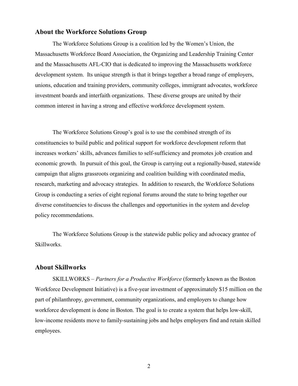#### **About the Workforce Solutions Group**

The Workforce Solutions Group is a coalition led by the Women's Union, the Massachusetts Workforce Board Association, the Organizing and Leadership Training Center and the Massachusetts AFL-CIO that is dedicated to improving the Massachusetts workforce development system. Its unique strength is that it brings together a broad range of employers, unions, education and training providers, community colleges, immigrant advocates, workforce investment boards and interfaith organizations. These diverse groups are united by their common interest in having a strong and effective workforce development system.

The Workforce Solutions Group's goal is to use the combined strength of its constituencies to build public and political support for workforce development reform that increases workers' skills, advances families to self-sufficiency and promotes job creation and economic growth. In pursuit of this goal, the Group is carrying out a regionally-based, statewide campaign that aligns grassroots organizing and coalition building with coordinated media, research, marketing and advocacy strategies. In addition to research, the Workforce Solutions Group is conducting a series of eight regional forums around the state to bring together our diverse constituencies to discuss the challenges and opportunities in the system and develop policy recommendations.

The Workforce Solutions Group is the statewide public policy and advocacy grantee of Skillworks.

#### **About Skillworks**

SKILLWORKS – *Partners for a Productive Workforce* (formerly known as the Boston Workforce Development Initiative) is a five-year investment of approximately \$15 million on the part of philanthropy, government, community organizations, and employers to change how workforce development is done in Boston. The goal is to create a system that helps low-skill, low-income residents move to family-sustaining jobs and helps employers find and retain skilled employees.

2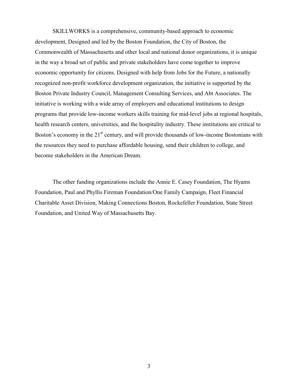SKILLWORKS is a comprehensive, community-based approach to economic development, Designed and led by the Boston Foundation, the City of Boston, the Commonwealth of Massachusetts and other local and national donor organizations, it is unique in the way a broad set of public and private stakeholders have come together to improve economic opportunity for citizens. Designed with help from Jobs for the Future, a nationally recognized non-profit workforce development organization, the initiative is supported by the Boston Private Industry Council, Management Consulting Services, and Abt Associates. The initiative is working with a wide array of employers and educational institutions to design programs that provide low-income workers skills training for mid-level jobs at regional hospitals, health research centers, universities, and the hospitality industry. These institutions are critical to Boston's economy in the 21<sup>st</sup> century, and will provide thousands of low-income Bostonians with the resources they need to purchase affordable housing, send their children to college, and become stakeholders in the American Dream.

The other funding organizations include the Annie E. Casey Foundation, The Hyams Foundation, Paul and Phyllis Fireman Foundation/One Family Campaign, Fleet Financial Charitable Asset Division, Making Connections Boston, Rockefeller Foundation, State Street Foundation, and United Way of Massachusetts Bay.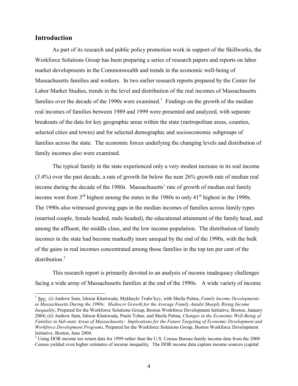#### **Introduction**

 $\overline{a}$ 

As part of its research and public policy promotion work in support of the Skillworks, the Workforce Solutions Group has been preparing a series of research papers and reports on labor market developments in the Commonwealth and trends in the economic well-being of Massachusetts families and workers. In two earlier research reports prepared by the Center for Labor Market Studies, trends in the level and distribution of the real incomes of Massachusetts families over the decade of the 1990s were examined.<sup>1</sup> Findings on the growth of the median real incomes of families between 1989 and 1999 were presented and analyzed, with separate breakouts of the data for key geographic areas within the state (metropolitan areas, counties, selected cities and towns) and for selected demographic and socioeconomic subgroups of families across the state. The economic forces underlying the changing levels and distribution of family incomes also were examined.

The typical family in the state experienced only a very modest increase in its real income (3.4%) over the past decade, a rate of growth far below the near 26% growth rate of median real income during the decade of the 1980s. Massachusetts' rate of growth of median real family income went from  $3<sup>rd</sup>$  highest among the states in the 1980s to only 41<sup>st</sup> highest in the 1990s. The 1990s also witnessed growing gaps in the median incomes of families across family types (married couple, female headed, male headed), the educational attainment of the family head, and among the affluent, the middle class, and the low income population. The distribution of family incomes in the state had become markedly more unequal by the end of the 1990s, with the bulk of the gains in real incomes concentrated among those families in the top ten per cent of the distribution.<sup>2</sup>

This research report is primarily devoted to an analysis of income inadequacy challenges facing a wide array of Massachusetts families at the end of the 1990s. A wide variety of income

<sup>&</sup>lt;sup>1</sup> See: (i) Andrew Sum, Ishwar Khatiwada, Mykhaylo Trubs'kyy, with Sheila Palma, *Family Income Developments in Massachusetts During the 1990s: Mediocre Growth for the Average Family Amidst Sharply Rising Income Inequality*, Prepared for the Workforce Solutions Group, Boston Workforce Development Initiative, Boston, January 2004; (ii) Andrew Sum, Ishwar Khatiwada, Paulo Tobar, and Sheila Palma, *Changes in the Economic Well-Being of Families in Sub-state Areas of Massachusetts: Implications for the Future Targeting of Economic Development and Workforce Development Programs*, Prepared for the Workforce Solutions Group, Boston Workforce Development Initiative, Boston, June 2004.

<sup>&</sup>lt;sup>2</sup> Using DOR income tax return data for 1999 rather than the U.S. Census Bureau family income data from the 2000 Census yielded even higher estimates of income inequality. The DOR income data capture income sources (capital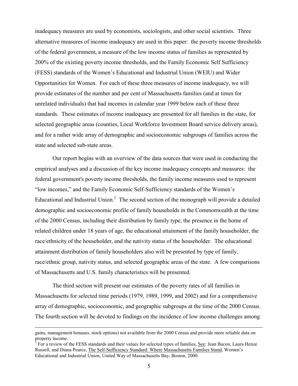inadequacy measures are used by economists, sociologists, and other social scientists. Three alternative measures of income inadequacy are used in this paper: the poverty income thresholds of the federal government, a measure of the low income status of families as represented by 200% of the existing poverty income thresholds, and the Family Economic Self Sufficiency (FESS) standards of the Women's Educational and Industrial Union (WEIU) and Wider Opportunities for Women. For each of these three measures of income inadequacy, we will provide estimates of the number and per cent of Massachusetts families (and at times for unrelated individuals) that had incomes in calendar year 1999 below each of these three standards. These estimates of income inadequacy are presented for all families in the state, for selected geographic areas (counties, Local Workforce Investment Board service delivery areas), and for a rather wide array of demographic and socioeconomic subgroups of families across the state and selected sub-state areas.

Our report begins with an overview of the data sources that were used in conducting the empirical analyses and a discussion of the key income inadequacy concepts and measures: the federal government's poverty income thresholds, the family income measures used to represent "low incomes," and the Family Economic Self-Sufficiency standards of the Women's Educational and Industrial Union.<sup>3</sup> The second section of the monograph will provide a detailed demographic and socioeconomic profile of family households in the Commonwealth at the time of the 2000 Census, including their distribution by family type, the presence in the home of related children under 18 years of age, the educational attainment of the family householder, the race/ethnicity of the householder, and the nativity status of the householder. The educational attainment distribution of family householders also will be presented by type of family, race/ethnic group, nativity status, and selected geographic areas of the state. A few comparisons of Massachusetts and U.S. family characteristics will be presented.

The third section will present our estimates of the poverty rates of all families in Massachusetts for selected time periods (1979, 1989, 1999, and 2002) and for a comprehensive array of demographic, socioeconomic, and geographic subgroups at the time of the 2000 Census. The fourth section will be devoted to findings on the incidence of low income challenges among

l

gains, management bonuses, stock options) not available from the 2000 Census and provide more reliable data on property income.

<sup>&</sup>lt;sup>3</sup> For a review of the FESS standards and their values for selected types of families, See: Jean Bacon, Laura Henze Russell, and Diana Pearce, The Self-Sufficiency Standard: Where Massachusetts Families Stand, Women's Educational and Industrial Union, United Way of Massachusetts Bay, Boston, 2000.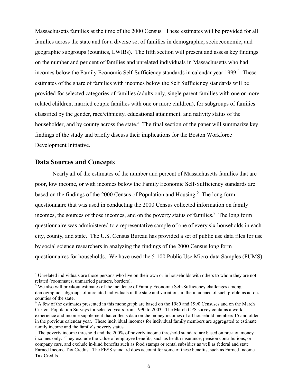Massachusetts families at the time of the 2000 Census. These estimates will be provided for all families across the state and for a diverse set of families in demographic, socioeconomic, and geographic subgroups (counties, LWIBs). The fifth section will present and assess key findings on the number and per cent of families and unrelated individuals in Massachusetts who had incomes below the Family Economic Self-Sufficiency standards in calendar year 1999.<sup>4</sup> These estimates of the share of families with incomes below the Self Sufficiency standards will be provided for selected categories of families (adults only, single parent families with one or more related children, married couple families with one or more children), for subgroups of families classified by the gender, race/ethnicity, educational attainment, and nativity status of the householder, and by county across the state.<sup>5</sup> The final section of the paper will summarize key findings of the study and briefly discuss their implications for the Boston Workforce Development Initiative.

## **Data Sources and Concepts**

 $\overline{a}$ 

Nearly all of the estimates of the number and percent of Massachusetts families that are poor, low income, or with incomes below the Family Economic Self-Sufficiency standards are based on the findings of the 2000 Census of Population and Housing.<sup>6</sup> The long form questionnaire that was used in conducting the 2000 Census collected information on family incomes, the sources of those incomes, and on the poverty status of families.<sup>7</sup> The long form questionnaire was administered to a representative sample of one of every six households in each city, county, and state. The U.S. Census Bureau has provided a set of public use data files for use by social science researchers in analyzing the findings of the 2000 Census long form questionnaires for households. We have used the 5-100 Public Use Micro-data Samples (PUMS)

<sup>&</sup>lt;sup>4</sup> Unrelated individuals are those persons who live on their own or in households with others to whom they are not related (roommates, unmarried partners, borders).

<sup>&</sup>lt;sup>5</sup> We also will breakout estimates of the incidence of Family Economic Self-Sufficiency challenges among demographic subgroups of unrelated individuals in the state and variations in the incidence of such problems across counties of the state.

<sup>&</sup>lt;sup>6</sup> A few of the estimates presented in this monograph are based on the 1980 and 1990 Censuses and on the March Current Population Surveys for selected years from 1990 to 2003. The March CPS survey contains a work experience and income supplement that collects data on the money incomes of all household members 15 and older in the previous calendar year. These individual incomes for individual family members are aggregated to estimate family income and the family's poverty status.

 $<sup>7</sup>$  The poverty income threshold and the 200% of poverty income threshold standard are based on pre-tax, money</sup> incomes only. They exclude the value of employee benefits, such as health insurance, pension contributions, or company cars, and exclude in-kind benefits such as food stamps or rental subsidies as well as federal and state Earned Income Tax Credits. The FESS standard does account for some of these benefits, such as Earned Income Tax Credits.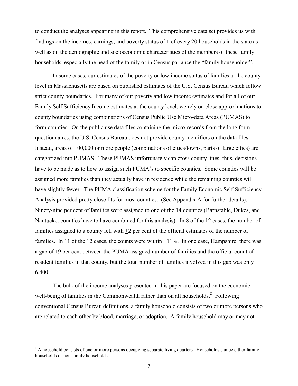to conduct the analyses appearing in this report. This comprehensive data set provides us with findings on the incomes, earnings, and poverty status of 1 of every 20 households in the state as well as on the demographic and socioeconomic characteristics of the members of these family households, especially the head of the family or in Census parlance the "family householder".

In some cases, our estimates of the poverty or low income status of families at the county level in Massachusetts are based on published estimates of the U.S. Census Bureau which follow strict county boundaries. For many of our poverty and low income estimates and for all of our Family Self Sufficiency Income estimates at the county level, we rely on close approximations to county boundaries using combinations of Census Public Use Micro-data Areas (PUMAS) to form counties. On the public use data files containing the micro-records from the long form questionnaires, the U.S. Census Bureau does not provide county identifiers on the data files. Instead, areas of 100,000 or more people (combinations of cities/towns, parts of large cities) are categorized into PUMAS. These PUMAS unfortunately can cross county lines; thus, decisions have to be made as to how to assign such PUMA's to specific counties. Some counties will be assigned more families than they actually have in residence while the remaining counties will have slightly fewer. The PUMA classification scheme for the Family Economic Self-Sufficiency Analysis provided pretty close fits for most counties. (See Appendix A for further details). Ninety-nine per cent of families were assigned to one of the 14 counties (Barnstable, Dukes, and Nantucket counties have to have combined for this analysis). In 8 of the 12 cases, the number of families assigned to a county fell with +2 per cent of the official estimates of the number of families. In 11 of the 12 cases, the counts were within  $+11%$ . In one case, Hampshire, there was a gap of 19 per cent between the PUMA assigned number of families and the official count of resident families in that county, but the total number of families involved in this gap was only 6,400.

The bulk of the income analyses presented in this paper are focused on the economic well-being of families in the Commonwealth rather than on all households.<sup>8</sup> Following conventional Census Bureau definitions, a family household consists of two or more persons who are related to each other by blood, marriage, or adoption. A family household may or may not

<sup>&</sup>lt;sup>8</sup> A household consists of one or more persons occupying separate living quarters. Households can be either family households or non-family households.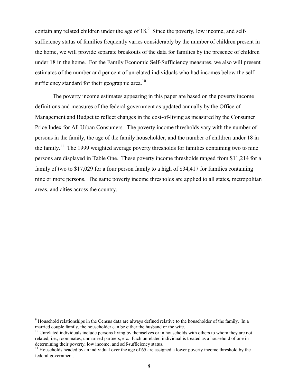contain any related children under the age of  $18<sup>9</sup>$ . Since the poverty, low income, and selfsufficiency status of families frequently varies considerably by the number of children present in the home, we will provide separate breakouts of the data for families by the presence of children under 18 in the home. For the Family Economic Self-Sufficiency measures, we also will present estimates of the number and per cent of unrelated individuals who had incomes below the selfsufficiency standard for their geographic area.<sup>10</sup>

The poverty income estimates appearing in this paper are based on the poverty income definitions and measures of the federal government as updated annually by the Office of Management and Budget to reflect changes in the cost-of-living as measured by the Consumer Price Index for All Urban Consumers. The poverty income thresholds vary with the number of persons in the family, the age of the family householder, and the number of children under 18 in the family.<sup>11</sup> The 1999 weighted average poverty thresholds for families containing two to nine persons are displayed in Table One. These poverty income thresholds ranged from \$11,214 for a family of two to \$17,029 for a four person family to a high of \$34,417 for families containing nine or more persons. The same poverty income thresholds are applied to all states, metropolitan areas, and cities across the country.

 $9$  Household relationships in the Census data are always defined relative to the householder of the family. In a married couple family, the householder can be either the husband or the wife.

<sup>&</sup>lt;sup>10</sup> Unrelated individuals include persons living by themselves or in households with others to whom they are not related; i.e., roommates, unmarried partners, etc. Each unrelated individual is treated as a household of one in determining their poverty, low income, and self-sufficiency status.

<sup>&</sup>lt;sup>11</sup> Households headed by an individual over the age of 65 are assigned a lower poverty income threshold by the federal government.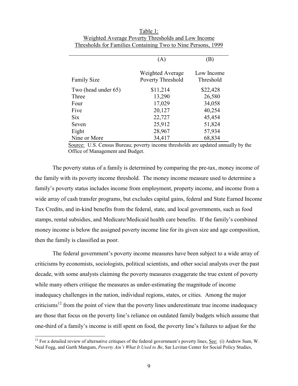|                     | (A)               | (B)        |
|---------------------|-------------------|------------|
|                     | Weighted Average  | Low Income |
| <b>Family Size</b>  | Poverty Threshold | Threshold  |
| Two (head under 65) | \$11,214          | \$22,428   |
| Three               | 13,290            | 26,580     |
| Four                | 17,029            | 34,058     |
| Five                | 20,127            | 40,254     |
| Six                 | 22,727            | 45,454     |
| Seven               | 25,912            | 51,824     |
| Eight               | 28,967            | 57,934     |
| Nine or More        | 34,417            | 68,834     |

Table 1: Weighted Average Poverty Thresholds and Low Income Thresholds for Families Containing Two to Nine Persons, 1999

Source: U.S. Census Bureau; poverty income thresholds are updated annually by the Office of Management and Budget.

The poverty status of a family is determined by comparing the pre-tax, money income of the family with its poverty income threshold. The money income measure used to determine a family's poverty status includes income from employment, property income, and income from a wide array of cash transfer programs, but excludes capital gains, federal and State Earned Income Tax Credits, and in-kind benefits from the federal, state, and local governments, such as food stamps, rental subsidies, and Medicare/Medicaid health care benefits. If the family's combined money income is below the assigned poverty income line for its given size and age composition, then the family is classified as poor.

The federal government's poverty income measures have been subject to a wide array of criticisms by economists, sociologists, political scientists, and other social analysts over the past decade, with some analysts claiming the poverty measures exaggerate the true extent of poverty while many others critique the measures as under-estimating the magnitude of income inadequacy challenges in the nation, individual regions, states, or cities. Among the major criticisms<sup>12</sup> from the point of view that the poverty lines underestimate true income inadequacy are those that focus on the poverty line's reliance on outdated family budgets which assume that one-third of a family's income is still spent on food, the poverty line's failures to adjust for the

<sup>&</sup>lt;sup>12</sup> For a detailed review of alternative critiques of the federal government's poverty lines, <u>See:</u> (i) Andrew Sum, W. Neal Fogg, and Garth Mangum, *Poverty Ain't What It Used to Be*, Sar Levitan Center for Social Policy Studies,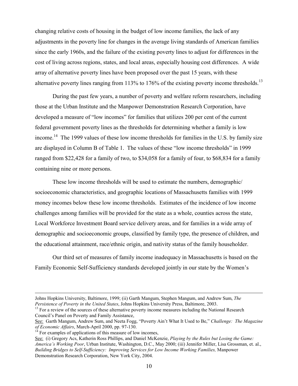changing relative costs of housing in the budget of low income families, the lack of any adjustments in the poverty line for changes in the average living standards of American families since the early 1960s, and the failure of the existing poverty lines to adjust for differences in the cost of living across regions, states, and local areas, especially housing cost differences. A wide array of alternative poverty lines have been proposed over the past 15 years, with these alternative poverty lines ranging from 113% to 176% of the existing poverty income thresholds.<sup>13</sup>

During the past few years, a number of poverty and welfare reform researchers, including those at the Urban Institute and the Manpower Demonstration Research Corporation, have developed a measure of "low incomes" for families that utilizes 200 per cent of the current federal government poverty lines as the thresholds for determining whether a family is low income.<sup>14</sup> The 1999 values of these low income thresholds for families in the U.S. by family size are displayed in Column B of Table 1. The values of these "low income thresholds" in 1999 ranged from \$22,428 for a family of two, to \$34,058 for a family of four, to \$68,834 for a family containing nine or more persons.

These low income thresholds will be used to estimate the numbers, demographic/ socioeconomic characteristics, and geographic locations of Massachusetts families with 1999 money incomes below these low income thresholds. Estimates of the incidence of low income challenges among families will be provided for the state as a whole, counties across the state, Local Workforce Investment Board service delivery areas, and for families in a wide array of demographic and socioeconomic groups, classified by family type, the presence of children, and the educational attainment, race/ethnic origin, and nativity status of the family householder.

Our third set of measures of family income inadequacy in Massachusetts is based on the Family Economic Self-Sufficiency standards developed jointly in our state by the Women's

l

Johns Hopkins University, Baltimore, 1999; (ii) Garth Mangum, Stephen Mangum, and Andrew Sum, *The Persistence of Poverty in the United States*, Johns Hopkins University Press, Baltimore, 2003.

 $<sup>13</sup>$  For a review of the sources of these alternative poverty income measures including the National Research</sup> Council's Panel on Poverty and Family Assistance,

See: Garth Mangum, Andrew Sum, and Neeta Fogg, "Poverty Ain't What It Used to Be," *Challenge: The Magazine of Economic Affairs*, March-April 2000, pp. 97-130.

For examples of applications of this measure of low incomes,

See: (i) Gregory Acs, Katherin Ross Phillips, and Daniel McKenzie, *Playing by the Rules but Losing the Game: America's Working Poor*, Urban Institute, Washington, D.C., May 2000; (iii) Jennifer Miller, Lisa Grossman, et. al., *Building Bridges to Self-Sufficiency: Improving Services for Low Income Working Families,* Manpower Demonstration Research Corporation, New York City, 2004.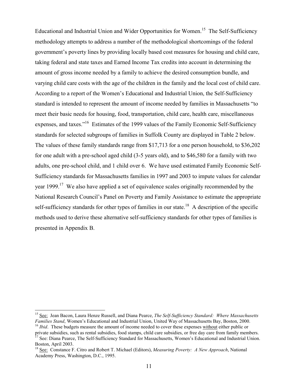Educational and Industrial Union and Wider Opportunities for Women.15 The Self-Sufficiency methodology attempts to address a number of the methodological shortcomings of the federal government's poverty lines by providing locally based cost measures for housing and child care, taking federal and state taxes and Earned Income Tax credits into account in determining the amount of gross income needed by a family to achieve the desired consumption bundle, and varying child care costs with the age of the children in the family and the local cost of child care. According to a report of the Women's Educational and Industrial Union, the Self-Sufficiency standard is intended to represent the amount of income needed by families in Massachusetts "to meet their basic needs for housing, food, transportation, child care, health care, miscellaneous expenses, and taxes."16 Estimates of the 1999 values of the Family Economic Self-Sufficiency standards for selected subgroups of families in Suffolk County are displayed in Table 2 below. The values of these family standards range from \$17,713 for a one person household, to \$36,202 for one adult with a pre-school aged child (3-5 years old), and to \$46,580 for a family with two adults, one pre-school child, and 1 child over 6. We have used estimated Family Economic Self-Sufficiency standards for Massachusetts families in 1997 and 2003 to impute values for calendar year 1999.<sup>17</sup> We also have applied a set of equivalence scales originally recommended by the National Research Council's Panel on Poverty and Family Assistance to estimate the appropriate self-sufficiency standards for other types of families in our state.<sup>18</sup> A description of the specific methods used to derive these alternative self-sufficiency standards for other types of families is presented in Appendix B.

l

<sup>15</sup> See: Jean Bacon, Laura Henze Russell, and Diana Pearce, *The Self-Sufficiency Standard: Where Massachusetts Families Stand*, Women's Educational and Industrial Union, United Way of Massachusetts Bay, Boston, 2000.

<sup>&</sup>lt;sup>16</sup> *Ibid*. These budgets measure the amount of income needed to cover these expenses without either public or private subsidies, such as rental subsidies, food stamps, child care subsidies, or free day care from family members.

<sup>&</sup>lt;sup>17</sup> See: Diana Pearce, The Self-Sufficiency Standard for Massachusetts, Women's Educational and Industrial Union. Boston, April 2003.

<sup>18</sup> See: Constance F. Citro and Robert T. Michael (Editors), *Measuring Poverty: A New Approach*, National Academy Press, Washington, D.C., 1995.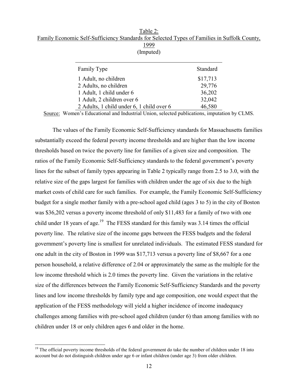Table 2: Family Economic Self-Sufficiency Standards for Selected Types of Families in Suffolk County, 1999 (Imputed)

| Family Type                               | Standard |
|-------------------------------------------|----------|
| 1 Adult, no children                      | \$17,713 |
| 2 Adults, no children                     | 29,776   |
| 1 Adult, 1 child under 6                  | 36,202   |
| 1 Adult, 2 children over 6                | 32,042   |
| 2 Adults, 1 child under 6, 1 child over 6 | 46,580   |

Source: Women's Educational and Industrial Union, selected publications, imputation by CLMS.

The values of the Family Economic Self-Sufficiency standards for Massachusetts families substantially exceed the federal poverty income thresholds and are higher than the low income thresholds based on twice the poverty line for families of a given size and composition. The ratios of the Family Economic Self-Sufficiency standards to the federal government's poverty lines for the subset of family types appearing in Table 2 typically range from 2.5 to 3.0, with the relative size of the gaps largest for families with children under the age of six due to the high market costs of child care for such families. For example, the Family Economic Self-Sufficiency budget for a single mother family with a pre-school aged child (ages 3 to 5) in the city of Boston was \$36,202 versus a poverty income threshold of only \$11,483 for a family of two with one child under 18 years of age.<sup>19</sup> The FESS standard for this family was  $3.14$  times the official poverty line. The relative size of the income gaps between the FESS budgets and the federal government's poverty line is smallest for unrelated individuals. The estimated FESS standard for one adult in the city of Boston in 1999 was \$17,713 versus a poverty line of \$8,667 for a one person household, a relative difference of 2.04 or approximately the same as the multiple for the low income threshold which is 2.0 times the poverty line. Given the variations in the relative size of the differences between the Family Economic Self-Sufficiency Standards and the poverty lines and low income thresholds by family type and age composition, one would expect that the application of the FESS methodology will yield a higher incidence of income inadequacy challenges among families with pre-school aged children (under 6) than among families with no children under 18 or only children ages 6 and older in the home.

 $19$  The official poverty income thresholds of the federal government do take the number of children under 18 into account but do not distinguish children under age 6 or infant children (under age 3) from older children.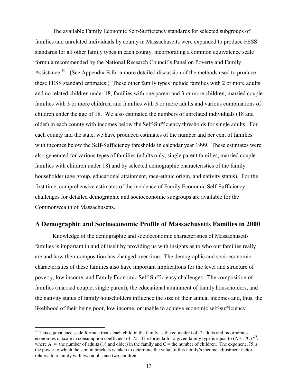The available Family Economic Self-Sufficiency standards for selected subgroups of families and unrelated individuals by county in Massachusetts were expanded to produce FESS standards for all other family types in each county, incorporating a common equivalence scale formula recommended by the National Research Council's Panel on Poverty and Family Assistance.<sup>20</sup> (See Appendix B for a more detailed discussion of the methods used to produce these FESS standard estimates.) These other family types include families with 2 or more adults and no related children under 18, families with one parent and 3 or more children, married couple families with 3 or more children, and families with 3 or more adults and various combinations of children under the age of 18. We also estimated the numbers of unrelated individuals (18 and older) in each county with incomes below the Self-Sufficiency thresholds for single adults. For each county and the state, we have produced estimates of the number and per cent of families with incomes below the Self-Sufficiency thresholds in calendar year 1999. These estimates were also generated for various types of families (adults only, single parent families, married couple families with children under 18) and by selected demographic characteristics of the family householder (age group, educational attainment, race-ethnic origin, and nativity status). For the first time, comprehensive estimates of the incidence of Family Economic Self-Sufficiency challenges for detailed demographic and socioeconomic subgroups are available for the Commonwealth of Massachusetts.

#### **A Demographic and Socioeconomic Profile of Massachusetts Families in 2000**

Knowledge of the demographic and socioeconomic characteristics of Massachusetts families is important in and of itself by providing us with insights as to who our families really are and how their composition has changed over time. The demographic and socioeconomic characteristics of these families also have important implications for the level and structure of poverty, low income, and Family Economic Self-Sufficiency challenges. The composition of families (married couple, single parent), the educational attainment of family householders, and the nativity status of family householders influence the size of their annual incomes and, thus, the likelihood of their being poor, low income, or unable to achieve economic self-sufficiency.

l

 $20$  This equivalence scale formula treats each child in the family as the equivalent of  $.7$  adults and incorporates economies of scale in consumption coefficient of .75. The formula for a given family type is equal to  $(A + .7C)$ <sup>75</sup>. where A = the number of adults (18 and older) in the family and C = the number of children. The exponent .75 is the power to which the sum in brackets is taken to determine the value of this family's income adjustment factor relative to a family with two adults and two children.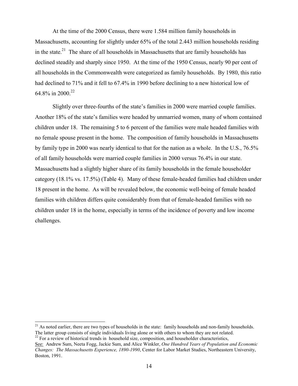At the time of the 2000 Census, there were 1.584 million family households in Massachusetts, accounting for slightly under 65% of the total 2.443 million households residing in the state.<sup>21</sup> The share of all households in Massachusetts that are family households has declined steadily and sharply since 1950. At the time of the 1950 Census, nearly 90 per cent of all households in the Commonwealth were categorized as family households. By 1980, this ratio had declined to 71% and it fell to 67.4% in 1990 before declining to a new historical low of 64.8% in 2000.<sup>22</sup>

Slightly over three-fourths of the state's families in 2000 were married couple families. Another 18% of the state's families were headed by unmarried women, many of whom contained children under 18. The remaining 5 to 6 percent of the families were male headed families with no female spouse present in the home. The composition of family households in Massachusetts by family type in 2000 was nearly identical to that for the nation as a whole. In the U.S., 76.5% of all family households were married couple families in 2000 versus 76.4% in our state. Massachusetts had a slightly higher share of its family households in the female householder category (18.1% vs. 17.5%) (Table 4). Many of these female-headed families had children under 18 present in the home. As will be revealed below, the economic well-being of female headed families with children differs quite considerably from that of female-headed families with no children under 18 in the home, especially in terms of the incidence of poverty and low income challenges.

 $21$  As noted earlier, there are two types of households in the state: family households and non-family households. The latter group consists of single individuals living alone or with others to whom they are not related. <sup>22</sup> For a review of historical trends in household size, composition, and householder characteristics,

See: Andrew Sum, Neeta Fogg, Jackie Sum, and Alice Winkler, *One Hundred Years of Population and Economic Changes: The Massachusetts Experience, 1890-1990*, Center for Labor Market Studies, Northeastern University, Boston, 1991.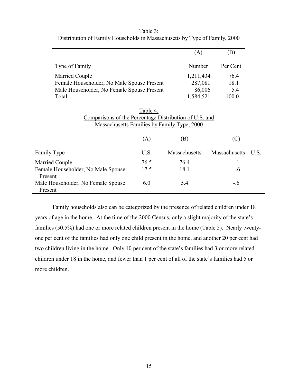|                                            | (A)       | (B)      |
|--------------------------------------------|-----------|----------|
| Type of Family                             | Number    | Per Cent |
| Married Couple                             | 1,211,434 | 764      |
| Female Householder, No Male Spouse Present | 287,081   | 18.1     |
| Male Householder, No Female Spouse Present | 86,006    | 5.4      |
| Total                                      | 1,584,521 | 100.0    |

Table 3: Distribution of Family Households in Massachusetts by Type of Family, 2000

| Table 4:                                               |
|--------------------------------------------------------|
| Comparisons of the Percentage Distribution of U.S. and |
| Massachusetts Families by Family Type, 2000            |

|                                               | (A)  | $\left( \mathrm{B}\right)$ | Œ.                     |
|-----------------------------------------------|------|----------------------------|------------------------|
| Family Type                                   | U.S. | Massachusetts              | Massachusetts $- U.S.$ |
| Married Couple                                | 76.5 | 764                        | $-1$                   |
| Female Householder, No Male Spouse<br>Present | 17.5 | 18.1                       | $+0.6$                 |
| Male Householder, No Female Spouse<br>Present | 6.0  | 5.4                        | $-6$                   |

Family households also can be categorized by the presence of related children under 18 years of age in the home. At the time of the 2000 Census, only a slight majority of the state's families (50.5%) had one or more related children present in the home (Table 5). Nearly twentyone per cent of the families had only one child present in the home, and another 20 per cent had two children living in the home. Only 10 per cent of the state's families had 3 or more related children under 18 in the home, and fewer than 1 per cent of all of the state's families had 5 or more children.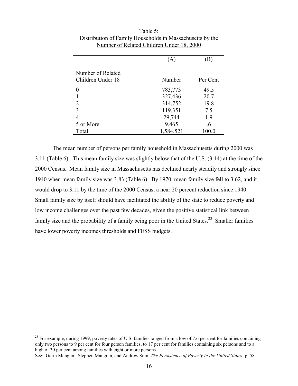|                                        | (A)       | В        |
|----------------------------------------|-----------|----------|
| Number of Related<br>Children Under 18 | Number    | Per Cent |
| $\Omega$                               | 783,773   | 49.5     |
|                                        | 327,436   | 20.7     |
| 2                                      | 314,752   | 19.8     |
| 3                                      | 119,351   | 7.5      |
| 4                                      | 29,744    | 1.9      |
| 5 or More                              | 9,465     | .6       |
| Total                                  | 1,584,521 | 100.0    |

| Table 5:                                                  |
|-----------------------------------------------------------|
| Distribution of Family Households in Massachusetts by the |
| Number of Related Children Under 18, 2000                 |

The mean number of persons per family household in Massachusetts during 2000 was 3.11 (Table 6). This mean family size was slightly below that of the U.S. (3.14) at the time of the 2000 Census. Mean family size in Massachusetts has declined nearly steadily and strongly since 1940 when mean family size was 3.83 (Table 6). By 1970, mean family size fell to 3.62, and it would drop to 3.11 by the time of the 2000 Census, a near 20 percent reduction since 1940. Small family size by itself should have facilitated the ability of the state to reduce poverty and low income challenges over the past few decades, given the positive statistical link between family size and the probability of a family being poor in the United States.<sup>23</sup> Smaller families have lower poverty incomes thresholds and FESS budgets.

 $^{23}$  For example, during 1999, poverty rates of U.S. families ranged from a low of 7.6 per cent for families containing only two persons to 9 per cent for four person families, to 17 per cent for families containing six persons and to a high of 30 per cent among families with eight or more persons.

See: Garth Mangum, Stephen Mangum, and Andrew Sum, *The Persistence of Poverty in the United States*, p. 58.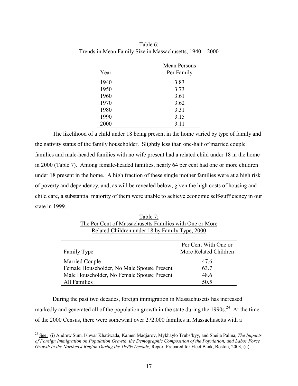|      | <b>Mean Persons</b> |
|------|---------------------|
| Year | Per Family          |
| 1940 | 3.83                |
| 1950 | 3.73                |
| 1960 | 3.61                |
| 1970 | 3.62                |
| 1980 | 3.31                |
| 1990 | 3.15                |
| 2000 | 3.11                |

Table 6: Trends in Mean Family Size in Massachusetts, 1940 – 2000

The likelihood of a child under 18 being present in the home varied by type of family and the nativity status of the family householder. Slightly less than one-half of married couple families and male-headed families with no wife present had a related child under 18 in the home in 2000 (Table 7). Among female-headed families, nearly 64 per cent had one or more children under 18 present in the home. A high fraction of these single mother families were at a high risk of poverty and dependency, and, as will be revealed below, given the high costs of housing and child care, a substantial majority of them were unable to achieve economic self-sufficiency in our state in 1999.

Table 7: The Per Cent of Massachusetts Families with One or More Related Children under 18 by Family Type, 2000

|                                            | Per Cent With One or  |
|--------------------------------------------|-----------------------|
| Family Type                                | More Related Children |
| Married Couple                             | 476                   |
| Female Householder, No Male Spouse Present | 63.7                  |
| Male Householder, No Female Spouse Present | 48.6                  |
| All Families                               | 50.5                  |

During the past two decades, foreign immigration in Massachusetts has increased markedly and generated all of the population growth in the state during the  $1990s$ <sup>24</sup>. At the time of the 2000 Census, there were somewhat over 272,000 families in Massachusetts with a

<sup>24</sup> See: (i) Andrew Sum, Ishwar Khatiwada, Kamen Madjarov, Mykhaylo Trubs'kyy, and Sheila Palma, *The Impacts of Foreign Immigration on Population Growth, the Demographic Composition of the Population, and Labor Force Growth in the Northeast Region During the 1990s Decade*, Report Prepared for Fleet Bank, Boston, 2003, (ii)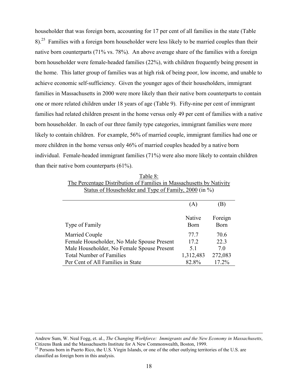householder that was foreign born, accounting for 17 per cent of all families in the state (Table  $8$ ).<sup>25</sup> Families with a foreign born householder were less likely to be married couples than their native born counterparts (71% vs. 78%). An above average share of the families with a foreign born householder were female-headed families (22%), with children frequently being present in the home. This latter group of families was at high risk of being poor, low income, and unable to achieve economic self-sufficiency. Given the younger ages of their householders, immigrant families in Massachusetts in 2000 were more likely than their native born counterparts to contain one or more related children under 18 years of age (Table 9). Fifty-nine per cent of immigrant families had related children present in the home versus only 49 per cent of families with a native born householder. In each of our three family type categories, immigrant families were more likely to contain children. For example, 56% of married couple, immigrant families had one or more children in the home versus only 46% of married couples headed by a native born individual. Female-headed immigrant families (71%) were also more likely to contain children than their native born counterparts (61%).

| The Percentage Distribution of Families in Massachusetts by Nativity<br>Status of Householder and Type of Family, 2000 (in %) |                |                 |
|-------------------------------------------------------------------------------------------------------------------------------|----------------|-----------------|
|                                                                                                                               | (A)            | $\mathbf{B}$    |
| Type of Family                                                                                                                | Native<br>Born | Foreign<br>Born |
| Married Couple<br>Female Householder, No Male Spouse Present                                                                  | 77.7<br>17.2   | 70.6<br>22.3    |
| Male Householder, No Female Spouse Present                                                                                    | 5.1            | 7.0             |
| <b>Total Number of Families</b>                                                                                               | 1,312,483      | 272,083         |

Per Cent of All Families in State 82.8% 17.2%

| Table 8:                                                             |
|----------------------------------------------------------------------|
| The Percentage Distribution of Families in Massachusetts by Nativity |
| Status of Householder and Type of Family, 2000 (in %)                |

Andrew Sum, W. Neal Fogg, et. al., *The Changing Workforce: Immigrants and the New Economy in Massachusetts*, Citizens Bank and the Massachusetts Institute for A New Commonwealth, Boston, 1999.

<sup>&</sup>lt;sup>25</sup> Persons born in Puerto Rico, the U.S. Virgin Islands, or one of the other outlying territories of the U.S. are classified as foreign born in this analysis.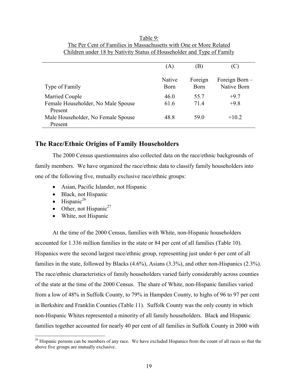|                                               | (A)            | (B)             | $(\mathrm{C})$                |
|-----------------------------------------------|----------------|-----------------|-------------------------------|
| Type of Family                                | Native<br>Born | Foreign<br>Born | Foreign Born -<br>Native Born |
| Married Couple                                | 46.0           | 55.7            | $+9.7$                        |
| Female Householder, No Male Spouse<br>Present | 61.6           | 71.4            | $+9.8$                        |
| Male Householder, No Female Spouse<br>Present | 48.8           | 59.0            | $+102$                        |

#### Table 9: The Per Cent of Families in Massachusetts with One or More Related Children under 18 by Nativity Status of Householder and Type of Family

## **The Race/Ethnic Origins of Family Householders**

The 2000 Census questionnaires also collected data on the race/ethnic backgrounds of family members. We have organized the race/ethnic data to classify family householders into one of the following five, mutually exclusive race/ethnic groups:

- Asian, Pacific Islander, not Hispanic
- Black, not Hispanic
- $\bullet$  Hispanic<sup>26</sup>

l

- Other, not Hispanic<sup>27</sup>
- White, not Hispanic

At the time of the 2000 Census, families with White, non-Hispanic householders accounted for 1.336 million families in the state or 84 per cent of all families (Table 10). Hispanics were the second largest race/ethnic group, representing just under 6 per cent of all families in the state, followed by Blacks (4.6%), Asians (3.3%), and other non-Hispanics (2.3%). The race/ethnic characteristics of family householders varied fairly considerably across counties of the state at the time of the 2000 Census. The share of White, non-Hispanic families varied from a low of 48% in Suffolk County, to 79% in Hampden County, to highs of 96 to 97 per cent in Berkshire and Franklin Counties (Table 11). Suffolk County was the only county in which non-Hispanic Whites represented a minority of all family householders. Black and Hispanic families together accounted for nearly 40 per cent of all families in Suffolk County in 2000 with

<sup>&</sup>lt;sup>26</sup> Hispanic persons can be members of any race. We have excluded Hispanics from the count of all races so that the above five groups are mutually exclusive.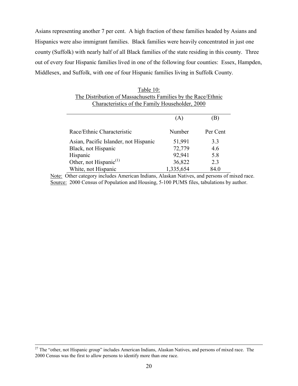Asians representing another 7 per cent. A high fraction of these families headed by Asians and Hispanics were also immigrant families. Black families were heavily concentrated in just one county (Suffolk) with nearly half of all Black families of the state residing in this county. Three out of every four Hispanic families lived in one of the following four counties: Essex, Hampden, Middlesex, and Suffolk, with one of four Hispanic families living in Suffolk County.

| Characteristics of the Family Householder, 2000 |           |          |  |  |
|-------------------------------------------------|-----------|----------|--|--|
|                                                 | (A)       |          |  |  |
| Race/Ethnic Characteristic                      | Number    | Per Cent |  |  |
| Asian, Pacific Islander, not Hispanic           | 51,991    | 3.3      |  |  |
| Black, not Hispanic                             | 72,779    | 4.6      |  |  |
| Hispanic                                        | 92,941    | 5.8      |  |  |
| Other, not Hispanic <sup>(1)</sup>              | 36,822    | 2.3      |  |  |
| White, not Hispanic                             | 1,335,654 | 84.0     |  |  |

Table 10: The Distribution of Massachusetts Families by the Race/Ethnic

Note: Other category includes American Indians, Alaskan Natives, and persons of mixed race. Source: 2000 Census of Population and Housing, 5-100 PUMS files, tabulations by author.

<sup>&</sup>lt;sup>27</sup> The "other, not Hispanic group" includes American Indians, Alaskan Natives, and persons of mixed race. The 2000 Census was the first to allow persons to identify more than one race.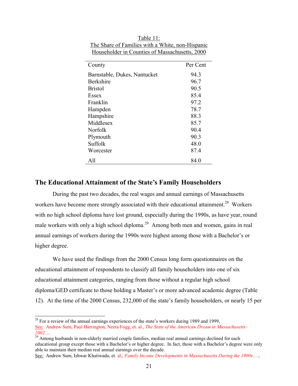| County                       | Per Cent |
|------------------------------|----------|
| Barnstable, Dukes, Nantucket | 943      |
| <b>Berkshire</b>             | 96.7     |
| <b>Bristol</b>               | 90.5     |
| Essex                        | 85.4     |
| Franklin                     | 97.2     |
| Hampden                      | 78.7     |
| Hampshire                    | 88.3     |
| Middlesex                    | 85.7     |
| <b>Norfolk</b>               | 90.4     |
| Plymouth                     | 90.3     |
| Suffolk                      | 48.0     |
| Worcester                    | 87.4     |
| All                          | 84.0     |

Table 11: The Share of Families with a White, non-Hispanic Householder in Counties of Massachusetts, 2000

#### **The Educational Attainment of the State's Family Householders**

During the past two decades, the real wages and annual earnings of Massachusetts workers have become more strongly associated with their educational attainment.<sup>28</sup> Workers with no high school diploma have lost ground, especially during the 1990s, as have year, round male workers with only a high school diploma.<sup>29</sup> Among both men and women, gains in real annual earnings of workers during the 1990s were highest among those with a Bachelor's or higher degree.

We have used the findings from the 2000 Census long form questionnaires on the educational attainment of respondents to classify all family householders into one of six educational attainment categories, ranging from those without a regular high school diploma/GED certificate to those holding a Master's or more advanced academic degree (Table 12). At the time of the 2000 Census, 232,000 of the state's family householders, or nearly 15 per

 $28$  For a review of the annual earnings experiences of the state's workers during 1989 and 1999, See: Andrew Sum, Paul Harrington, Neeta Fogg, et. al., *The State of the American Dream in Massachusetts: 2002,…*

<sup>&</sup>lt;sup>29</sup> Among husbands in non-elderly married couple families, median real annual earnings declined for each educational group except those with a Bachelor's or higher degree. In fact, those with a Bachelor's degree were only able to maintain their median real annual earnings over the decade.

See: Andrew Sum, Ishwar Khatiwada, et. al., *Family Income Developments in Massachusetts During the 1990s*….,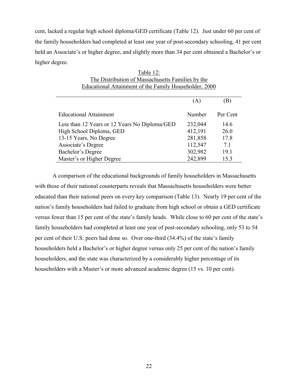cent, lacked a regular high school diploma/GED certificate (Table 12). Just under 60 per cent of the family householders had completed at least one year of post-secondary schooling, 41 per cent held an Associate's or higher degree, and slightly more than 34 per cent obtained a Bachelor's or higher degree.

| Educational Attainment of the Family Householder, 2000 |         |                            |  |  |
|--------------------------------------------------------|---------|----------------------------|--|--|
|                                                        | (A)     | $\left( \mathrm{B}\right)$ |  |  |
| <b>Educational Attainment</b>                          | Number  | Per Cent                   |  |  |
| Less than 12 Years or 12 Years No Diploma/GED          | 232,044 | 14.6                       |  |  |
| High School Diploma, GED                               | 412,191 | 26.0                       |  |  |
| 13-15 Years, No Degree                                 | 281,858 | 17.8                       |  |  |
| Associate's Degree                                     | 112,547 | 7.1                        |  |  |
| Bachelor's Degree                                      | 302,982 | 19.1                       |  |  |
| Master's or Higher Degree                              | 242,899 | 15.3                       |  |  |

| Table 12:                                              |
|--------------------------------------------------------|
| The Distribution of Massachusetts Families by the      |
| Educational Attainment of the Family Householder, 2000 |

A comparison of the educational backgrounds of family householders in Massachusetts with those of their national counterparts reveals that Massachusetts householders were better educated than their national peers on every key comparison (Table 13). Nearly 19 per cent of the nation's family householders had failed to graduate from high school or obtain a GED certificate versus fewer than 15 per cent of the state's family heads. While close to 60 per cent of the state's family householders had completed at least one year of post-secondary schooling, only 53 to 54 per cent of their U.S. peers had done so. Over one-third (34.4%) of the state's family householders held a Bachelor's or higher degree versus only 25 per cent of the nation's family householders, and the state was characterized by a considerably higher percentage of its householders with a Master's or more advanced academic degree (15 vs. 10 per cent).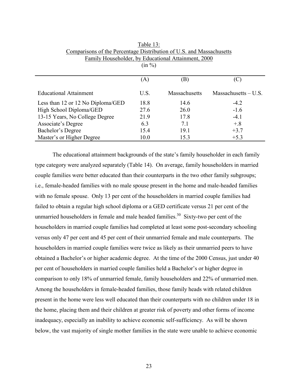| Family Householder, by Educational Attainment, 2000<br>$(in \%)$ |      |               |                      |  |
|------------------------------------------------------------------|------|---------------|----------------------|--|
|                                                                  | (A)  | B)            |                      |  |
| <b>Educational Attainment</b>                                    | U.S. | Massachusetts | Massachusetts – U.S. |  |
| Less than 12 or 12 No Diploma/GED                                | 18.8 | 14.6          | $-4.2$               |  |
| High School Diploma/GED                                          | 27.6 | 26.0          | $-1.6$               |  |
| 13-15 Years, No College Degree                                   | 21.9 | 17.8          | $-4.1$               |  |
| Associate's Degree                                               | 6.3  | 7.1           | $+0.8$               |  |
| Bachelor's Degree                                                | 15.4 | 19.1          | $+3.7$               |  |
| Master's or Higher Degree                                        | 10.0 | 15.3          | $+5.3$               |  |

| Table 13:                                                            |
|----------------------------------------------------------------------|
| Comparisons of the Percentage Distribution of U.S. and Massachusetts |
| Family Householder, by Educational Attainment, 2000                  |
| $\lim 0/\lambda$                                                     |

The educational attainment backgrounds of the state's family householder in each family type category were analyzed separately (Table 14). On average, family householders in married couple families were better educated than their counterparts in the two other family subgroups; i.e., female-headed families with no male spouse present in the home and male-headed families with no female spouse. Only 13 per cent of the householders in married couple families had failed to obtain a regular high school diploma or a GED certificate versus 21 per cent of the unmarried householders in female and male headed families.<sup>30</sup> Sixty-two per cent of the householders in married couple families had completed at least some post-secondary schooling versus only 47 per cent and 45 per cent of their unmarried female and male counterparts. The householders in married couple families were twice as likely as their unmarried peers to have obtained a Bachelor's or higher academic degree. At the time of the 2000 Census, just under 40 per cent of householders in married couple families held a Bachelor's or higher degree in comparison to only 18% of unmarried female, family householders and 22% of unmarried men. Among the householders in female-headed families, those family heads with related children present in the home were less well educated than their counterparts with no children under 18 in the home, placing them and their children at greater risk of poverty and other forms of income inadequacy, especially an inability to achieve economic self-sufficiency. As will be shown below, the vast majority of single mother families in the state were unable to achieve economic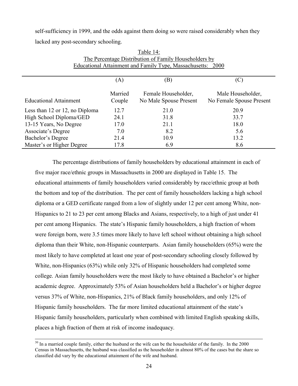self-sufficiency in 1999, and the odds against them doing so were raised considerably when they lacked any post-secondary schooling.

 $T_1$  11:14:

| 1 adie 14:                                            |        |                                                        |                          |  |  |  |
|-------------------------------------------------------|--------|--------------------------------------------------------|--------------------------|--|--|--|
| The Percentage Distribution of Family Householders by |        |                                                        |                          |  |  |  |
|                                                       |        | Educational Attainment and Family Type, Massachusetts: | <b>2000</b>              |  |  |  |
|                                                       |        |                                                        |                          |  |  |  |
| (C)<br>(B)<br>(A)                                     |        |                                                        |                          |  |  |  |
| Married<br>Female Householder,<br>Male Householder,   |        |                                                        |                          |  |  |  |
| <b>Educational Attainment</b>                         | Couple | No Male Spouse Present                                 | No Female Spouse Present |  |  |  |
| Less than 12 or 12, no Diploma                        | 12.7   | 21.0                                                   | 20.9                     |  |  |  |
| High School Diploma/GED                               | 24.1   | 31.8                                                   | 33.7                     |  |  |  |
| 13-15 Years, No Degree                                | 17.0   | 21.1                                                   | 18.0                     |  |  |  |
| Associate's Degree                                    | 7.0    | 8.2                                                    | 5.6                      |  |  |  |
| Bachelor's Degree                                     | 21.4   | 10.9                                                   | 13.2                     |  |  |  |
| Master's or Higher Degree<br>6.9<br>8.6<br>17.8       |        |                                                        |                          |  |  |  |

The percentage distributions of family householders by educational attainment in each of five major race/ethnic groups in Massachusetts in 2000 are displayed in Table 15. The educational attainments of family householders varied considerably by race/ethnic group at both the bottom and top of the distribution. The per cent of family householders lacking a high school diploma or a GED certificate ranged from a low of slightly under 12 per cent among White, non-Hispanics to 21 to 23 per cent among Blacks and Asians, respectively, to a high of just under 41 per cent among Hispanics. The state's Hispanic family householders, a high fraction of whom were foreign born, were 3.5 times more likely to have left school without obtaining a high school diploma than their White, non-Hispanic counterparts. Asian family householders (65%) were the most likely to have completed at least one year of post-secondary schooling closely followed by White, non-Hispanics (63%) while only 32% of Hispanic householders had completed some college. Asian family householders were the most likely to have obtained a Bachelor's or higher academic degree. Approximately 53% of Asian householders held a Bachelor's or higher degree versus 37% of White, non-Hispanics, 21% of Black family householders, and only 12% of Hispanic family householders. The far more limited educational attainment of the state's Hispanic family householders, particularly when combined with limited English speaking skills, places a high fraction of them at risk of income inadequacy.

<sup>&</sup>lt;sup>30</sup> In a married couple family, either the husband or the wife can be the householder of the family. In the 2000 Census in Massachusetts, the husband was classified as the householder in almost 80% of the cases but the share so classified did vary by the educational attainment of the wife and husband.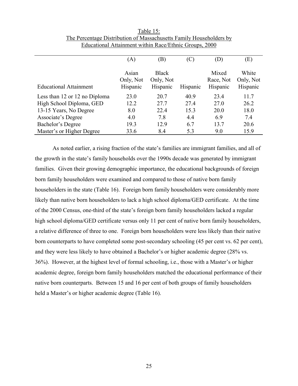|                               | (A)                            | $\left( \mathrm{B}\right)$            | (C)      | (D)                            | (E)                            |
|-------------------------------|--------------------------------|---------------------------------------|----------|--------------------------------|--------------------------------|
| <b>Educational Attainment</b> | Asian<br>Only, Not<br>Hispanic | <b>Black</b><br>Only, Not<br>Hispanic | Hispanic | Mixed<br>Race, Not<br>Hispanic | White<br>Only, Not<br>Hispanic |
| Less than 12 or 12 no Diploma | 23.0                           | 20.7                                  | 40.9     | 23.4                           | 11.7                           |
| High School Diploma, GED      | 12.2                           | 27.7                                  | 27.4     | 27.0                           | 26.2                           |
| 13-15 Years, No Degree        | 8.0                            | 22.4                                  | 15.3     | 20.0                           | 18.0                           |
| Associate's Degree            | 4.0                            | 7.8                                   | 4.4      | 6.9                            | 7.4                            |
| Bachelor's Degree             | 19.3                           | 12.9                                  | 6.7      | 13.7                           | 20.6                           |
| Master's or Higher Degree     | 33.6                           | 8.4                                   | 5.3      | 9.0                            | 15.9                           |

Table 15: The Percentage Distribution of Massachusetts Family Householders by Educational Attainment within Race/Ethnic Groups, 2000

As noted earlier, a rising fraction of the state's families are immigrant families, and all of the growth in the state's family households over the 1990s decade was generated by immigrant families. Given their growing demographic importance, the educational backgrounds of foreign born family householders were examined and compared to those of native born family householders in the state (Table 16). Foreign born family householders were considerably more likely than native born householders to lack a high school diploma/GED certificate. At the time of the 2000 Census, one-third of the state's foreign born family householders lacked a regular high school diploma/GED certificate versus only 11 per cent of native born family householders, a relative difference of three to one. Foreign born householders were less likely than their native born counterparts to have completed some post-secondary schooling (45 per cent vs. 62 per cent), and they were less likely to have obtained a Bachelor's or higher academic degree (28% vs. 36%). However, at the highest level of formal schooling, i.e., those with a Master's or higher academic degree, foreign born family householders matched the educational performance of their native born counterparts. Between 15 and 16 per cent of both groups of family householders held a Master's or higher academic degree (Table 16).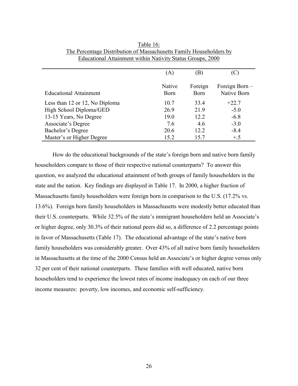|                                | (A)                   | (B)                    | $\left( \mathrm{C} \right)$   |
|--------------------------------|-----------------------|------------------------|-------------------------------|
| <b>Educational Attainment</b>  | Native<br><b>Born</b> | Foreign<br><b>Born</b> | Foreign Born -<br>Native Born |
| Less than 12 or 12, No Diploma | 10.7                  | 33.4                   | $+22.7$                       |
| High School Diploma/GED        | 26.9                  | 21.9                   | $-5.0$                        |
| 13-15 Years, No Degree         | 19.0                  | 12.2                   | $-6.8$                        |
| Associate's Degree             | 7.6                   | 4.6                    | $-3.0$                        |
| Bachelor's Degree              | 20.6                  | 12.2                   | $-8.4$                        |
| Master's or Higher Degree      | 15.2                  | 15.7                   | $+.5$                         |

| Table 16:                                                           |
|---------------------------------------------------------------------|
| The Percentage Distribution of Massachusetts Family Householders by |
| Educational Attainment within Nativity Status Groups, 2000          |

How do the educational backgrounds of the state's foreign born and native born family householders compare to those of their respective national counterparts? To answer this question, we analyzed the educational attainment of both groups of family householders in the state and the nation. Key findings are displayed in Table 17. In 2000, a higher fraction of Massachusetts family householders were foreign born in comparison to the U.S. (17.2% vs. 13.6%). Foreign born family householders in Massachusetts were modestly better educated than their U.S. counterparts. While 32.5% of the state's immigrant householders held an Associate's or higher degree, only 30.3% of their national peers did so, a difference of 2.2 percentage points in favor of Massachusetts (Table 17). The educational advantage of the state's native born family householders was considerably greater. Over 43% of all native born family householders in Massachusetts at the time of the 2000 Census held an Associate's or higher degree versus only 32 per cent of their national counterparts. These families with well educated, native born householders tend to experience the lowest rates of income inadequacy on each of our three income measures: poverty, low incomes, and economic self-sufficiency.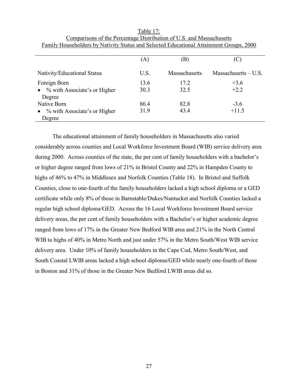|                                        | (A)  | (B)           | $\mathcal{C}$        |
|----------------------------------------|------|---------------|----------------------|
| Nativity/Educational Status            | U.S. | Massachusetts | Massachusetts – U.S. |
| Foreign Born                           | 13.6 | 17.2          | $+3.6$               |
| $\bullet$ % with Associate's or Higher | 30.3 | 32.5          | $+2.2$               |
| Degree                                 |      |               |                      |
| Native Born                            | 86.4 | 82.8          | $-3.6$               |
| $\bullet$ % with Associate's or Higher | 31.9 | 43.4          | $+11.5$              |
| Degree                                 |      |               |                      |

Table 17: Comparisons of the Percentage Distribution of U.S. and Massachusetts Family Householders by Nativity Status and Selected Educational Attainment Groups, 2000

The educational attainment of family householders in Massachusetts also varied considerably across counties and Local Workforce Investment Board (WIB) service delivery area during 2000. Across counties of the state, the per cent of family householders with a bachelor's or higher degree ranged from lows of 21% in Bristol County and 22% in Hampden County to highs of 46% to 47% in Middlesex and Norfolk Counties (Table 18). In Bristol and Suffolk Counties, close to one-fourth of the family householders lacked a high school diploma or a GED certificate while only 8% of those in Barnstable/Dukes/Nantucket and Norfolk Counties lacked a regular high school diploma/GED. Across the 16 Local Workforce Investment Board service delivery areas, the per cent of family householders with a Bachelor's or higher academic degree ranged from lows of 17% in the Greater New Bedford WIB area and 21% in the North Central WIB to highs of 40% in Metro North and just under 57% in the Metro South/West WIB service delivery area. Under 10% of family householders in the Cape Cod, Metro South/West, and South Coastal LWIB areas lacked a high school diploma/GED while nearly one-fourth of those in Boston and 31% of those in the Greater New Bedford LWIB areas did so.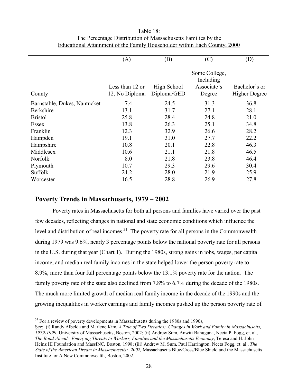Table 18: The Percentage Distribution of Massachusetts Families by the Educational Attainment of the Family Householder within Each County, 2000

|                              | (A)                               | (B)                        | (C)                                                 | (D)                                   |
|------------------------------|-----------------------------------|----------------------------|-----------------------------------------------------|---------------------------------------|
| County                       | Less than 12 or<br>12, No Diploma | High School<br>Diploma/GED | Some College,<br>Including<br>Associate's<br>Degree | Bachelor's or<br><b>Higher Degree</b> |
| Barnstable, Dukes, Nantucket | 7.4                               | 24.5                       | 31.3                                                | 36.8                                  |
| <b>Berkshire</b>             | 13.1                              | 31.7                       | 27.1                                                | 28.1                                  |
| <b>Bristol</b>               | 25.8                              | 28.4                       | 24.8                                                | 21.0                                  |
| Essex                        | 13.8                              | 26.3                       | 25.1                                                | 34.8                                  |
| Franklin                     | 12.3                              | 32.9                       | 26.6                                                | 28.2                                  |
| Hampden                      | 19.1                              | 31.0                       | 27.7                                                | 22.2                                  |
| Hampshire                    | 10.8                              | 20.1                       | 22.8                                                | 46.3                                  |
| Middlesex                    | 10.6                              | 21.1                       | 21.8                                                | 46.5                                  |
| <b>Norfolk</b>               | 8.0                               | 21.8                       | 23.8                                                | 46.4                                  |
| Plymouth                     | 10.7                              | 29.3                       | 29.6                                                | 30.4                                  |
| Suffolk                      | 24.2                              | 28.0                       | 21.9                                                | 25.9                                  |
| Worcester                    | 16.5                              | 28.8                       | 26.9                                                | 27.8                                  |

## **Poverty Trends in Massachusetts, 1979 – 2002**

Poverty rates in Massachusetts for both all persons and families have varied over the past few decades, reflecting changes in national and state economic conditions which influence the level and distribution of real incomes.<sup>31</sup> The poverty rate for all persons in the Commonwealth during 1979 was 9.6%, nearly 3 percentage points below the national poverty rate for all persons in the U.S. during that year (Chart 1). During the 1980s, strong gains in jobs, wages, per capita income, and median real family incomes in the state helped lower the person poverty rate to 8.9%, more than four full percentage points below the 13.1% poverty rate for the nation. The family poverty rate of the state also declined from 7.8% to 6.7% during the decade of the 1980s. The much more limited growth of median real family income in the decade of the 1990s and the growing inequalities in worker earnings and family incomes pushed up the person poverty rate of

 $31$  For a review of poverty developments in Massachusetts during the 1980s and 1990s,

See: (i) Randy Albelda and Marlene Kim, *A Tale of Two Decades: Changes in Work and Family in Massachusetts, 1979-1999*, University of Massachusetts, Boston, 2002; (ii) Andrew Sum, Anwiti Bahuguna, Neeta P. Fogg, et. al., *The Road Ahead: Emerging Threats to Workers, Families and the Massachusetts Economy*, Teresa and H. John Heinz III Foundation and MassINC, Boston, 1998; (iii) Andrew M. Sum, Paul Harrington, Neeta Fogg, et. al., *The State of the American Dream in Massachusetts: 2002,* Massachusetts Blue/Cross/Blue Shield and the Massachusetts Institute for A New Commonwealth, Boston, 2002.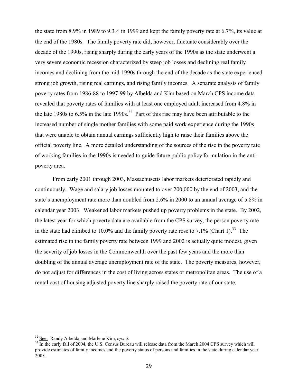the state from 8.9% in 1989 to 9.3% in 1999 and kept the family poverty rate at 6.7%, its value at the end of the 1980s. The family poverty rate did, however, fluctuate considerably over the decade of the 1990s, rising sharply during the early years of the 1990s as the state underwent a very severe economic recession characterized by steep job losses and declining real family incomes and declining from the mid-1990s through the end of the decade as the state experienced strong job growth, rising real earnings, and rising family incomes. A separate analysis of family poverty rates from 1986-88 to 1997-99 by Albelda and Kim based on March CPS income data revealed that poverty rates of families with at least one employed adult increased from 4.8% in the late 1980s to  $6.5\%$  in the late 1990s.<sup>32</sup> Part of this rise may have been attributable to the increased number of single mother families with some paid work experience during the 1990s that were unable to obtain annual earnings sufficiently high to raise their families above the official poverty line. A more detailed understanding of the sources of the rise in the poverty rate of working families in the 1990s is needed to guide future public policy formulation in the antipoverty area.

From early 2001 through 2003, Massachusetts labor markets deteriorated rapidly and continuously. Wage and salary job losses mounted to over 200,000 by the end of 2003, and the state's unemployment rate more than doubled from 2.6% in 2000 to an annual average of 5.8% in calendar year 2003. Weakened labor markets pushed up poverty problems in the state. By 2002, the latest year for which poverty data are available from the CPS survey, the person poverty rate in the state had climbed to 10.0% and the family poverty rate rose to 7.1% (Chart 1). $^{33}$  The estimated rise in the family poverty rate between 1999 and 2002 is actually quite modest, given the severity of job losses in the Commonwealth over the past few years and the more than doubling of the annual average unemployment rate of the state. The poverty measures, however, do not adjust for differences in the cost of living across states or metropolitan areas. The use of a rental cost of housing adjusted poverty line sharply raised the poverty rate of our state.

<sup>32</sup> See: Randy Albelda and Marlene Kim, *op.cit.*

<sup>&</sup>lt;sup>33</sup> In the early fall of 2004, the U.S. Census Bureau will release data from the March 2004 CPS survey which will provide estimates of family incomes and the poverty status of persons and families in the state during calendar year 2003.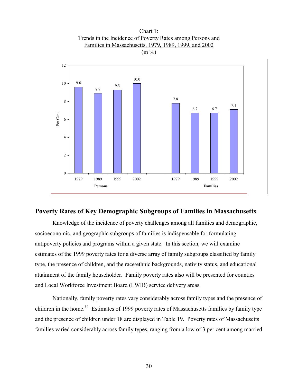

#### **Poverty Rates of Key Demographic Subgroups of Families in Massachusetts**

Knowledge of the incidence of poverty challenges among all families and demographic, socioeconomic, and geographic subgroups of families is indispensable for formulating antipoverty policies and programs within a given state. In this section, we will examine estimates of the 1999 poverty rates for a diverse array of family subgroups classified by family type, the presence of children, and the race/ethnic backgrounds, nativity status, and educational attainment of the family householder. Family poverty rates also will be presented for counties and Local Workforce Investment Board (LWIB) service delivery areas.

Nationally, family poverty rates vary considerably across family types and the presence of children in the home.<sup>34</sup> Estimates of 1999 poverty rates of Massachusetts families by family type and the presence of children under 18 are displayed in Table 19. Poverty rates of Massachusetts families varied considerably across family types, ranging from a low of 3 per cent among married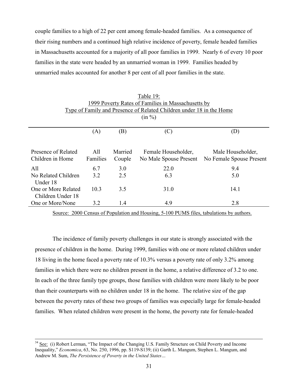couple families to a high of 22 per cent among female-headed families. As a consequence of their rising numbers and a continued high relative incidence of poverty, female headed families in Massachusetts accounted for a majority of all poor families in 1999. Nearly 6 of every 10 poor families in the state were headed by an unmarried woman in 1999. Families headed by unmarried males accounted for another 8 per cent of all poor families in the state.

| Table 19:                                                            |          |         |                        |                          |
|----------------------------------------------------------------------|----------|---------|------------------------|--------------------------|
| 1999 Poverty Rates of Families in Massachusetts by                   |          |         |                        |                          |
| Type of Family and Presence of Related Children under 18 in the Home |          |         |                        |                          |
|                                                                      |          |         | $(in \%)$              |                          |
|                                                                      |          |         |                        |                          |
|                                                                      | (A)      | (B)     | (C)                    | (D)                      |
|                                                                      |          |         |                        |                          |
| Presence of Related                                                  | All      | Married | Female Householder,    | Male Householder,        |
| Children in Home                                                     | Families | Couple  | No Male Spouse Present | No Female Spouse Present |
| All                                                                  | 6.7      | 3.0     | 22.0                   | 9.4                      |
| No Related Children<br>Under 18                                      | 3.2      | 2.5     | 6.3                    | 5.0                      |
| One or More Related<br>Children Under 18                             | 10.3     | 3.5     | 31.0                   | 14.1                     |
| One or More/None                                                     | 3.2      | 1.4     | 4.9                    | 2.8                      |

Source: 2000 Census of Population and Housing, 5-100 PUMS files, tabulations by authors.

The incidence of family poverty challenges in our state is strongly associated with the presence of children in the home. During 1999, families with one or more related children under 18 living in the home faced a poverty rate of 10.3% versus a poverty rate of only 3.2% among families in which there were no children present in the home, a relative difference of 3.2 to one. In each of the three family type groups, those families with children were more likely to be poor than their counterparts with no children under 18 in the home. The relative size of the gap between the poverty rates of these two groups of families was especially large for female-headed families. When related children were present in the home, the poverty rate for female-headed

<sup>&</sup>lt;sup>34</sup> See: (i) Robert Lerman, "The Impact of the Changing U.S. Family Structure on Child Poverty and Income Inequality," *Economica*, 63, No. 250, 1996, pp. S119-S139; (ii) Garth L. Mangum, Stephen L. Mangum, and Andrew M. Sum, *The Persistence of Poverty in the United States…*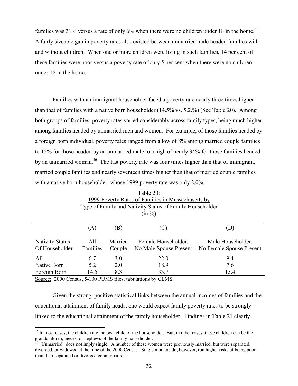families was 31% versus a rate of only 6% when there were no children under 18 in the home.<sup>35</sup> A fairly sizeable gap in poverty rates also existed between unmarried male headed families with and without children. When one or more children were living in such families, 14 per cent of these families were poor versus a poverty rate of only 5 per cent when there were no children under 18 in the home.

Families with an immigrant householder faced a poverty rate nearly three times higher than that of families with a native born householder (14.5% vs. 5.2.%) (See Table 20). Among both groups of families, poverty rates varied considerably across family types, being much higher among families headed by unmarried men and women. For example, of those families headed by a foreign born individual, poverty rates ranged from a low of 8% among married couple families to 15% for those headed by an unmarried male to a high of nearly 34% for those families headed by an unmarried woman.<sup>36</sup> The last poverty rate was four times higher than that of immigrant, married couple families and nearly seventeen times higher than that of married couple families with a native born householder, whose 1999 poverty rate was only 2.0%.

| Table 20:                                          |          |         |                                                          |                          |  |
|----------------------------------------------------|----------|---------|----------------------------------------------------------|--------------------------|--|
| 1999 Poverty Rates of Families in Massachusetts by |          |         |                                                          |                          |  |
|                                                    |          |         | Type of Family and Nativity Status of Family Householder |                          |  |
|                                                    |          |         | $(in \%)$                                                |                          |  |
|                                                    |          |         |                                                          |                          |  |
|                                                    | (A)      | (B)     | (C)                                                      | (D)                      |  |
| <b>Nativity Status</b>                             | All      | Married | Female Householder,                                      | Male Householder,        |  |
| Of Householder                                     | Families | Couple  | No Male Spouse Present                                   | No Female Spouse Present |  |
| All                                                | 6.7      | 3.0     | 22.0                                                     | 9.4                      |  |
| Native Born                                        | 5.2      | 2.0     | 18.9                                                     | 7.6                      |  |
| Foreign Born                                       | 14.5     | 8.3     | 33.7                                                     | 15.4                     |  |

Source: 2000 Census, 5-100 PUMS files, tabulations by CLMS.

l

Given the strong, positive statistical links between the annual incomes of families and the educational attainment of family heads, one would expect family poverty rates to be strongly linked to the educational attainment of the family householder. Findings in Table 21 clearly

<sup>&</sup>lt;sup>35</sup> In most cases, the children are the own child of the householder. But, in other cases, these children can be the grandchildren, nieces, or nephews of the family householder.

<sup>&</sup>lt;sup>36</sup> "Unmarried" does not imply single. A number of these women were previously married, but were separated, divorced, or widowed at the time of the 2000 Census. Single mothers do, however, run higher risks of being poor than their separated or divorced counterparts.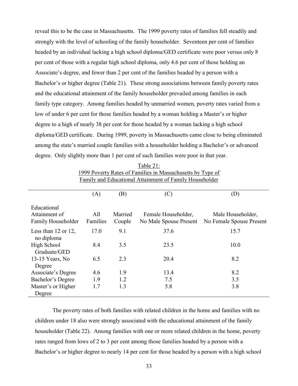reveal this to be the case in Massachusetts. The 1999 poverty rates of families fell steadily and strongly with the level of schooling of the family householder. Seventeen per cent of families headed by an individual lacking a high school diploma/GED certificate were poor versus only 8 per cent of those with a regular high school diploma, only 4.6 per cent of those holding an Associate's degree, and fewer than 2 per cent of the families headed by a person with a Bachelor's or higher degree (Table 21). These strong associations between family poverty rates and the educational attainment of the family householder prevailed among families in each family type category. Among families headed by unmarried women, poverty rates varied from a low of under 6 per cent for those families headed by a woman holding a Master's or higher degree to a high of nearly 38 per cent for those headed by a woman lacking a high school diploma/GED certificate. During 1999, poverty in Massachusetts came close to being eliminated among the state's married couple families with a householder holding a Bachelor's or advanced degree. Only slightly more than 1 per cent of such families were poor in that year.

Table 21: 1999 Poverty Rates of Families in Massachusetts by Type of Family and Educational Attainment of Family Householder

|                                        | (A)      | (B)     | (C)                    | (D)                      |
|----------------------------------------|----------|---------|------------------------|--------------------------|
| Educational                            |          |         |                        |                          |
| Attainment of                          | All      | Married | Female Householder,    | Male Householder,        |
| Family Householder                     | Families | Couple  | No Male Spouse Present | No Female Spouse Present |
| Less than $12$ or $12$ ,<br>no diploma | 17.0     | 9.1     | 37.6                   | 15.7                     |
| High School<br>Graduate/GED            | 8.4      | 3.5     | 23.5                   | 10.0                     |
| 13-15 Years, $No$<br>Degree            | 6.5      | 2.3     | 20.4                   | 8.2                      |
| Associate's Degree                     | 4.6      | 1.9     | 13.4                   | 8.2                      |
| Bachelor's Degree                      | 1.9      | 1.2     | 7.5                    | 3.5                      |
| Master's or Higher<br>Degree           | 1.7      | 1.3     | 5.8                    | 3.8                      |

The poverty rates of both families with related children in the home and families with no children under 18 also were strongly associated with the educational attainment of the family householder (Table 22). Among families with one or more related children in the home, poverty rates ranged from lows of 2 to 3 per cent among those families headed by a person with a Bachelor's or higher degree to nearly 14 per cent for those headed by a person with a high school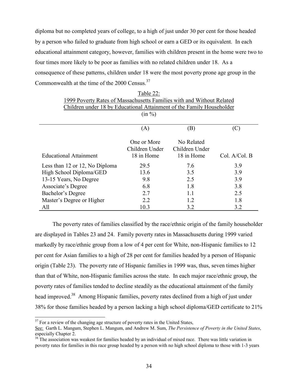diploma but no completed years of college, to a high of just under 30 per cent for those headed by a person who failed to graduate from high school or earn a GED or its equivalent. In each educational attainment category, however, families with children present in the home were two to four times more likely to be poor as families with no related children under 18. As a consequence of these patterns, children under 18 were the most poverty prone age group in the Commonwealth at the time of the 2000 Census.<sup>37</sup>

 $Table 22$ 

| $1 \text{ and } 22.$<br>1999 Poverty Rates of Massachusetts Families with and Without Related |                |                |               |  |
|-----------------------------------------------------------------------------------------------|----------------|----------------|---------------|--|
| Children under 18 by Educational Attainment of the Family Householder                         |                |                |               |  |
|                                                                                               | (in %)         |                |               |  |
|                                                                                               |                |                |               |  |
|                                                                                               | (A)            | (B)            | (C)           |  |
|                                                                                               |                |                |               |  |
|                                                                                               | One or More    | No Related     |               |  |
|                                                                                               | Children Under | Children Under |               |  |
| <b>Educational Attainment</b>                                                                 | 18 in Home     | 18 in Home     | Col. A/Col. B |  |
| Less than 12 or 12, No Diploma                                                                | 29.5           | 7.6            | 3.9           |  |
| High School Diploma/GED                                                                       | 13.6           | 3.5            | 3.9           |  |
| 13-15 Years, No Degree                                                                        | 9.8            | 2.5            | 3.9           |  |
| Associate's Degree                                                                            | 6.8            | 1.8            | 3.8           |  |
| Bachelor's Degree                                                                             | 2.7            | 1.1            | 2.5           |  |
| Master's Degree or Higher                                                                     | 2.2            | 1.2            | 1.8           |  |
| All                                                                                           | 10.3           | 3.2            | 3.2           |  |

The poverty rates of families classified by the race/ethnic origin of the family householder are displayed in Tables 23 and 24. Family poverty rates in Massachusetts during 1999 varied markedly by race/ethnic group from a low of 4 per cent for White, non-Hispanic families to 12 per cent for Asian families to a high of 28 per cent for families headed by a person of Hispanic origin (Table 23). The poverty rate of Hispanic families in 1999 was, thus, seven times higher than that of White, non-Hispanic families across the state. In each major race/ethnic group, the poverty rates of families tended to decline steadily as the educational attainment of the family head improved.<sup>38</sup> Among Hispanic families, poverty rates declined from a high of just under 38% for those families headed by a person lacking a high school diploma/GED certificate to 21%

 $37$  For a review of the changing age structure of poverty rates in the United States,

See: Garth L. Mangum, Stephen L. Mangum, and Andrew M. Sum, *The Persistence of Poverty in the United States*, especially Chapter 2.

 $38$ <sup>38</sup> The association was weakest for families headed by an individual of mixed race. There was little variation in poverty rates for families in this race group headed by a person with no high school diploma to those with 1-3 years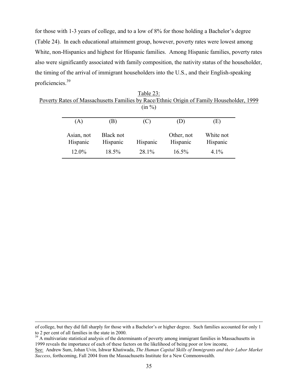for those with 1-3 years of college, and to a low of 8% for those holding a Bachelor's degree (Table 24). In each educational attainment group, however, poverty rates were lowest among White, non-Hispanics and highest for Hispanic families. Among Hispanic families, poverty rates also were significantly associated with family composition, the nativity status of the householder, the timing of the arrival of immigrant householders into the U.S., and their English-speaking proficiencies.39

| Table 23:                                                                                 |  |
|-------------------------------------------------------------------------------------------|--|
| Poverty Rates of Massachusetts Families by Race/Ethnic Origin of Family Householder, 1999 |  |
| (in %)                                                                                    |  |

| (A)                    | (B)                   | (C)      | (D)                    | (E)                   |
|------------------------|-----------------------|----------|------------------------|-----------------------|
| Asian, not<br>Hispanic | Black not<br>Hispanic | Hispanic | Other, not<br>Hispanic | White not<br>Hispanic |
| 12.0%                  | 18.5%                 | 28.1%    | $16.5\%$               | $4.1\%$               |

of college, but they did fall sharply for those with a Bachelor's or higher degree. Such families accounted for only 1 to 2 per cent of all families in the state in 2000.

 $39$  A multivariate statistical analysis of the determinants of poverty among immigrant families in Massachusetts in 1999 reveals the importance of each of these factors on the likelihood of being poor or low income,

See: Andrew Sum, Johan Uvin, Ishwar Khatiwada, *The Human Capital Skills of Immigrants and their Labor Market Success*, forthcoming, Fall 2004 from the Massachusetts Institute for a New Commonwealth.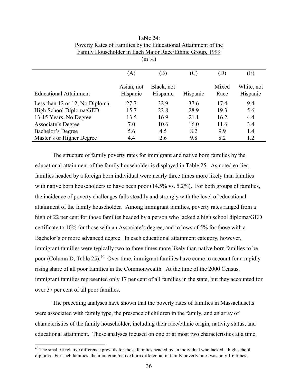|                                | (A)                    | B)                     | (C)      | D)            | (E)                    |
|--------------------------------|------------------------|------------------------|----------|---------------|------------------------|
| <b>Educational Attainment</b>  | Asian, not<br>Hispanic | Black, not<br>Hispanic | Hispanic | Mixed<br>Race | White, not<br>Hispanic |
| Less than 12 or 12, No Diploma | 27.7                   | 32.9                   | 37.6     | 17.4          | 9.4                    |
| High School Diploma/GED        | 15.7                   | 22.8                   | 28.9     | 19.3          | 5.6                    |
| 13-15 Years, No Degree         | 13.5                   | 16.9                   | 21.1     | 16.2          | 4.4                    |
| Associate's Degree             | 7.0                    | 10.6                   | 16.0     | 11.6          | 3.4                    |
| Bachelor's Degree              | 5.6                    | 4.5                    | 8.2      | 9.9           | 1.4                    |
| Master's or Higher Degree      | 4.4                    | 2.6                    | 9.8      | 8.2           | 1.2                    |

| Table 24:                                                      |
|----------------------------------------------------------------|
| Poverty Rates of Families by the Educational Attainment of the |
| Family Householder in Each Major Race/Ethnic Group, 1999       |

 $(in \%)$ 

The structure of family poverty rates for immigrant and native born families by the educational attainment of the family householder is displayed in Table 25. As noted earlier, families headed by a foreign born individual were nearly three times more likely than families with native born householders to have been poor (14.5% vs. 5.2%). For both groups of families, the incidence of poverty challenges falls steadily and strongly with the level of educational attainment of the family householder. Among immigrant families, poverty rates ranged from a high of 22 per cent for those families headed by a person who lacked a high school diploma/GED certificate to 10% for those with an Associate's degree, and to lows of 5% for those with a Bachelor's or more advanced degree. In each educational attainment category, however, immigrant families were typically two to three times more likely than native born families to be poor (Column D, Table 25).<sup>40</sup> Over time, immigrant families have come to account for a rapidly rising share of all poor families in the Commonwealth. At the time of the 2000 Census, immigrant families represented only 17 per cent of all families in the state, but they accounted for over 37 per cent of all poor families.

The preceding analyses have shown that the poverty rates of families in Massachusetts were associated with family type, the presence of children in the family, and an array of characteristics of the family householder, including their race/ethnic origin, nativity status, and educational attainment. These analyses focused on one or at most two characteristics at a time.

 $40$  The smallest relative difference prevails for those families headed by an individual who lacked a high school diploma. For such families, the immigrant/native born differential in family poverty rates was only 1.6 times.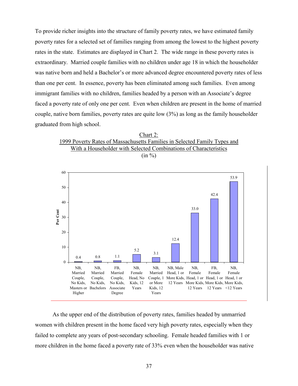To provide richer insights into the structure of family poverty rates, we have estimated family poverty rates for a selected set of families ranging from among the lowest to the highest poverty rates in the state. Estimates are displayed in Chart 2. The wide range in these poverty rates is extraordinary. Married couple families with no children under age 18 in which the householder was native born and held a Bachelor's or more advanced degree encountered poverty rates of less than one per cent. In essence, poverty has been eliminated among such families. Even among immigrant families with no children, families headed by a person with an Associate's degree faced a poverty rate of only one per cent. Even when children are present in the home of married couple, native born families, poverty rates are quite low (3%) as long as the family householder graduated from high school.





As the upper end of the distribution of poverty rates, families headed by unmarried women with children present in the home faced very high poverty rates, especially when they failed to complete any years of post-secondary schooling. Female headed families with 1 or more children in the home faced a poverty rate of 33% even when the householder was native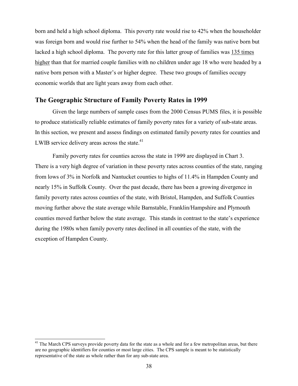born and held a high school diploma. This poverty rate would rise to 42% when the householder was foreign born and would rise further to 54% when the head of the family was native born but lacked a high school diploma. The poverty rate for this latter group of families was 135 times higher than that for married couple families with no children under age 18 who were headed by a native born person with a Master's or higher degree. These two groups of families occupy economic worlds that are light years away from each other.

### **The Geographic Structure of Family Poverty Rates in 1999**

Given the large numbers of sample cases from the 2000 Census PUMS files, it is possible to produce statistically reliable estimates of family poverty rates for a variety of sub-state areas. In this section, we present and assess findings on estimated family poverty rates for counties and LWIB service delivery areas across the state. $41$ 

Family poverty rates for counties across the state in 1999 are displayed in Chart 3. There is a very high degree of variation in these poverty rates across counties of the state, ranging from lows of 3% in Norfolk and Nantucket counties to highs of 11.4% in Hampden County and nearly 15% in Suffolk County. Over the past decade, there has been a growing divergence in family poverty rates across counties of the state, with Bristol, Hampden, and Suffolk Counties moving further above the state average while Barnstable, Franklin/Hampshire and Plymouth counties moved further below the state average. This stands in contrast to the state's experience during the 1980s when family poverty rates declined in all counties of the state, with the exception of Hampden County.

<sup>&</sup>lt;sup>41</sup> The March CPS surveys provide poverty data for the state as a whole and for a few metropolitan areas, but there are no geographic identifiers for counties or most large cities. The CPS sample is meant to be statistically representative of the state as whole rather than for any sub-state area.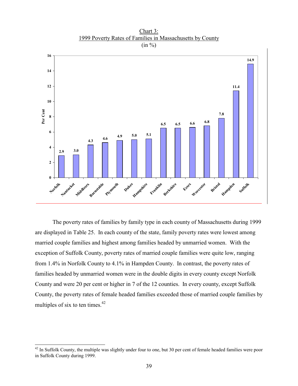

Chart 3: 1999 Poverty Rates of Families in Massachusetts by County

The poverty rates of families by family type in each county of Massachusetts during 1999 are displayed in Table 25. In each county of the state, family poverty rates were lowest among married couple families and highest among families headed by unmarried women. With the exception of Suffolk County, poverty rates of married couple families were quite low, ranging from 1.4% in Norfolk County to 4.1% in Hampden County. In contrast, the poverty rates of families headed by unmarried women were in the double digits in every county except Norfolk County and were 20 per cent or higher in 7 of the 12 counties. In every county, except Suffolk County, the poverty rates of female headed families exceeded those of married couple families by multiples of six to ten times. $42$ 

<sup>&</sup>lt;sup>42</sup> In Suffolk County, the multiple was slightly under four to one, but 30 per cent of female headed families were poor in Suffolk County during 1999.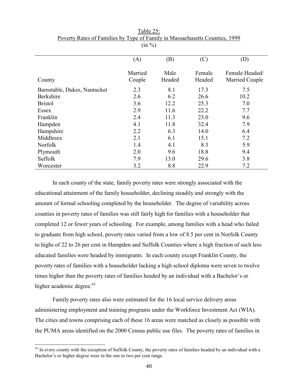|                              | (A)               | (B)            | (C)              | (D)                              |
|------------------------------|-------------------|----------------|------------------|----------------------------------|
| County                       | Married<br>Couple | Male<br>Headed | Female<br>Headed | Female Headed/<br>Married Couple |
| Barnstable, Dukes, Nantucket | 2.3               | 8.1            | 17.3             | 7.5                              |
| <b>Berkshire</b>             | 2.6               | 6.2            | 26.6             | 10.2                             |
| <b>Bristol</b>               | 3.6               | 12.2           | 25.3             | 7.0                              |
| Essex                        | 2.9               | 11.6           | 22.2             | 7.7                              |
| Franklin                     | 2.4               | 11.3           | 23.0             | 9.6                              |
| Hampden                      | 4.1               | 11.8           | 32.4             | 7.9                              |
| Hampshire                    | 2.2               | 6.3            | 14.0             | 6.4                              |
| Middlesex                    | 2.1               | 6.1            | 15.1             | 7.2                              |
| Norfolk                      | 1.4               | 4.1            | 8.3              | 5.9                              |
| Plymouth                     | 2.0               | 9.6            | 18.8             | 9.4                              |
| Suffolk                      | 7.9               | 13.0           | 29.6             | 3.8                              |
| Worcester                    | 3.2               | 8.8            | 22.9             | 7.2                              |

Table 25: Poverty Rates of Families by Type of Family in Massachusetts Counties, 1999  $(in \%)$ 

In each county of the state, family poverty rates were strongly associated with the educational attainment of the family householder, declining steadily and strongly with the amount of formal schooling completed by the householder. The degree of variability across counties in poverty rates of families was still fairly high for families with a householder that completed 12 or fewer years of schooling. For example, among families with a head who failed to graduate from high school, poverty rates varied from a low of 8.5 per cent in Norfolk County to highs of 22 to 26 per cent in Hampden and Suffolk Counties where a high fraction of such less educated families were headed by immigrants. In each county except Franklin County, the poverty rates of families with a householder lacking a high school diploma were seven to twelve times higher than the poverty rates of families headed by an individual with a Bachelor's or higher academic degree. $43$ 

Family poverty rates also were estimated for the 16 local service delivery areas administering employment and training programs under the Workforce Investment Act (WIA). The cities and towns comprising each of these 16 areas were matched as closely as possible with the PUMA areas identified on the 2000 Census public use files. The poverty rates of families in

<sup>&</sup>lt;sup>43</sup> In every county with the exception of Suffolk County, the poverty rates of families headed by an individual with a Bachelor's or higher degree were in the one to two per cent range.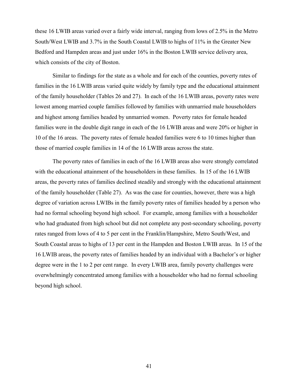these 16 LWIB areas varied over a fairly wide interval, ranging from lows of 2.5% in the Metro South/West LWIB and 3.7% in the South Coastal LWIB to highs of 11% in the Greater New Bedford and Hampden areas and just under 16% in the Boston LWIB service delivery area, which consists of the city of Boston.

Similar to findings for the state as a whole and for each of the counties, poverty rates of families in the 16 LWIB areas varied quite widely by family type and the educational attainment of the family householder (Tables 26 and 27). In each of the 16 LWIB areas, poverty rates were lowest among married couple families followed by families with unmarried male householders and highest among families headed by unmarried women. Poverty rates for female headed families were in the double digit range in each of the 16 LWIB areas and were 20% or higher in 10 of the 16 areas. The poverty rates of female headed families were 6 to 10 times higher than those of married couple families in 14 of the 16 LWIB areas across the state.

The poverty rates of families in each of the 16 LWIB areas also were strongly correlated with the educational attainment of the householders in these families. In 15 of the 16 LWIB areas, the poverty rates of families declined steadily and strongly with the educational attainment of the family householder (Table 27). As was the case for counties, however, there was a high degree of variation across LWIBs in the family poverty rates of families headed by a person who had no formal schooling beyond high school. For example, among families with a householder who had graduated from high school but did not complete any post-secondary schooling, poverty rates ranged from lows of 4 to 5 per cent in the Franklin/Hampshire, Metro South/West, and South Coastal areas to highs of 13 per cent in the Hampden and Boston LWIB areas. In 15 of the 16 LWIB areas, the poverty rates of families headed by an individual with a Bachelor's or higher degree were in the 1 to 2 per cent range. In every LWIB area, family poverty challenges were overwhelmingly concentrated among families with a householder who had no formal schooling beyond high school.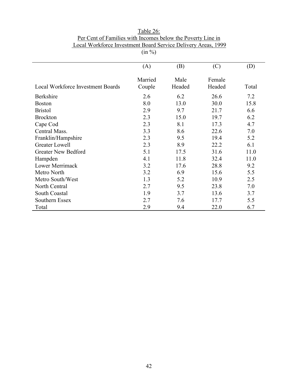### Table 26: Per Cent of Families with Incomes below the Poverty Line in Local Workforce Investment Board Service Delivery Areas, 1999

|                                          | (A)     | (B)    | (C)    | (D)   |
|------------------------------------------|---------|--------|--------|-------|
|                                          | Married | Male   | Female |       |
| <b>Local Workforce Investment Boards</b> | Couple  | Headed | Headed | Total |
| <b>Berkshire</b>                         | 2.6     | 6.2    | 26.6   | 7.2   |
| <b>Boston</b>                            | 8.0     | 13.0   | 30.0   | 15.8  |
| <b>Bristol</b>                           | 2.9     | 9.7    | 21.7   | 6.6   |
| <b>Brockton</b>                          | 2.3     | 15.0   | 19.7   | 6.2   |
| Cape Cod                                 | 2.3     | 8.1    | 17.3   | 4.7   |
| Central Mass.                            | 3.3     | 8.6    | 22.6   | 7.0   |
| Franklin/Hampshire                       | 2.3     | 9.5    | 19.4   | 5.2   |
| <b>Greater Lowell</b>                    | 2.3     | 8.9    | 22.2   | 6.1   |
| <b>Greater New Bedford</b>               | 5.1     | 17.5   | 31.6   | 11.0  |
| Hampden                                  | 4.1     | 11.8   | 32.4   | 11.0  |
| Lower Merrimack                          | 3.2     | 17.6   | 28.8   | 9.2   |
| Metro North                              | 3.2     | 6.9    | 15.6   | 5.5   |
| Metro South/West                         | 1.3     | 5.2    | 10.9   | 2.5   |
| North Central                            | 2.7     | 9.5    | 23.8   | 7.0   |
| South Coastal                            | 1.9     | 3.7    | 13.6   | 3.7   |
| <b>Southern Essex</b>                    | 2.7     | 7.6    | 17.7   | 5.5   |
| Total                                    | 2.9     | 9.4    | 22.0   | 6.7   |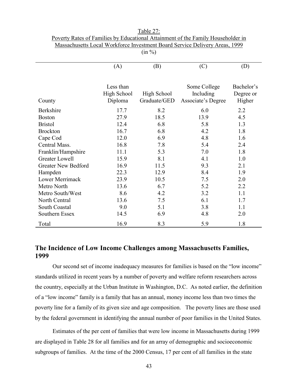|                            | (A)                                 | (B)                         | (C)                                                    | (D)                               |
|----------------------------|-------------------------------------|-----------------------------|--------------------------------------------------------|-----------------------------------|
|                            |                                     |                             |                                                        |                                   |
| County                     | Less than<br>High School<br>Diploma | High School<br>Graduate/GED | Some College<br>Including<br><b>Associate's Degree</b> | Bachelor's<br>Degree or<br>Higher |
| <b>Berkshire</b>           | 17.7                                | 8.2                         | 6.0                                                    | 2.2                               |
| <b>Boston</b>              | 27.9                                | 18.5                        | 13.9                                                   | 4.5                               |
| <b>Bristol</b>             | 12.4                                | 6.8                         | 5.8                                                    | 1.3                               |
| <b>Brockton</b>            | 16.7                                | 6.8                         | 4.2                                                    | 1.8                               |
| Cape Cod                   | 12.0                                | 6.9                         | 4.8                                                    | 1.6                               |
| Central Mass.              | 16.8                                | 7.8                         | 5.4                                                    | 2.4                               |
| Franklin/Hampshire         | 11.1                                | 5.3                         | 7.0                                                    | 1.8                               |
| Greater Lowell             | 15.9                                | 8.1                         | 4.1                                                    | 1.0                               |
| <b>Greater New Bedford</b> | 16.9                                | 11.5                        | 9.3                                                    | 2.1                               |
| Hampden                    | 22.3                                | 12.9                        | 8.4                                                    | 1.9                               |
| Lower Merrimack            | 23.9                                | 10.5                        | 7.5                                                    | 2.0                               |
| Metro North                | 13.6                                | 6.7                         | 5.2                                                    | 2.2                               |
| Metro South/West           | 8.6                                 | 4.2                         | 3.2                                                    | 1.1                               |
| North Central              | 13.6                                | 7.5                         | 6.1                                                    | 1.7                               |
| South Coastal              | 9.0                                 | 5.1                         | 3.8                                                    | 1.1                               |
| Southern Essex             | 14.5                                | 6.9                         | 4.8                                                    | 2.0                               |
| Total                      | 16.9                                | 8.3                         | 5.9                                                    | 1.8                               |

Table 27: Poverty Rates of Families by Educational Attainment of the Family Householder in Massachusetts Local Workforce Investment Board Service Delivery Areas, 1999  $(in \%)$ 

# **The Incidence of Low Income Challenges among Massachusetts Families, 1999**

Our second set of income inadequacy measures for families is based on the "low income" standards utilized in recent years by a number of poverty and welfare reform researchers across the country, especially at the Urban Institute in Washington, D.C. As noted earlier, the definition of a "low income" family is a family that has an annual, money income less than two times the poverty line for a family of its given size and age composition. The poverty lines are those used by the federal government in identifying the annual number of poor families in the United States.

Estimates of the per cent of families that were low income in Massachusetts during 1999 are displayed in Table 28 for all families and for an array of demographic and socioeconomic subgroups of families. At the time of the 2000 Census, 17 per cent of all families in the state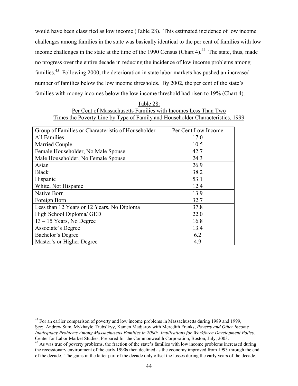would have been classified as low income (Table 28). This estimated incidence of low income challenges among families in the state was basically identical to the per cent of families with low income challenges in the state at the time of the 1990 Census (Chart 4).<sup>44</sup> The state, thus, made no progress over the entire decade in reducing the incidence of low income problems among families.<sup>45</sup> Following 2000, the deterioration in state labor markets has pushed an increased number of families below the low income thresholds. By 2002, the per cent of the state's families with money incomes below the low income threshold had risen to 19% (Chart 4).

| Table 28:                                                                      |  |
|--------------------------------------------------------------------------------|--|
| Per Cent of Massachusetts Families with Incomes Less Than Two                  |  |
| Times the Poverty Line by Type of Family and Householder Characteristics, 1999 |  |

| Group of Families or Characteristic of Householder | Per Cent Low Income |
|----------------------------------------------------|---------------------|
| All Families                                       | 17.0                |
| Married Couple                                     | 10.5                |
| Female Householder, No Male Spouse                 | 42.7                |
| Male Householder, No Female Spouse                 | 24.3                |
| Asian                                              | 26.9                |
| <b>Black</b>                                       | 38.2                |
| Hispanic                                           | 53.1                |
| White, Not Hispanic                                | 12.4                |
| <b>Native Born</b>                                 | 13.9                |
| Foreign Born                                       | 32.7                |
| Less than 12 Years or 12 Years, No Diploma         | 37.8                |
| High School Diploma/ GED                           | 22.0                |
| $13 - 15$ Years, No Degree                         | 16.8                |
| Associate's Degree                                 | 13.4                |
| Bachelor's Degree                                  | 6.2                 |
| Master's or Higher Degree                          | 4.9                 |

<sup>&</sup>lt;sup>44</sup> For an earlier comparison of poverty and low income problems in Massachusetts during 1989 and 1999, See: Andrew Sum, Mykhaylo Trubs'kyy, Kamen Madjarov with Meredith Franks; *Poverty and Other Income Inadequacy Problems Among Massachusetts Families in 2000: Implications for Workforce Development Policy*, Center for Labor Market Studies, Prepared for the Commonwealth Corporation, Boston, July, 2003.

<sup>&</sup>lt;sup>45</sup> As was true of poverty problems, the fraction of the state's families with low income problems increased during the recessionary environment of the early 1990s then declined as the economy improved from 1993 through the end of the decade. The gains in the latter part of the decade only offset the losses during the early years of the decade.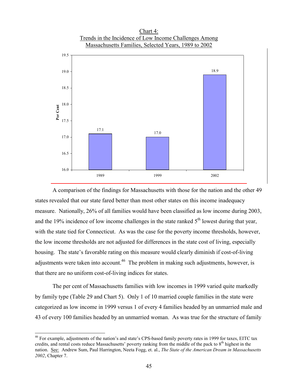Chart 4: Trends in the Incidence of Low Income Challenges Among Massachusetts Families, Selected Years, 1989 to 2002



A comparison of the findings for Massachusetts with those for the nation and the other 49 states revealed that our state fared better than most other states on this income inadequacy measure. Nationally, 26% of all families would have been classified as low income during 2003, and the 19% incidence of low income challenges in the state ranked  $5<sup>th</sup>$  lowest during that year, with the state tied for Connecticut. As was the case for the poverty income thresholds, however, the low income thresholds are not adjusted for differences in the state cost of living, especially housing. The state's favorable rating on this measure would clearly diminish if cost-of-living adjustments were taken into account.<sup>46</sup> The problem in making such adjustments, however, is that there are no uniform cost-of-living indices for states.

The per cent of Massachusetts families with low incomes in 1999 varied quite markedly by family type (Table 29 and Chart 5). Only 1 of 10 married couple families in the state were categorized as low income in 1999 versus 1 of every 4 families headed by an unmarried male and 43 of every 100 families headed by an unmarried woman. As was true for the structure of family

<sup>&</sup>lt;sup>46</sup> For example, adjustments of the nation's and state's CPS-based family poverty rates in 1999 for taxes, EITC tax credits, and rental costs reduce Massachusetts' poverty ranking from the middle of the pack to 8<sup>th</sup> highest in the nation. See: Andrew Sum, Paul Harrington, Neeta Fogg, et. al., *The State of the American Dream in Massachusetts 2002*, Chapter 7.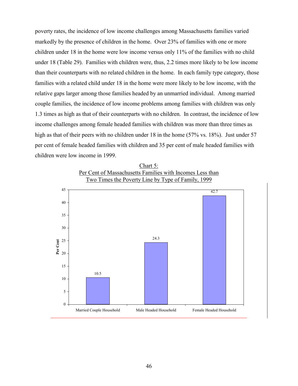poverty rates, the incidence of low income challenges among Massachusetts families varied markedly by the presence of children in the home. Over 23% of families with one or more children under 18 in the home were low income versus only 11% of the families with no child under 18 (Table 29). Families with children were, thus, 2.2 times more likely to be low income than their counterparts with no related children in the home. In each family type category, those families with a related child under 18 in the home were more likely to be low income, with the relative gaps larger among those families headed by an unmarried individual. Among married couple families, the incidence of low income problems among families with children was only 1.3 times as high as that of their counterparts with no children. In contrast, the incidence of low income challenges among female headed families with children was more than three times as high as that of their peers with no children under 18 in the home (57% vs. 18%). Just under 57 per cent of female headed families with children and 35 per cent of male headed families with children were low income in 1999.



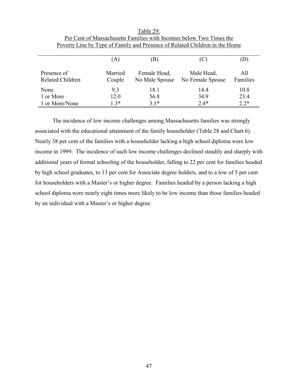|                                        | (A)               | B)                             | (C)                            | [D              |
|----------------------------------------|-------------------|--------------------------------|--------------------------------|-----------------|
| Presence of<br><b>Related Children</b> | Married<br>Couple | Female Head,<br>No Male Spouse | Male Head,<br>No Female Spouse | All<br>Families |
| None                                   | 9.3               | 18.1                           | 14.4                           | 10.8            |
| 1 or More                              | 12.0              | 56.8                           | 34.9                           | 23.4            |
| 1 or More/None                         | $13*$             | $3.1*$                         | $2.4*$                         | $2.2*$          |

Table 29: Per Cent of Massachusetts Families with Incomes below Two Times the Poverty Line by Type of Family and Presence of Related Children in the Home

The incidence of low income challenges among Massachusetts families was strongly associated with the educational attainment of the family householder (Table 28 and Chart 6). Nearly 38 per cent of the families with a householder lacking a high school diploma were low income in 1999. The incidence of such low income challenges declined steadily and sharply with additional years of formal schooling of the householder, falling to 22 per cent for families headed by high school graduates, to 13 per cent for Associate degree holders, and to a low of 5 per cent for householders with a Master's or higher degree. Families headed by a person lacking a high school diploma were nearly eight times more likely to be low income than those families headed by an individual with a Master's or higher degree.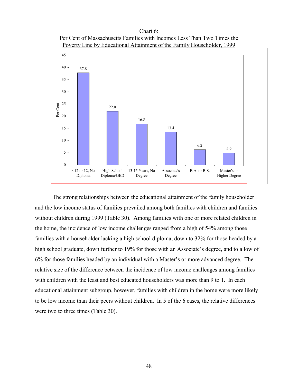Chart 6: Per Cent of Massachusetts Families with Incomes Less Than Two Times the Poverty Line by Educational Attainment of the Family Householder, 1999



The strong relationships between the educational attainment of the family householder and the low income status of families prevailed among both families with children and families without children during 1999 (Table 30). Among families with one or more related children in the home, the incidence of low income challenges ranged from a high of 54% among those families with a householder lacking a high school diploma, down to 32% for those headed by a high school graduate, down further to 19% for those with an Associate's degree, and to a low of 6% for those families headed by an individual with a Master's or more advanced degree. The relative size of the difference between the incidence of low income challenges among families with children with the least and best educated householders was more than 9 to 1. In each educational attainment subgroup, however, families with children in the home were more likely to be low income than their peers without children. In 5 of the 6 cases, the relative differences were two to three times (Table 30).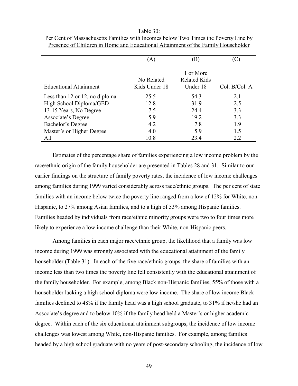|                                | (A)                         | B)                                           |               |
|--------------------------------|-----------------------------|----------------------------------------------|---------------|
| <b>Educational Attainment</b>  | No Related<br>Kids Under 18 | 1 or More<br><b>Related Kids</b><br>Under 18 | Col. B/Col. A |
| Less than 12 or 12, no diploma | 25.5                        | 54.3                                         | 2.1           |
| High School Diploma/GED        | 12.8                        | 31.9                                         | 2.5           |
| 13-15 Years, No Degree         | 7.5                         | 24.4                                         | 3.3           |
| Associate's Degree             | 5.9                         | 19.2                                         | 3.3           |
| Bachelor's Degree              | 42                          | 7.8                                          | 19            |
| Master's or Higher Degree      | 4.0                         | 5.9                                          | 1.5           |
| All                            | 10.8                        | 23.4                                         | 2.2           |
|                                |                             |                                              |               |

Table 30: Per Cent of Massachusetts Families with Incomes below Two Times the Poverty Line by Presence of Children in Home and Educational Attainment of the Family Householder

Estimates of the percentage share of families experiencing a low income problem by the race/ethnic origin of the family householder are presented in Tables 28 and 31. Similar to our earlier findings on the structure of family poverty rates, the incidence of low income challenges among families during 1999 varied considerably across race/ethnic groups. The per cent of state families with an income below twice the poverty line ranged from a low of 12% for White, non-Hispanic, to 27% among Asian families, and to a high of 53% among Hispanic families. Families headed by individuals from race/ethnic minority groups were two to four times more likely to experience a low income challenge than their White, non-Hispanic peers.

Among families in each major race/ethnic group, the likelihood that a family was low income during 1999 was strongly associated with the educational attainment of the family householder (Table 31). In each of the five race/ethnic groups, the share of families with an income less than two times the poverty line fell consistently with the educational attainment of the family householder. For example, among Black non-Hispanic families, 55% of those with a householder lacking a high school diploma were low income. The share of low income Black families declined to 48% if the family head was a high school graduate, to 31% if he/she had an Associate's degree and to below 10% if the family head held a Master's or higher academic degree. Within each of the six educational attainment subgroups, the incidence of low income challenges was lowest among White, non-Hispanic families. For example, among families headed by a high school graduate with no years of post-secondary schooling, the incidence of low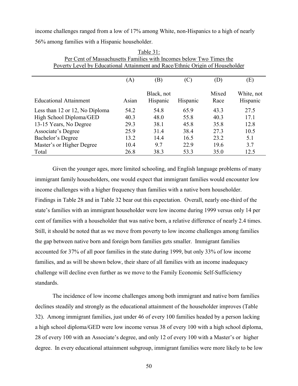income challenges ranged from a low of 17% among White, non-Hispanics to a high of nearly 56% among families with a Hispanic householder.

| Per Cent of Massachusetts Families with Incomes below Two Times the           |       |            |          |       |            |
|-------------------------------------------------------------------------------|-------|------------|----------|-------|------------|
| Poverty Level by Educational Attainment and Race/Ethnic Origin of Householder |       |            |          |       |            |
|                                                                               |       |            |          |       |            |
|                                                                               | (A)   | (B)        | (C)      | (D)   | (E)        |
|                                                                               |       | Black, not |          | Mixed | White, not |
| <b>Educational Attainment</b>                                                 | Asian | Hispanic   | Hispanic | Race  | Hispanic   |
| Less than 12 or 12, No Diploma                                                | 54.2  | 54.8       | 65.9     | 43.3  | 27.5       |
| High School Diploma/GED                                                       | 40.3  | 48.0       | 55.8     | 40.3  | 17.1       |
| 13-15 Years, No Degree                                                        | 29.3  | 38.1       | 45.8     | 35.8  | 12.8       |
| Associate's Degree                                                            | 25.9  | 31.4       | 38.4     | 27.3  | 10.5       |
| Bachelor's Degree                                                             | 13.2  | 14.4       | 16.5     | 23.2  | 5.1        |
| Master's or Higher Degree                                                     | 10.4  | 9.7        | 22.9     | 19.6  | 3.7        |
| Total                                                                         | 26.8  | 38.3       | 53.3     | 35.0  | 12.5       |

| Table $31$ :                                                                  |
|-------------------------------------------------------------------------------|
| Per Cent of Massachusetts Families with Incomes below Two Times the           |
| Poverty Level by Educational Attainment and Race/Ethnic Origin of Householder |
|                                                                               |

Given the younger ages, more limited schooling, and English language problems of many immigrant family householders, one would expect that immigrant families would encounter low income challenges with a higher frequency than families with a native born householder. Findings in Table 28 and in Table 32 bear out this expectation. Overall, nearly one-third of the state's families with an immigrant householder were low income during 1999 versus only 14 per cent of families with a householder that was native born, a relative difference of nearly 2.4 times. Still, it should be noted that as we move from poverty to low income challenges among families the gap between native born and foreign born families gets smaller. Immigrant families accounted for 37% of all poor families in the state during 1999, but only 33% of low income families, and as will be shown below, their share of all families with an income inadequacy challenge will decline even further as we move to the Family Economic Self-Sufficiency standards.

The incidence of low income challenges among both immigrant and native born families declines steadily and strongly as the educational attainment of the householder improves (Table 32). Among immigrant families, just under 46 of every 100 families headed by a person lacking a high school diploma/GED were low income versus 38 of every 100 with a high school diploma, 28 of every 100 with an Associate's degree, and only 12 of every 100 with a Master's or higher degree. In every educational attainment subgroup, immigrant families were more likely to be low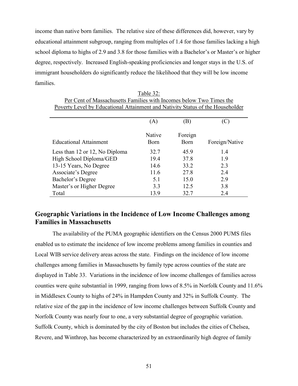income than native born families. The relative size of these differences did, however, vary by educational attainment subgroup, ranging from multiples of 1.4 for those families lacking a high school diploma to highs of 2.9 and 3.8 for those families with a Bachelor's or Master's or higher degree, respectively. Increased English-speaking proficiencies and longer stays in the U.S. of immigrant householders do significantly reduce the likelihood that they will be low income families.

|                                | (A)         | B)      | (C)            |
|--------------------------------|-------------|---------|----------------|
|                                | Native      | Foreign |                |
| <b>Educational Attainment</b>  | <b>Born</b> | Born    | Foreign/Native |
| Less than 12 or 12, No Diploma | 32.7        | 45.9    | 1.4            |
| High School Diploma/GED        | 19.4        | 37.8    | 1.9            |
| 13-15 Years, No Degree         | 14.6        | 33.2    | 2.3            |
| Associate's Degree             | 11.6        | 27.8    | 2.4            |
| Bachelor's Degree              | 5.1         | 15.0    | 2.9            |
| Master's or Higher Degree      | 3.3         | 12.5    | 3.8            |
| Total                          | 13.9        | 32.7    | 2.4            |

| Table 32:                                                                      |  |
|--------------------------------------------------------------------------------|--|
| Per Cent of Massachusetts Families with Incomes below Two Times the            |  |
| Poverty Level by Educational Attainment and Nativity Status of the Householder |  |

# **Geographic Variations in the Incidence of Low Income Challenges among Families in Massachusetts**

The availability of the PUMA geographic identifiers on the Census 2000 PUMS files enabled us to estimate the incidence of low income problems among families in counties and Local WIB service delivery areas across the state. Findings on the incidence of low income challenges among families in Massachusetts by family type across counties of the state are displayed in Table 33. Variations in the incidence of low income challenges of families across counties were quite substantial in 1999, ranging from lows of 8.5% in Norfolk County and 11.6% in Middlesex County to highs of 24% in Hampden County and 32% in Suffolk County. The relative size of the gap in the incidence of low income challenges between Suffolk County and Norfolk County was nearly four to one, a very substantial degree of geographic variation. Suffolk County, which is dominated by the city of Boston but includes the cities of Chelsea, Revere, and Winthrop, has become characterized by an extraordinarily high degree of family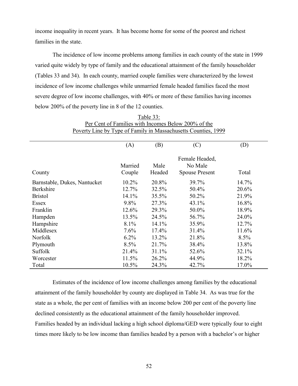income inequality in recent years. It has become home for some of the poorest and richest families in the state.

The incidence of low income problems among families in each county of the state in 1999 varied quite widely by type of family and the educational attainment of the family householder (Tables 33 and 34). In each county, married couple families were characterized by the lowest incidence of low income challenges while unmarried female headed families faced the most severe degree of low income challenges, with 40% or more of these families having incomes below 200% of the poverty line in 8 of the 12 counties.

|                                                                |         |          | Per Cent of Families with Incomes Below 200% of the |       |  |  |
|----------------------------------------------------------------|---------|----------|-----------------------------------------------------|-------|--|--|
| Poverty Line by Type of Family in Massachusetts Counties, 1999 |         |          |                                                     |       |  |  |
|                                                                |         |          |                                                     |       |  |  |
|                                                                | (A)     | (B)      | (C)                                                 | (D)   |  |  |
|                                                                |         |          |                                                     |       |  |  |
|                                                                | Married | Male     | Female Headed,<br>No Male                           |       |  |  |
| County                                                         | Couple  | Headed   | <b>Spouse Present</b>                               | Total |  |  |
|                                                                |         |          |                                                     |       |  |  |
| Barnstable, Dukes, Nantucket                                   | 10.2%   | 20.8%    | 39.7%                                               | 14.7% |  |  |
| Berkshire                                                      | 12.7%   | 32.5%    | 50.4%                                               | 20.6% |  |  |
| <b>Bristol</b>                                                 | 14.1%   | 35.5%    | 50.2%                                               | 21.9% |  |  |
| <b>Essex</b>                                                   | 9.8%    | 27.3%    | 43.1%                                               | 16.8% |  |  |
| Franklin                                                       | 12.6%   | 29.3%    | 50.0%                                               | 18.9% |  |  |
| Hampden                                                        | 13.5%   | 24.5%    | 56.7%                                               | 24.0% |  |  |
| Hampshire                                                      | 8.1%    | 14.1%    | 35.9%                                               | 12.7% |  |  |
| Middlesex                                                      | 7.6%    | $17.4\%$ | 31.4%                                               | 11.6% |  |  |
| Norfolk                                                        | $6.2\%$ | 13.2%    | 21.8%                                               | 8.5%  |  |  |
| Plymouth                                                       | $8.5\%$ | 21.7%    | 38.4%                                               | 13.8% |  |  |
| Suffolk                                                        | 21.4%   | 31.1%    | 52.6%                                               | 32.1% |  |  |
| Worcester                                                      | 11.5%   | 26.2%    | 44.9%                                               | 18.2% |  |  |
| Total                                                          | 10.5%   | 24.3%    | 42.7%                                               | 17.0% |  |  |

Table 33:

Estimates of the incidence of low income challenges among families by the educational attainment of the family householder by county are displayed in Table 34. As was true for the state as a whole, the per cent of families with an income below 200 per cent of the poverty line declined consistently as the educational attainment of the family householder improved. Families headed by an individual lacking a high school diploma/GED were typically four to eight times more likely to be low income than families headed by a person with a bachelor's or higher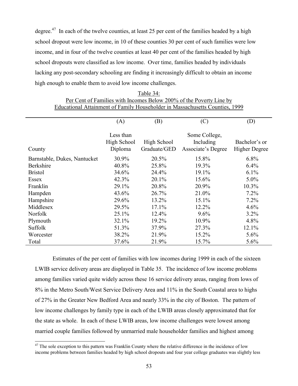degree.<sup>47</sup> In each of the twelve counties, at least 25 per cent of the families headed by a high school dropout were low income, in 10 of these counties 30 per cent of such families were low income, and in four of the twelve counties at least 40 per cent of the families headed by high school dropouts were classified as low income. Over time, families headed by individuals lacking any post-secondary schooling are finding it increasingly difficult to obtain an income high enough to enable them to avoid low income challenges.

|                              | (A)         | (B)          | (C)                | (D)                  |
|------------------------------|-------------|--------------|--------------------|----------------------|
|                              | Less than   |              | Some College,      |                      |
|                              | High School | High School  | Including          | Bachelor's or        |
| County                       | Diploma     | Graduate/GED | Associate's Degree | <b>Higher Degree</b> |
| Barnstable, Dukes, Nantucket | 30.9%       | 20.5%        | 15.8%              | $6.8\%$              |
| <b>Berkshire</b>             | 40.8%       | 25.8%        | 19.3%              | 6.4%                 |
| <b>Bristol</b>               | 34.6%       | 24.4%        | 19.1%              | 6.1%                 |
| Essex                        | 42.3%       | 20.1%        | 15.6%              | $5.0\%$              |
| Franklin                     | 29.1%       | 20.8%        | 20.9%              | 10.3%                |
| Hampden                      | 43.6%       | 26.7%        | 21.0%              | $7.2\%$              |
| Hampshire                    | 29.6%       | 13.2%        | 15.1%              | 7.2%                 |
| Middlesex                    | 29.5%       | 17.1%        | 12.2%              | 4.6%                 |
| <b>Norfolk</b>               | 25.1%       | 12.4%        | 9.6%               | $3.2\%$              |
| Plymouth                     | 32.1%       | 19.2%        | 10.9%              | 4.8%                 |
| Suffolk                      | 51.3%       | 37.9%        | 27.3%              | 12.1%                |
| Worcester                    | 38.2%       | 21.9%        | 15.2%              | 5.6%                 |
| Total                        | 37.6%       | 21.9%        | 15.7%              | 5.6%                 |

| Table 34:                                                                    |
|------------------------------------------------------------------------------|
| Per Cent of Families with Incomes Below 200% of the Poverty Line by          |
| Educational Attainment of Family Householder in Massachusetts Counties, 1999 |

Estimates of the per cent of families with low incomes during 1999 in each of the sixteen LWIB service delivery areas are displayed in Table 35. The incidence of low income problems among families varied quite widely across these 16 service delivery areas, ranging from lows of 8% in the Metro South/West Service Delivery Area and 11% in the South Coastal area to highs of 27% in the Greater New Bedford Area and nearly 33% in the city of Boston. The pattern of low income challenges by family type in each of the LWIB areas closely approximated that for the state as whole. In each of these LWIB areas, low income challenges were lowest among married couple families followed by unmarried male householder families and highest among

l

 $47$  The sole exception to this pattern was Franklin County where the relative difference in the incidence of low income problems between families headed by high school dropouts and four year college graduates was slightly less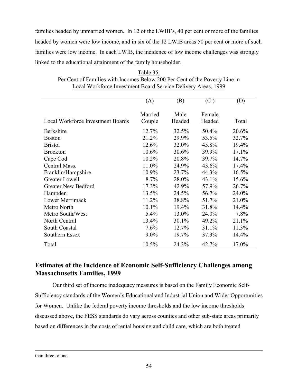families headed by unmarried women. In 12 of the LWIB's, 40 per cent or more of the families headed by women were low income, and in six of the 12 LWIB areas 50 per cent or more of such families were low income. In each LWIB, the incidence of low income challenges was strongly linked to the educational attainment of the family householder.

|                                          | (A)     | (B)      | (C)    | (D)   |
|------------------------------------------|---------|----------|--------|-------|
|                                          | Married | Male     | Female |       |
| <b>Local Workforce Investment Boards</b> | Couple  | Headed   | Headed | Total |
| <b>Berkshire</b>                         | 12.7%   | 32.5%    | 50.4%  | 20.6% |
| <b>Boston</b>                            | 21.2%   | 29.9%    | 53.5%  | 32.7% |
| <b>Bristol</b>                           | 12.6%   | 32.0%    | 45.8%  | 19.4% |
| <b>Brockton</b>                          | 10.6%   | 30.6%    | 39.9%  | 17.1% |
| Cape Cod                                 | 10.2%   | 20.8%    | 39.7%  | 14.7% |
| Central Mass.                            | 11.0%   | 24.9%    | 43.6%  | 17.4% |
| Franklin/Hampshire                       | 10.9%   | 23.7%    | 44.3%  | 16.5% |
| <b>Greater Lowell</b>                    | 8.7%    | 28.0%    | 43.1%  | 15.6% |
| <b>Greater New Bedford</b>               | 17.3%   | 42.9%    | 57.9%  | 26.7% |
| Hampden                                  | 13.5%   | 24.5%    | 56.7%  | 24.0% |
| Lower Merrimack                          | 11.2%   | 38.8%    | 51.7%  | 21.0% |
| Metro North                              | 10.1%   | 19.4%    | 31.8%  | 14.4% |
| Metro South/West                         | 5.4%    | 13.0%    | 24.0%  | 7.8%  |
| North Central                            | 13.4%   | $30.1\%$ | 49.2%  | 21.1% |
| South Coastal                            | 7.6%    | 12.7%    | 31.1%  | 11.3% |
| Southern Essex                           | $9.0\%$ | 19.7%    | 37.3%  | 14.4% |
| Total                                    | 10.5%   | 24.3%    | 42.7%  | 17.0% |

Table 35: Per Cent of Families with Incomes Below 200 Per Cent of the Poverty Line in Local Workforce Investment Board Service Delivery Areas, 1999

# **Estimates of the Incidence of Economic Self-Sufficiency Challenges among Massachusetts Families, 1999**

Our third set of income inadequacy measures is based on the Family Economic Self-Sufficiency standards of the Women's Educational and Industrial Union and Wider Opportunities for Women. Unlike the federal poverty income thresholds and the low income thresholds discussed above, the FESS standards do vary across counties and other sub-state areas primarily based on differences in the costs of rental housing and child care, which are both treated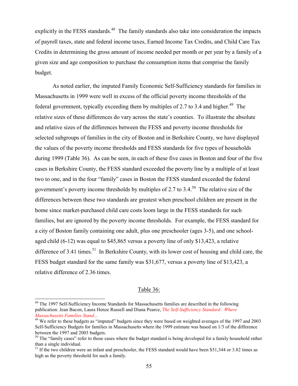explicitly in the FESS standards.<sup>48</sup> The family standards also take into consideration the impacts of payroll taxes, state and federal income taxes, Earned Income Tax Credits, and Child Care Tax Credits in determining the gross amount of income needed per month or per year by a family of a given size and age composition to purchase the consumption items that comprise the family budget.

As noted earlier, the imputed Family Economic Self-Sufficiency standards for families in Massachusetts in 1999 were well in excess of the official poverty income thresholds of the federal government, typically exceeding them by multiples of 2.7 to 3.4 and higher.<sup>49</sup> The relative sizes of these differences do vary across the state's counties. To illustrate the absolute and relative sizes of the differences between the FESS and poverty income thresholds for selected subgroups of families in the city of Boston and in Berkshire County, we have displayed the values of the poverty income thresholds and FESS standards for five types of households during 1999 (Table 36). As can be seen, in each of these five cases in Boston and four of the five cases in Berkshire County, the FESS standard exceeded the poverty line by a multiple of at least two to one, and in the four "family" cases in Boston the FESS standard exceeded the federal government's poverty income thresholds by multiples of 2.7 to  $3.4^{50}$ . The relative size of the differences between these two standards are greatest when preschool children are present in the home since market-purchased child care costs loom large in the FESS standards for such families, but are ignored by the poverty income thresholds. For example, the FESS standard for a city of Boston family containing one adult, plus one preschooler (ages 3-5), and one schoolaged child (6-12) was equal to \$45,865 versus a poverty line of only \$13,423, a relative difference of 3.41 times.<sup>51</sup> In Berkshire County, with its lower cost of housing and child care, the FESS budget standard for the same family was \$31,677, versus a poverty line of \$13,423, a relative difference of 2.36 times.

#### Table 36:

<sup>&</sup>lt;sup>48</sup> The 1997 Self-Sufficiency Income Standards for Massachusetts families are described in the following publication: Jean Bacon, Laura Henze Russell and Diana Pearce, *The Self-Sufficiency Standard: Where Massachusetts Families Stand…*

 $49$  We refer to these budgets as "imputed" budgets since they were based on weighted averages of the 1997 and 2003 Self-Sufficiency Budgets for families in Massachusetts where the 1999 estimate was based on 1/3 of the difference between the 1997 and 2003 budgets.

<sup>&</sup>lt;sup>50</sup> The "family cases" refer to those cases where the budget standard is being developed for a family household rather than a single individual.

<sup>&</sup>lt;sup>51</sup> If the two children were an infant and preschooler, the FESS standard would have been \$51,344 or 3.82 times as high as the poverty threshold for such a family.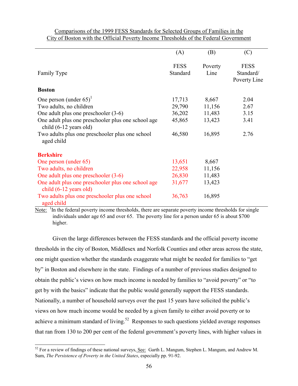|                                                                                        | (A)                     | (B)             | (C)                                      |
|----------------------------------------------------------------------------------------|-------------------------|-----------------|------------------------------------------|
| Family Type                                                                            | <b>FESS</b><br>Standard | Poverty<br>Line | <b>FESS</b><br>Standard/<br>Poverty Line |
| <b>Boston</b>                                                                          |                         |                 |                                          |
| One person (under $65$ ) <sup>1</sup>                                                  | 17,713                  | 8,667           | 2.04                                     |
| Two adults, no children                                                                | 29,790                  | 11,156          | 2.67                                     |
| One adult plus one preschooler $(3-6)$                                                 | 36,202                  | 11,483          | 3.15                                     |
| One adult plus one preschooler plus one school age<br>child $(6-12 \text{ years old})$ | 45,865                  | 13,423          | 3.41                                     |
| Two adults plus one preschooler plus one school<br>aged child                          | 46,580                  | 16,895          | 2.76                                     |
| <b>Berkshire</b>                                                                       |                         |                 |                                          |
| One person (under 65)                                                                  | 13,651                  | 8,667           |                                          |
| Two adults, no children                                                                | 22,958                  | 11,156          |                                          |
| One adult plus one preschooler (3-6)                                                   | 26,830                  | 11,483          |                                          |
| One adult plus one preschooler plus one school age<br>child $(6-12 \text{ years old})$ | 31,677                  | 13,423          |                                          |
| Two adults plus one preschooler plus one school<br>aged child                          | 36,763                  | 16,895          |                                          |

Comparisons of the 1999 FESS Standards for Selected Groups of Families in the City of Boston with the Official Poverty Income Thresholds of the Federal Government

Note: <sup>1</sup>In the federal poverty income thresholds, there are separate poverty income thresholds for single individuals under age 65 and over 65. The poverty line for a person under 65 is about \$700 higher.

Given the large differences between the FESS standards and the official poverty income thresholds in the city of Boston, Middlesex and Norfolk Counties and other areas across the state, one might question whether the standards exaggerate what might be needed for families to "get by" in Boston and elsewhere in the state. Findings of a number of previous studies designed to obtain the public's views on how much income is needed by families to "avoid poverty" or "to get by with the basics" indicate that the public would generally support the FESS standards. Nationally, a number of household surveys over the past 15 years have solicited the public's views on how much income would be needed by a given family to either avoid poverty or to achieve a minimum standard of living.<sup>52</sup> Responses to such questions yielded average responses that ran from 130 to 200 per cent of the federal government's poverty lines, with higher values in

<sup>&</sup>lt;sup>52</sup> For a review of findings of these national surveys, See: Garth L. Mangum, Stephen L. Mangum, and Andrew M. Sum, *The Persistence of Poverty in the United States*, especially pp. 91-92.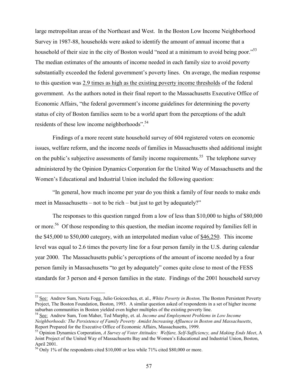large metropolitan areas of the Northeast and West. In the Boston Low Income Neighborhood Survey in 1987-88, households were asked to identify the amount of annual income that a household of their size in the city of Boston would "need at a minimum to avoid being poor."<sup>53</sup> The median estimates of the amounts of income needed in each family size to avoid poverty substantially exceeded the federal government's poverty lines. On average, the median response to this question was 2.9 times as high as the existing poverty income thresholds of the federal government. As the authors noted in their final report to the Massachusetts Executive Office of Economic Affairs, "the federal government's income guidelines for determining the poverty status of city of Boston families seem to be a world apart from the perceptions of the adult residents of these low income neighborhoods".<sup>54</sup>

Findings of a more recent state household survey of 604 registered voters on economic issues, welfare reform, and the income needs of families in Massachusetts shed additional insight on the public's subjective assessments of family income requirements.<sup>55</sup> The telephone survey administered by the Opinion Dynamics Corporation for the United Way of Massachusetts and the Women's Educational and Industrial Union included the following question:

"In general, how much income per year do you think a family of four needs to make ends meet in Massachusetts – not to be rich – but just to get by adequately?"

The responses to this question ranged from a low of less than \$10,000 to highs of \$80,000 or more.<sup>56</sup> Of those responding to this question, the median income required by families fell in the \$45,000 to \$50,000 category, with an interpolated median value of \$46,250. This income level was equal to 2.6 times the poverty line for a four person family in the U.S. during calendar year 2000. The Massachusetts public's perceptions of the amount of income needed by a four person family in Massachusetts "to get by adequately" comes quite close to most of the FESS standards for 3 person and 4 person families in the state. Findings of the 2001 household survey

l

<sup>53</sup> See: Andrew Sum, Neeta Fogg, Julio Goicoechea, et. al., *White Poverty in Boston,* The Boston Persistent Poverty Project, The Boston Foundation, Boston, 1993. A similar question asked of respondents in a set of higher income suburban communities in Boston yielded even higher multiples of the existing poverty line.

<sup>54</sup> See: Andrew Sum, Tom Maher, Ted Murphy, et. al. *Income and Employment Problems in Low Income Neighborhoods: The Persistence of Family Poverty Amidst Increasing Affluence in Boston and Massachusetts*, Report Prepared for the Executive Office of Economic Affairs, Massachusetts, 1999.

<sup>55</sup> Opinion Dynamics Corporation, *A Survey of Voter Attitudes: Welfare, Self-Sufficiency, and Making Ends Meet*, A Joint Project of the United Way of Massachusetts Bay and the Women's Educational and Industrial Union, Boston, April 2001.

<sup>&</sup>lt;sup>56</sup> Only 1% of the respondents cited \$10,000 or less while 71% cited \$80,000 or more.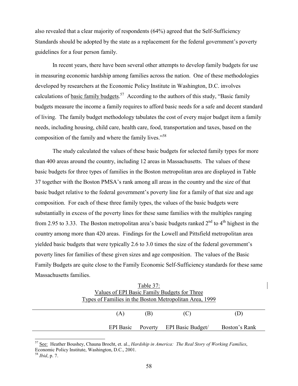also revealed that a clear majority of respondents (64%) agreed that the Self-Sufficiency Standards should be adopted by the state as a replacement for the federal government's poverty guidelines for a four person family.

In recent years, there have been several other attempts to develop family budgets for use in measuring economic hardship among families across the nation. One of these methodologies developed by researchers at the Economic Policy Institute in Washington, D.C. involves calculations of basic family budgets.<sup>57</sup> According to the authors of this study, "Basic family budgets measure the income a family requires to afford basic needs for a safe and decent standard of living. The family budget methodology tabulates the cost of every major budget item a family needs, including housing, child care, health care, food, transportation and taxes, based on the composition of the family and where the family lives."58

The study calculated the values of these basic budgets for selected family types for more than 400 areas around the country, including 12 areas in Massachusetts. The values of these basic budgets for three types of families in the Boston metropolitan area are displayed in Table 37 together with the Boston PMSA's rank among all areas in the country and the size of that basic budget relative to the federal government's poverty line for a family of that size and age composition. For each of these three family types, the values of the basic budgets were substantially in excess of the poverty lines for these same families with the multiples ranging from 2.95 to 3.33. The Boston metropolitan area's basic budgets ranked  $2<sup>nd</sup>$  to  $4<sup>th</sup>$  highest in the country among more than 420 areas. Findings for the Lowell and Pittsfield metropolitan area yielded basic budgets that were typically 2.6 to 3.0 times the size of the federal government's poverty lines for families of these given sizes and age composition. The values of the Basic Family Budgets are quite close to the Family Economic Self-Sufficiency standards for these same Massachusetts families.

| Table 37:<br>Values of EPI Basic Family Budgets for Three |         |                   |               |  |
|-----------------------------------------------------------|---------|-------------------|---------------|--|
| Types of Families in the Boston Metropolitan Area, 1999   |         |                   |               |  |
| (A)                                                       | (B)     | (C)               | (D)           |  |
| <b>EPI</b> Basic                                          | Poverty | EPI Basic Budget/ | Boston's Rank |  |

<sup>57</sup> See: Heather Boushey, Chauna Brocht, et. al., *Hardship in America: The Real Story of Working Families*, Economic Policy Institute, Washington, D.C., 2001.

<sup>58</sup> *Ibid*, p. 7.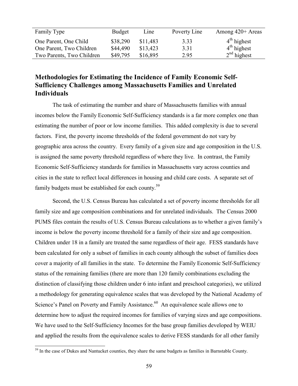| Family Type               | <b>Budget</b> | Line     | Poverty Line | Among 420+ Areas |
|---------------------------|---------------|----------|--------------|------------------|
| One Parent, One Child     | \$38,290      | \$11,483 | 3.33         | $4th$ highest    |
| One Parent, Two Children  | \$44,490      | \$13,423 | 3.31         | $4th$ highest    |
| Two Parents, Two Children | \$49,795      | \$16,895 | 2.95         | $2nd$ highest    |

# **Methodologies for Estimating the Incidence of Family Economic Self-Sufficiency Challenges among Massachusetts Families and Unrelated Individuals**

The task of estimating the number and share of Massachusetts families with annual incomes below the Family Economic Self-Sufficiency standards is a far more complex one than estimating the number of poor or low income families. This added complexity is due to several factors. First, the poverty income thresholds of the federal government do not vary by geographic area across the country. Every family of a given size and age composition in the U.S. is assigned the same poverty threshold regardless of where they live. In contrast, the Family Economic Self-Sufficiency standards for families in Massachusetts vary across counties and cities in the state to reflect local differences in housing and child care costs. A separate set of family budgets must be established for each county.<sup>59</sup>

Second, the U.S. Census Bureau has calculated a set of poverty income thresholds for all family size and age composition combinations and for unrelated individuals. The Census 2000 PUMS files contain the results of U.S. Census Bureau calculations as to whether a given family's income is below the poverty income threshold for a family of their size and age composition. Children under 18 in a family are treated the same regardless of their age. FESS standards have been calculated for only a subset of families in each county although the subset of families does cover a majority of all families in the state. To determine the Family Economic Self-Sufficiency status of the remaining families (there are more than 120 family combinations excluding the distinction of classifying those children under 6 into infant and preschool categories), we utilized a methodology for generating equivalence scales that was developed by the National Academy of Science's Panel on Poverty and Family Assistance.<sup>60</sup> An equivalence scale allows one to determine how to adjust the required incomes for families of varying sizes and age compositions. We have used to the Self-Sufficiency Incomes for the base group families developed by WEIU and applied the results from the equivalence scales to derive FESS standards for all other family

<sup>&</sup>lt;sup>59</sup> In the case of Dukes and Nantucket counties, they share the same budgets as families in Barnstable County.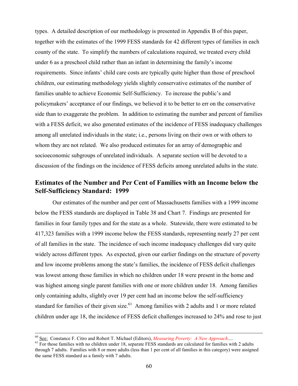types. A detailed description of our methodology is presented in Appendix B of this paper, together with the estimates of the 1999 FESS standards for 42 different types of families in each county of the state. To simplify the numbers of calculations required, we treated every child under 6 as a preschool child rather than an infant in determining the family's income requirements. Since infants' child care costs are typically quite higher than those of preschool children, our estimating methodology yields slightly conservative estimates of the number of families unable to achieve Economic Self-Sufficiency. To increase the public's and policymakers' acceptance of our findings, we believed it to be better to err on the conservative side than to exaggerate the problem. In addition to estimating the number and percent of families with a FESS deficit, we also generated estimates of the incidence of FESS inadequacy challenges among all unrelated individuals in the state; i.e., persons living on their own or with others to whom they are not related. We also produced estimates for an array of demographic and socioeconomic subgroups of unrelated individuals. A separate section will be devoted to a discussion of the findings on the incidence of FESS deficits among unrelated adults in the state.

## **Estimates of the Number and Per Cent of Families with an Income below the Self-Sufficiency Standard: 1999**

Our estimates of the number and per cent of Massachusetts families with a 1999 income below the FESS standards are displayed in Table 38 and Chart 7. Findings are presented for families in four family types and for the state as a whole. Statewide, there were estimated to be 417,323 families with a 1999 income below the FESS standards, representing nearly 27 per cent of all families in the state. The incidence of such income inadequacy challenges did vary quite widely across different types. As expected, given our earlier findings on the structure of poverty and low income problems among the state's families, the incidence of FESS deficit challenges was lowest among those families in which no children under 18 were present in the home and was highest among single parent families with one or more children under 18. Among families only containing adults, slightly over 19 per cent had an income below the self-sufficiency standard for families of their given size.<sup>61</sup> Among families with 2 adults and 1 or more related children under age 18, the incidence of FESS deficit challenges increased to 24% and rose to just

 <sup>60</sup> See: Constance F. Citro and Robert T. Michael (Editors), *Measuring Poverty: A New Approach….*

 $61$  For those families with no children under 18, separate FESS standards are calculated for families with 2 adults through 7 adults. Families with 8 or more adults (less than 1 per cent of all families in this category) were assigned the same FESS standard as a family with 7 adults.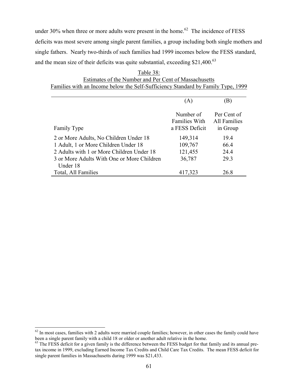under 30% when three or more adults were present in the home.<sup>62</sup> The incidence of FESS deficits was most severe among single parent families, a group including both single mothers and single fathers. Nearly two-thirds of such families had 1999 incomes below the FESS standard, and the mean size of their deficits was quite substantial, exceeding \$21,400.<sup>63</sup>

| 100100000                                                                        |     |     |
|----------------------------------------------------------------------------------|-----|-----|
| Estimates of the Number and Per Cent of Massachusetts                            |     |     |
| Families with an Income below the Self-Sufficiency Standard by Family Type, 1999 |     |     |
|                                                                                  | (A) | (B) |
|                                                                                  |     |     |

Table 38:

| Family Type                                | Number of<br>Families With<br>a FESS Deficit | Per Cent of<br>All Families<br>in Group |
|--------------------------------------------|----------------------------------------------|-----------------------------------------|
| 2 or More Adults, No Children Under 18     | 149,314                                      | 19.4                                    |
| 1 Adult, 1 or More Children Under 18       | 109,767                                      | 66.4                                    |
| 2 Adults with 1 or More Children Under 18  | 121,455                                      | 24.4                                    |
| 3 or More Adults With One or More Children | 36,787                                       | 29.3                                    |
| Under 18                                   |                                              |                                         |
| Total, All Families                        | 417,323                                      | 26.8                                    |

l

 $62$  In most cases, families with 2 adults were married couple families; however, in other cases the family could have been a single parent family with a child 18 or older or another adult relative in the home.

<sup>&</sup>lt;sup>63</sup> The FESS deficit for a given family is the difference between the FESS budget for that family and its annual pretax income in 1999, excluding Earned Income Tax Credits and Child Care Tax Credits. The mean FESS deficit for single parent families in Massachusetts during 1999 was \$21,433.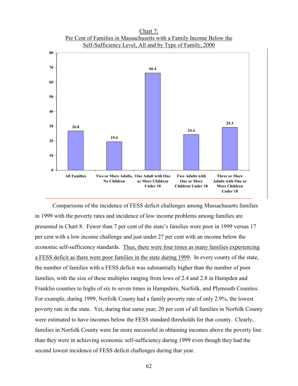

Chart 7: Per Cent of Families in Massachusetts with a Family Income Below the

Comparisons of the incidence of FESS deficit challenges among Massachusetts families in 1999 with the poverty rates and incidence of low income problems among families are presented in Chart 8. Fewer than 7 per cent of the state's families were poor in 1999 versus 17 per cent with a low income challenge and just under 27 per cent with an income below the economic self-sufficiency standards. Thus, there were four times as many families experiencing a FESS deficit as there were poor families in the state during 1999. In every county of the state, the number of families with a FESS deficit was substantially higher than the number of poor families, with the size of these multiples ranging from lows of 2.4 and 2.8 in Hampden and Franklin counties to highs of six to seven times in Hampshire, Norfolk, and Plymouth Counties. For example, during 1999, Norfolk County had a family poverty rate of only 2.9%, the lowest poverty rate in the state. Yet, during that same year, 20 per cent of all families in Norfolk County were estimated to have incomes below the FESS standard thresholds for that county. Clearly, families in Norfolk County were far more successful in obtaining incomes above the poverty line than they were in achieving economic self-sufficiency during 1999 even though they had the second lowest incidence of FESS deficit challenges during that year.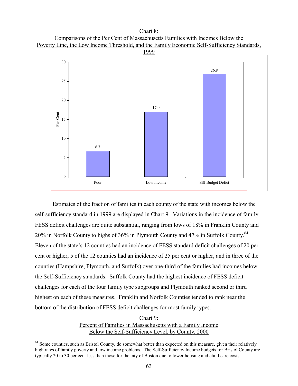Chart 8: Comparisons of the Per Cent of Massachusetts Families with Incomes Below the Poverty Line, the Low Income Threshold, and the Family Economic Self-Sufficiency Standards,



Estimates of the fraction of families in each county of the state with incomes below the self-sufficiency standard in 1999 are displayed in Chart 9. Variations in the incidence of family FESS deficit challenges are quite substantial, ranging from lows of 18% in Franklin County and 20% in Norfolk County to highs of 36% in Plymouth County and 47% in Suffolk County.<sup>64</sup> Eleven of the state's 12 counties had an incidence of FESS standard deficit challenges of 20 per cent or higher, 5 of the 12 counties had an incidence of 25 per cent or higher, and in three of the counties (Hampshire, Plymouth, and Suffolk) over one-third of the families had incomes below the Self-Sufficiency standards. Suffolk County had the highest incidence of FESS deficit challenges for each of the four family type subgroups and Plymouth ranked second or third highest on each of these measures. Franklin and Norfolk Counties tended to rank near the bottom of the distribution of FESS deficit challenges for most family types.

> Chart 9: Percent of Families in Massachusetts with a Family Income Below the Self-Sufficiency Level, by County, 2000

<sup>&</sup>lt;sup>64</sup> Some counties, such as Bristol County, do somewhat better than expected on this measure, given their relatively high rates of family poverty and low income problems. The Self-Sufficiency Income budgets for Bristol County are typically 20 to 30 per cent less than those for the city of Boston due to lower housing and child care costs.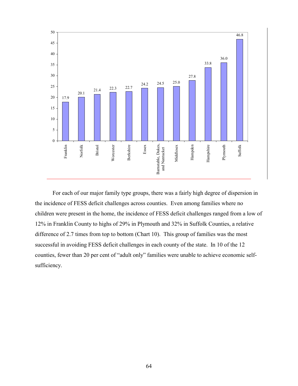

For each of our major family type groups, there was a fairly high degree of dispersion in the incidence of FESS deficit challenges across counties. Even among families where no children were present in the home, the incidence of FESS deficit challenges ranged from a low of 12% in Franklin County to highs of 29% in Plymouth and 32% in Suffolk Counties, a relative difference of 2.7 times from top to bottom (Chart 10). This group of families was the most successful in avoiding FESS deficit challenges in each county of the state. In 10 of the 12 counties, fewer than 20 per cent of "adult only" families were unable to achieve economic selfsufficiency.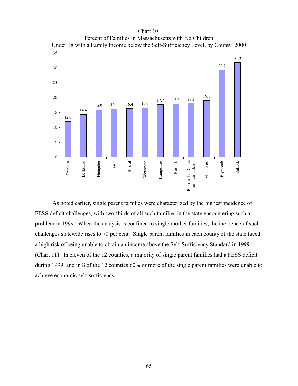

Chart  $10$ : Percent of Families in Massachusetts with No Children Under 18 with a Family Income below the Self-Sufficiency Level, by County, 2000

As noted earlier, single parent families were characterized by the highest incidence of FESS deficit challenges, with two-thirds of all such families in the state encountering such a problem in 1999. When the analysis is confined to single mother families, the incidence of such challenges statewide rises to 70 per cent. Single parent families in each county of the state faced a high risk of being unable to obtain an income above the Self-Sufficiency Standard in 1999 (Chart 11). In eleven of the 12 counties, a majority of single parent families had a FESS deficit during 1999, and in 8 of the 12 counties 60% or more of the single parent families were unable to achieve economic self-sufficiency.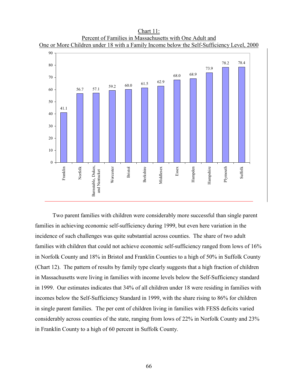

Chart  $11$ : Percent of Families in Massachusetts with One Adult and One or More Children under 18 with a Family Income below the Self-Sufficiency Level, 2000

Two parent families with children were considerably more successful than single parent families in achieving economic self-sufficiency during 1999, but even here variation in the incidence of such challenges was quite substantial across counties. The share of two adult families with children that could not achieve economic self-sufficiency ranged from lows of 16% in Norfolk County and 18% in Bristol and Franklin Counties to a high of 50% in Suffolk County (Chart 12). The pattern of results by family type clearly suggests that a high fraction of children in Massachusetts were living in families with income levels below the Self-Sufficiency standard in 1999. Our estimates indicates that 34% of all children under 18 were residing in families with incomes below the Self-Sufficiency Standard in 1999, with the share rising to 86% for children in single parent families. The per cent of children living in families with FESS deficits varied considerably across counties of the state, ranging from lows of 22% in Norfolk County and 23% in Franklin County to a high of 60 percent in Suffolk County.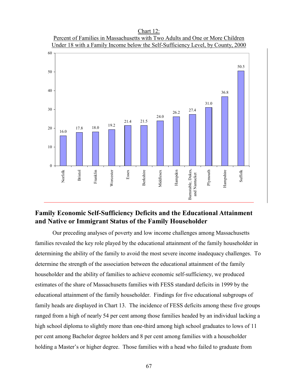

Chart 12: Percent of Families in Massachusetts with Two Adults and One or More Children Under 18 with a Family Income below the Self-Sufficiency Level, by County, 2000

## **Family Economic Self-Sufficiency Deficits and the Educational Attainment and Native or Immigrant Status of the Family Householder**

Our preceding analyses of poverty and low income challenges among Massachusetts families revealed the key role played by the educational attainment of the family householder in determining the ability of the family to avoid the most severe income inadequacy challenges. To determine the strength of the association between the educational attainment of the family householder and the ability of families to achieve economic self-sufficiency, we produced estimates of the share of Massachusetts families with FESS standard deficits in 1999 by the educational attainment of the family householder. Findings for five educational subgroups of family heads are displayed in Chart 13. The incidence of FESS deficits among these five groups ranged from a high of nearly 54 per cent among those families headed by an individual lacking a high school diploma to slightly more than one-third among high school graduates to lows of 11 per cent among Bachelor degree holders and 8 per cent among families with a householder holding a Master's or higher degree. Those families with a head who failed to graduate from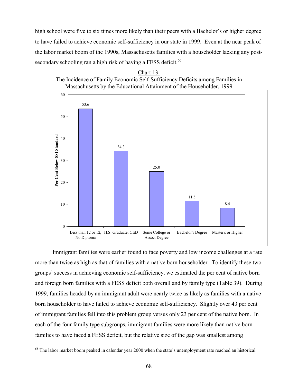high school were five to six times more likely than their peers with a Bachelor's or higher degree to have failed to achieve economic self-sufficiency in our state in 1999. Even at the near peak of the labor market boom of the 1990s, Massachusetts families with a householder lacking any postsecondary schooling ran a high risk of having a FESS deficit.<sup>65</sup>



Immigrant families were earlier found to face poverty and low income challenges at a rate more than twice as high as that of families with a native born householder. To identify these two groups' success in achieving economic self-sufficiency, we estimated the per cent of native born and foreign born families with a FESS deficit both overall and by family type (Table 39). During 1999, families headed by an immigrant adult were nearly twice as likely as families with a native born householder to have failed to achieve economic self-sufficiency. Slightly over 43 per cent of immigrant families fell into this problem group versus only 23 per cent of the native born. In each of the four family type subgroups, immigrant families were more likely than native born families to have faced a FESS deficit, but the relative size of the gap was smallest among

l

 $65$  The labor market boom peaked in calendar year 2000 when the state's unemployment rate reached an historical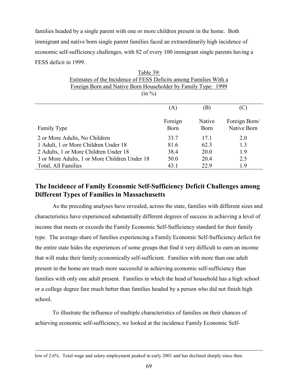families headed by a single parent with one or more children present in the home. Both immigrant and native born single parent families faced an extraordinarily high incidence of economic self-sufficiency challenges, with 82 of every 100 immigrant single parents having a FESS deficit in 1999.

| Table 39:<br>Estimates of the Incidence of FESS Deficits among Families With a<br>Foreign Born and Native Born Householder by Family Type: 1999<br>(in %) |         |        |               |  |
|-----------------------------------------------------------------------------------------------------------------------------------------------------------|---------|--------|---------------|--|
|                                                                                                                                                           |         |        |               |  |
|                                                                                                                                                           | (A)     | (B)    | (C)           |  |
|                                                                                                                                                           | Foreign | Native | Foreign Born/ |  |
| <b>Family Type</b>                                                                                                                                        | Born    | Born   | Native Born   |  |
| 2 or More Adults, No Children                                                                                                                             | 33.7    | 17.1   | 2.0           |  |
| 1 Adult, 1 or More Children Under 18                                                                                                                      | 81.6    | 62.3   | 1.3           |  |
| 2 Adults, 1 or More Children Under 18                                                                                                                     | 38.4    | 20.0   | 1.9           |  |
| 3 or More Adults, 1 or More Children Under 18                                                                                                             | 50.0    | 20.4   | 2.5           |  |
| Total, All Families                                                                                                                                       | 43.1    | 22.9   | 1.9           |  |

# **The Incidence of Family Economic Self-Sufficiency Deficit Challenges among Different Types of Families in Massachusetts**

As the preceding analyses have revealed, across the state, families with different sizes and characteristics have experienced substantially different degrees of success in achieving a level of income that meets or exceeds the Family Economic Self-Sufficiency standard for their family type. The average share of families experiencing a Family Economic Self-Sufficiency deficit for the entire state hides the experiences of some groups that find it very difficult to earn an income that will make their family economically self-sufficient. Families with more than one adult present in the home are much more successful in achieving economic self-sufficiency than families with only one adult present. Families in which the head of household has a high school or a college degree fare much better than families headed by a person who did not finish high school.

To illustrate the influence of multiple characteristics of families on their chances of achieving economic self-sufficiency, we looked at the incidence Family Economic Self-

low of 2.6%. Total wage and salary employment peaked in early 2001 and has declined sharply since then.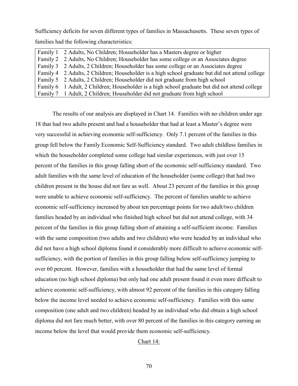Sufficiency deficits for seven different types of families in Massachusetts. These seven types of families had the following characteristics:

| Family 1 2 Adults, No Children; Householder has a Masters degree or higher                      |
|-------------------------------------------------------------------------------------------------|
| Family 2 2 Adults, No Children; Householder has some college or an Associates degree            |
| Family 3 2 Adults, 2 Children; Householder has some college or an Associates degree             |
| Family 4 2 Adults, 2 Children; Householder is a high school graduate but did not attend college |
| Family 5 2 Adults, 2 Children; Householder did not graduate from high school                    |
| Family 6 1 Adult, 2 Children; Householder is a high school graduate but did not attend college  |
| Family 7 1 Adult, 2 Children; Householder did not graduate from high school                     |

The results of our analysis are displayed in Chart 14. Families with no children under age 18 that had two adults present and had a householder that had at least a Master's degree were very successful in achieving economic self-sufficiency. Only 7.1 percent of the families in this group fell below the Family Economic Self-Sufficiency standard. Two adult childless families in which the householder completed some college had similar experiences, with just over 15 percent of the families in this group falling short of the economic self-sufficiency standard. Two adult families with the same level of education of the householder (some college) that had two children present in the house did not fare as well. About 23 percent of the families in this group were unable to achieve economic self-sufficiency. The percent of families unable to achieve economic self-sufficiency increased by about ten percentage points for two adult/two children families headed by an individual who finished high school but did not attend college, with 34 percent of the families in this group falling short of attaining a self-sufficient income. Families with the same composition (two adults and two children) who were headed by an individual who did not have a high school diploma found it considerably more difficult to achieve economic selfsufficiency, with the portion of families in this group falling below self-sufficiency jumping to over 60 percent. However, families with a householder that had the same level of formal education (no high school diploma) but only had one adult present found it even more difficult to achieve economic self-sufficiency, with almost 92 percent of the families in this category falling below the income level needed to achieve economic self-sufficiency. Families with this same composition (one adult and two children) headed by an individual who did obtain a high school diploma did not fare much better, with over 80 percent of the families in this category earning an income below the level that would provide them economic self-sufficiency.

#### Chart 14:

70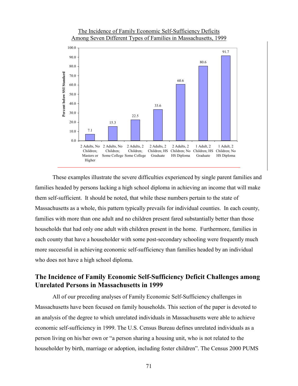### The Incidence of Family Economic Self-Sufficiency Deficits Among Seven Different Types of Families in Massachusetts, 1999 100.0 91.7 90.0 80.6 80.0 Percent below SSI Standard **Percent below SSI Standard** 70.0 60.6 60.0 50.0 40.0

33.6

2 Adults, 2

Graduate

Children; HS Children; No Children; HS Children; No

1 Adult, 2 Graduate

1 Adult, 2 HS Diploma

2 Adults, 2 HS Diploma

7.1

2 Adults, No Children; Masters or Higher

0.0 10.0 20.0 30.0

15.3

2 Adults, No Children;

Some College Some College

22.5

2 Adults, 2 Children;

These examples illustrate the severe difficulties experienced by single parent families and families headed by persons lacking a high school diploma in achieving an income that will make them self-sufficient. It should be noted, that while these numbers pertain to the state of Massachusetts as a whole, this pattern typically prevails for individual counties. In each county, families with more than one adult and no children present fared substantially better than those households that had only one adult with children present in the home. Furthermore, families in each county that have a householder with some post-secondary schooling were frequently much more successful in achieving economic self-sufficiency than families headed by an individual who does not have a high school diploma.

# **The Incidence of Family Economic Self-Sufficiency Deficit Challenges among Unrelated Persons in Massachusetts in 1999**

All of our preceding analyses of Family Economic Self-Sufficiency challenges in Massachusetts have been focused on family households. This section of the paper is devoted to an analysis of the degree to which unrelated individuals in Massachusetts were able to achieve economic self-sufficiency in 1999. The U.S. Census Bureau defines unrelated individuals as a person living on his/her own or "a person sharing a housing unit, who is not related to the householder by birth, marriage or adoption, including foster children". The Census 2000 PUMS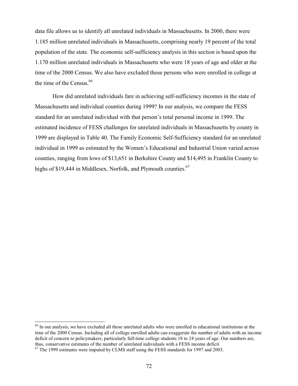data file allows us to identify all unrelated individuals in Massachusetts. In 2000, there were 1.185 million unrelated individuals in Massachusetts, comprising nearly 19 percent of the total population of the state. The economic self-sufficiency analysis in this section is based upon the 1.170 million unrelated individuals in Massachusetts who were 18 years of age and older at the time of the 2000 Census. We also have excluded those persons who were enrolled in college at the time of the Census.<sup>66</sup>

How did unrelated individuals fare in achieving self-sufficiency incomes in the state of Massachusetts and individual counties during 1999? In our analysis, we compare the FESS standard for an unrelated individual with that person's total personal income in 1999. The estimated incidence of FESS challenges for unrelated individuals in Massachusetts by county in 1999 are displayed in Table 40. The Family Economic Self-Sufficiency standard for an unrelated individual in 1999 as estimated by the Women's Educational and Industrial Union varied across counties, ranging from lows of \$13,651 in Berkshire County and \$14,495 in Franklin County to highs of  $$19,444$  in Middlesex, Norfolk, and Plymouth counties.<sup>67</sup>

<sup>&</sup>lt;sup>66</sup> In our analysis, we have excluded all those unrelated adults who were enrolled in educational institutions at the time of the 2000 Census. Including all of college enrolled adults can exaggerate the number of adults with an income deficit of concern to policymakers, particularly full-time college students 18 to 24 years of age. Our numbers are, thus, conservative estimates of the number of unrelated individuals with a FESS income deficit.

<sup>&</sup>lt;sup>67</sup> The 1999 estimates were imputed by CLMS staff using the FESS standards for 1997 and 2003.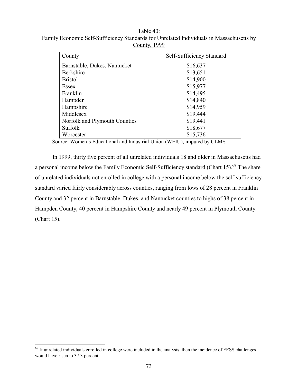| County                        | Self-Sufficiency Standard |
|-------------------------------|---------------------------|
| Barnstable, Dukes, Nantucket  | \$16,637                  |
| Berkshire                     | \$13,651                  |
| <b>Bristol</b>                | \$14,900                  |
| Essex                         | \$15,977                  |
| Franklin                      | \$14,495                  |
| Hampden                       | \$14,840                  |
| Hampshire                     | \$14,959                  |
| Middlesex                     | \$19,444                  |
| Norfolk and Plymouth Counties | \$19,441                  |
| Suffolk                       | \$18,677                  |
| Worcester                     | \$15,736                  |

Table 40: Family Economic Self-Sufficiency Standards for Unrelated Individuals in Massachusetts by County, 1999

Source: Women's Educational and Industrial Union (WEIU), imputed by CLMS.

In 1999, thirty five percent of all unrelated individuals 18 and older in Massachusetts had a personal income below the Family Economic Self-Sufficiency standard (Chart 15).<sup>68</sup> The share of unrelated individuals not enrolled in college with a personal income below the self-sufficiency standard varied fairly considerably across counties, ranging from lows of 28 percent in Franklin County and 32 percent in Barnstable, Dukes, and Nantucket counties to highs of 38 percent in Hampden County, 40 percent in Hampshire County and nearly 49 percent in Plymouth County. (Chart 15).

<sup>&</sup>lt;sup>68</sup> If unrelated individuals enrolled in college were included in the analysis, then the incidence of FESS challenges would have risen to 37.3 percent.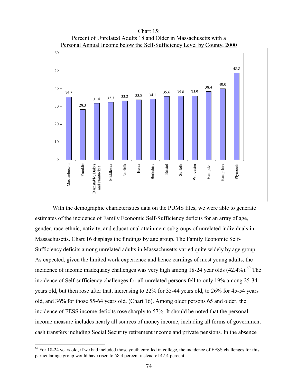

Chart 15: Percent of Unrelated Adults 18 and Older in Massachusetts with a Personal Annual Income below the Self-Sufficiency Level by County, 2000

With the demographic characteristics data on the PUMS files, we were able to generate estimates of the incidence of Family Economic Self-Sufficiency deficits for an array of age, gender, race-ethnic, nativity, and educational attainment subgroups of unrelated individuals in Massachusetts. Chart 16 displays the findings by age group. The Family Economic Self-Sufficiency deficits among unrelated adults in Massachusetts varied quite widely by age group. As expected, given the limited work experience and hence earnings of most young adults, the incidence of income inadequacy challenges was very high among  $18-24$  year olds  $(42.4\%)$ .<sup>69</sup> The incidence of Self-sufficiency challenges for all unrelated persons fell to only 19% among 25-34 years old, but then rose after that, increasing to 22% for 35-44 years old, to 26% for 45-54 years old, and 36% for those 55-64 years old. (Chart 16). Among older persons 65 and older, the incidence of FESS income deficits rose sharply to 57%. It should be noted that the personal income measure includes nearly all sources of money income, including all forms of government cash transfers including Social Security retirement income and private pensions. In the absence

 $69$  For 18-24 years old, if we had included those youth enrolled in college, the incidence of FESS challenges for this particular age group would have risen to 58.4 percent instead of 42.4 percent.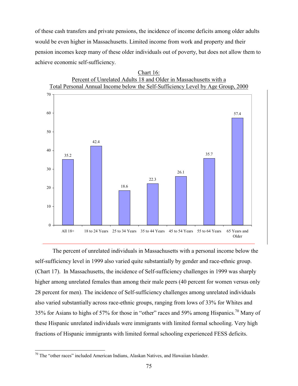of these cash transfers and private pensions, the incidence of income deficits among older adults would be even higher in Massachusetts. Limited income from work and property and their pension incomes keep many of these older individuals out of poverty, but does not allow them to achieve economic self-sufficiency.



The percent of unrelated individuals in Massachusetts with a personal income below the self-sufficiency level in 1999 also varied quite substantially by gender and race-ethnic group. (Chart 17). In Massachusetts, the incidence of Self-sufficiency challenges in 1999 was sharply higher among unrelated females than among their male peers (40 percent for women versus only 28 percent for men). The incidence of Self-sufficiency challenges among unrelated individuals also varied substantially across race-ethnic groups, ranging from lows of 33% for Whites and 35% for Asians to highs of 57% for those in "other" races and 59% among Hispanics.70 Many of these Hispanic unrelated individuals were immigrants with limited formal schooling. Very high fractions of Hispanic immigrants with limited formal schooling experienced FESS deficits.

 $70$  The "other races" included American Indians, Alaskan Natives, and Hawaiian Islander.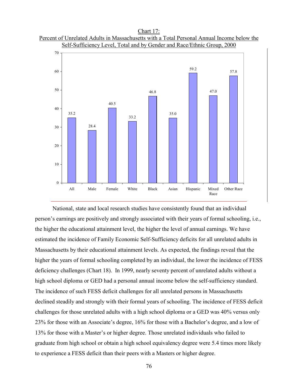Chart 17: Percent of Unrelated Adults in Massachusetts with a Total Personal Annual Income below the Self-Sufficiency Level, Total and by Gender and Race/Ethnic Group, 2000



National, state and local research studies have consistently found that an individual person's earnings are positively and strongly associated with their years of formal schooling, i.e., the higher the educational attainment level, the higher the level of annual earnings. We have estimated the incidence of Family Economic Self-Sufficiency deficits for all unrelated adults in Massachusetts by their educational attainment levels. As expected, the findings reveal that the higher the years of formal schooling completed by an individual, the lower the incidence of FESS deficiency challenges (Chart 18). In 1999, nearly seventy percent of unrelated adults without a high school diploma or GED had a personal annual income below the self-sufficiency standard. The incidence of such FESS deficit challenges for all unrelated persons in Massachusetts declined steadily and strongly with their formal years of schooling. The incidence of FESS deficit challenges for those unrelated adults with a high school diploma or a GED was 40% versus only 23% for those with an Associate's degree, 16% for those with a Bachelor's degree, and a low of 13% for those with a Master's or higher degree. Those unrelated individuals who failed to graduate from high school or obtain a high school equivalency degree were 5.4 times more likely to experience a FESS deficit than their peers with a Masters or higher degree.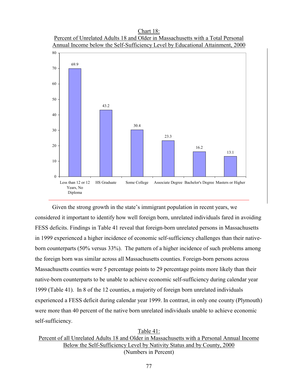Chart 18: Percent of Unrelated Adults 18 and Older in Massachusetts with a Total Personal Annual Income below the Self-Sufficiency Level by Educational Attainment, 2000



Given the strong growth in the state's immigrant population in recent years, we considered it important to identify how well foreign born, unrelated individuals fared in avoiding FESS deficits. Findings in Table 41 reveal that foreign-born unrelated persons in Massachusetts in 1999 experienced a higher incidence of economic self-sufficiency challenges than their nativeborn counterparts (50% versus 33%). The pattern of a higher incidence of such problems among the foreign born was similar across all Massachusetts counties. Foreign-born persons across Massachusetts counties were 5 percentage points to 29 percentage points more likely than their native-born counterparts to be unable to achieve economic self-sufficiency during calendar year 1999 (Table 41). In 8 of the 12 counties, a majority of foreign born unrelated individuals experienced a FESS deficit during calendar year 1999. In contrast, in only one county (Plymouth) were more than 40 percent of the native born unrelated individuals unable to achieve economic self-sufficiency.

Table 41: Percent of all Unrelated Adults 18 and Older in Massachusetts with a Personal Annual Income Below the Self-Sufficiency Level by Nativity Status and by County, 2000 (Numbers in Percent)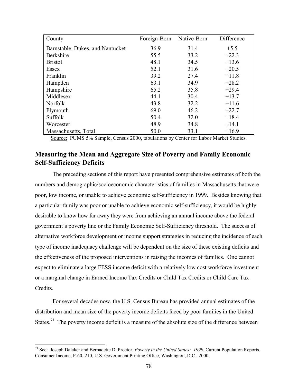| County                           | Foreign-Born | Native-Born | Difference |
|----------------------------------|--------------|-------------|------------|
| Barnstable, Dukes, and Nantucket | 36.9         | 31.4        | $+5.5$     |
| <b>Berkshire</b>                 | 55.5         | 33.2        | $+22.3$    |
| <b>Bristol</b>                   | 48.1         | 34.5        | $+13.6$    |
| Essex                            | 52.1         | 31.6        | $+20.5$    |
| Franklin                         | 39.2         | 27.4        | $+11.8$    |
| Hampden                          | 63.1         | 34.9        | $+28.2$    |
| Hampshire                        | 65.2         | 35.8        | $+29.4$    |
| Middlesex                        | 44.1         | 30.4        | $+13.7$    |
| <b>Norfolk</b>                   | 43.8         | 32.2        | $+11.6$    |
| Plymouth                         | 69.0         | 46.2        | $+22.7$    |
| Suffolk                          | 50.4         | 32.0        | $+18.4$    |
| Worcester                        | 48.9         | 34.8        | $+14.1$    |
| Massachusetts, Total             | 50.0         | 33.1        | $+16.9$    |

Source: PUMS 5% Sample, Census 2000, tabulations by Center for Labor Market Studies.

## **Measuring the Mean and Aggregate Size of Poverty and Family Economic Self-Sufficiency Deficits**

The preceding sections of this report have presented comprehensive estimates of both the numbers and demographic/socioeconomic characteristics of families in Massachusetts that were poor, low income, or unable to achieve economic self-sufficiency in 1999. Besides knowing that a particular family was poor or unable to achieve economic self-sufficiency, it would be highly desirable to know how far away they were from achieving an annual income above the federal government's poverty line or the Family Economic Self-Sufficiency threshold. The success of alternative workforce development or income support strategies in reducing the incidence of each type of income inadequacy challenge will be dependent on the size of these existing deficits and the effectiveness of the proposed interventions in raising the incomes of families. One cannot expect to eliminate a large FESS income deficit with a relatively low cost workforce investment or a marginal change in Earned Income Tax Credits or Child Tax Credits or Child Care Tax Credits.

For several decades now, the U.S. Census Bureau has provided annual estimates of the distribution and mean size of the poverty income deficits faced by poor families in the United States.<sup>71</sup> The poverty income deficit is a measure of the absolute size of the difference between

<sup>71</sup> See: Joseph Dalaker and Bernadette D. Proctor, *Poverty in the United States: 1999*, Current Population Reports, Consumer Income, P-60, 210, U.S. Government Printing Office, Washington, D.C., 2000.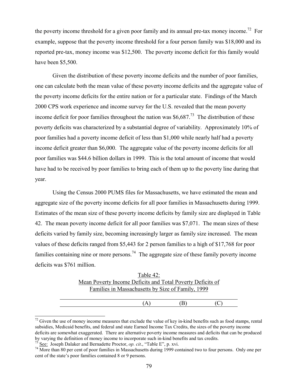the poverty income threshold for a given poor family and its annual pre-tax money income.<sup>72</sup> For example, suppose that the poverty income threshold for a four person family was \$18,000 and its reported pre-tax, money income was \$12,500. The poverty income deficit for this family would have been \$5,500.

Given the distribution of these poverty income deficits and the number of poor families, one can calculate both the mean value of these poverty income deficits and the aggregate value of the poverty income deficits for the entire nation or for a particular state. Findings of the March 2000 CPS work experience and income survey for the U.S. revealed that the mean poverty income deficit for poor families throughout the nation was  $$6,687<sup>73</sup>$  The distribution of these poverty deficits was characterized by a substantial degree of variability. Approximately 10% of poor families had a poverty income deficit of less than \$1,000 while nearly half had a poverty income deficit greater than \$6,000. The aggregate value of the poverty income deficits for all poor families was \$44.6 billion dollars in 1999. This is the total amount of income that would have had to be received by poor families to bring each of them up to the poverty line during that year.

Using the Census 2000 PUMS files for Massachusetts, we have estimated the mean and aggregate size of the poverty income deficits for all poor families in Massachusetts during 1999. Estimates of the mean size of these poverty income deficits by family size are displayed in Table 42. The mean poverty income deficit for all poor families was \$7,071. The mean sizes of these deficits varied by family size, becoming increasingly larger as family size increased. The mean values of these deficits ranged from \$5,443 for 2 person families to a high of \$17,768 for poor families containing nine or more persons.<sup>74</sup> The aggregate size of these family poverty income deficits was \$761 million.

Table 42: Mean Poverty Income Deficits and Total Poverty Deficits of Families in Massachusetts by Size of Family, 1999

 $72$  Given the use of money income measures that exclude the value of key in-kind benefits such as food stamps, rental subsidies, Medicaid benefits, and federal and state Earned Income Tax Credits, the sizes of the poverty income deficits are somewhat exaggerated. There are alternative poverty income measures and deficits that can be produced by varying the definition of money income to incorporate such in-kind benefits and tax credits.

<sup>73</sup> See: Joseph Dalaker and Bernadette Proctor, *op. cit*., "Table E", p. xvi.

 $74$  More than 80 per cent of poor families in Massachusetts during 1999 contained two to four persons. Only one per cent of the state's poor families contained 8 or 9 persons.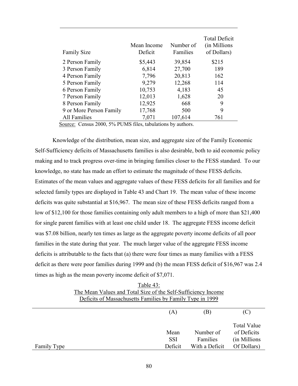| <b>Family Size</b>      | Mean Income<br>Deficit | Number of<br>Families | <b>Total Deficit</b><br>(in Millions<br>of Dollars) |
|-------------------------|------------------------|-----------------------|-----------------------------------------------------|
| 2 Person Family         | \$5,443                | 39,854                | \$215                                               |
| 3 Person Family         | 6,814                  | 27,700                | 189                                                 |
| 4 Person Family         | 7,796                  | 20,813                | 162                                                 |
| 5 Person Family         | 9,279                  | 12,268                | 114                                                 |
| 6 Person Family         | 10,753                 | 4,183                 | 45                                                  |
| 7 Person Family         | 12,013                 | 1,628                 | 20                                                  |
| 8 Person Family         | 12,925                 | 668                   | 9                                                   |
| 9 or More Person Family | 17,768                 | 500                   | 9                                                   |
| All Families            | 7,071                  | 107,614               | 761                                                 |

Source: Census 2000, 5% PUMS files, tabulations by authors.

Knowledge of the distribution, mean size, and aggregate size of the Family Economic Self-Sufficiency deficits of Massachusetts families is also desirable, both to aid economic policy making and to track progress over-time in bringing families closer to the FESS standard. To our knowledge, no state has made an effort to estimate the magnitude of these FESS deficits. Estimates of the mean values and aggregate values of these FESS deficits for all families and for selected family types are displayed in Table 43 and Chart 19. The mean value of these income deficits was quite substantial at \$16,967. The mean size of these FESS deficits ranged from a low of \$12,100 for those families containing only adult members to a high of more than \$21,400 for single parent families with at least one child under 18. The aggregate FESS income deficit was \$7.08 billion, nearly ten times as large as the aggregate poverty income deficits of all poor families in the state during that year. The much larger value of the aggregate FESS income deficits is attributable to the facts that (a) there were four times as many families with a FESS deficit as there were poor families during 1999 and (b) the mean FESS deficit of \$16,967 was 2.4 times as high as the mean poverty income deficit of \$7,071.

| Table 43:<br>The Mean Values and Total Size of the Self-Sufficiency Income |            |                |                    |  |  |  |
|----------------------------------------------------------------------------|------------|----------------|--------------------|--|--|--|
| Deficits of Massachusetts Families by Family Type in 1999                  |            |                |                    |  |  |  |
|                                                                            | (A)        | (B)            | (C)                |  |  |  |
|                                                                            |            |                | <b>Total Value</b> |  |  |  |
|                                                                            | Mean       | Number of      | of Deficits        |  |  |  |
|                                                                            | <b>SSI</b> | Families       | (in Millions)      |  |  |  |
| Family Type                                                                | Deficit    | With a Deficit | Of Dollars)        |  |  |  |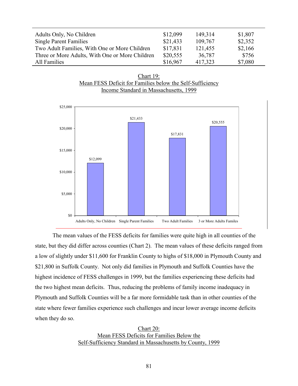| Adults Only, No Children                        | \$12,099 | 149,314 | \$1,807 |
|-------------------------------------------------|----------|---------|---------|
| <b>Single Parent Families</b>                   | \$21,433 | 109,767 | \$2,352 |
| Two Adult Families, With One or More Children   | \$17,831 | 121,455 | \$2,166 |
| Three or More Adults, With One or More Children | \$20,555 | 36,787  | \$756   |
| All Families                                    | \$16,967 | 417,323 | \$7,080 |





The mean values of the FESS deficits for families were quite high in all counties of the state, but they did differ across counties (Chart 2). The mean values of these deficits ranged from a low of slightly under \$11,600 for Franklin County to highs of \$18,000 in Plymouth County and \$21,800 in Suffolk County. Not only did families in Plymouth and Suffolk Counties have the highest incidence of FESS challenges in 1999, but the families experiencing these deficits had the two highest mean deficits. Thus, reducing the problems of family income inadequacy in Plymouth and Suffolk Counties will be a far more formidable task than in other counties of the state where fewer families experience such challenges and incur lower average income deficits when they do so.

> Chart 20: Mean FESS Deficits for Families Below the Self-Sufficiency Standard in Massachusetts by County, 1999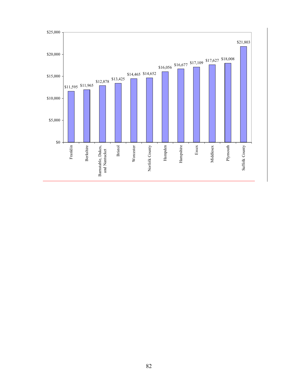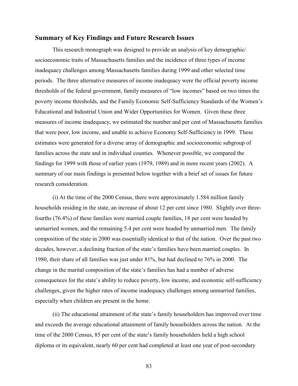#### **Summary of Key Findings and Future Research Issues**

This research monograph was designed to provide an analysis of key demographic/ socioeconomic traits of Massachusetts families and the incidence of three types of income inadequacy challenges among Massachusetts families during 1999 and other selected time periods. The three alternative measures of income inadequacy were the official poverty income thresholds of the federal government, family measures of "low incomes" based on two times the poverty income thresholds, and the Family Economic Self-Sufficiency Standards of the Women's Educational and Industrial Union and Wider Opportunities for Women. Given these three measures of income inadequacy, we estimated the number and per cent of Massachusetts families that were poor, low income, and unable to achieve Economy Self-Sufficiency in 1999. These estimates were generated for a diverse array of demographic and socioeconomic subgroup of families across the state and in individual counties. Whenever possible, we compared the findings for 1999 with those of earlier years (1979, 1989) and in more recent years (2002). A summary of our main findings is presented below together with a brief set of issues for future research consideration.

(i) At the time of the 2000 Census, there were approximately 1.584 million family households residing in the state, an increase of about 12 per cent since 1980. Slightly over threefourths (76.4%) of these families were married couple families, 18 per cent were headed by unmarried women, and the remaining 5.4 per cent were headed by unmarried men. The family composition of the state in 2000 was essentially identical to that of the nation. Over the past two decades, however, a declining fraction of the state's families have been married couples. In 1980, their share of all families was just under 81%, but had declined to 76% in 2000. The change in the marital composition of the state's families has had a number of adverse consequences for the state's ability to reduce poverty, low income, and economic self-sufficiency challenges, given the higher rates of income inadequacy challenges among unmarried families, especially when children are present in the home.

(ii) The educational attainment of the state's family householders has improved over time and exceeds the average educational attainment of family householders across the nation. At the time of the 2000 Census, 85 per cent of the state's family householders held a high school diploma or its equivalent, nearly 60 per cent had completed at least one year of post-secondary

83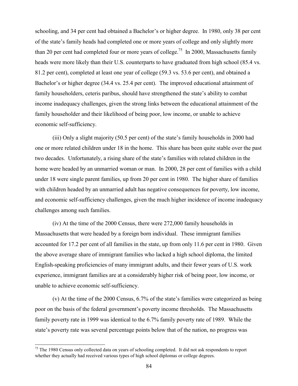schooling, and 34 per cent had obtained a Bachelor's or higher degree. In 1980, only 38 per cent of the state's family heads had completed one or more years of college and only slightly more than 20 per cent had completed four or more years of college.<sup>75</sup> In 2000, Massachusetts family heads were more likely than their U.S. counterparts to have graduated from high school (85.4 vs. 81.2 per cent), completed at least one year of college (59.3 vs. 53.6 per cent), and obtained a Bachelor's or higher degree (34.4 vs. 25.4 per cent). The improved educational attainment of family householders, ceteris paribus, should have strengthened the state's ability to combat income inadequacy challenges, given the strong links between the educational attainment of the family householder and their likelihood of being poor, low income, or unable to achieve economic self-sufficiency.

(iii) Only a slight majority (50.5 per cent) of the state's family households in 2000 had one or more related children under 18 in the home. This share has been quite stable over the past two decades. Unfortunately, a rising share of the state's families with related children in the home were headed by an unmarried woman or man. In 2000, 28 per cent of families with a child under 18 were single parent families, up from 20 per cent in 1980. The higher share of families with children headed by an unmarried adult has negative consequences for poverty, low income, and economic self-sufficiency challenges, given the much higher incidence of income inadequacy challenges among such families.

(iv) At the time of the 2000 Census, there were 272,000 family households in Massachusetts that were headed by a foreign born individual. These immigrant families accounted for 17.2 per cent of all families in the state, up from only 11.6 per cent in 1980. Given the above average share of immigrant families who lacked a high school diploma, the limited English-speaking proficiencies of many immigrant adults, and their fewer years of U.S. work experience, immigrant families are at a considerably higher risk of being poor, low income, or unable to achieve economic self-sufficiency.

(v) At the time of the 2000 Census, 6.7% of the state's families were categorized as being poor on the basis of the federal government's poverty income thresholds. The Massachusetts family poverty rate in 1999 was identical to the 6.7% family poverty rate of 1989. While the state's poverty rate was several percentage points below that of the nation, no progress was

 $\overline{\phantom{a}}$ 

<sup>&</sup>lt;sup>75</sup> The 1980 Census only collected data on years of schooling completed. It did not ask respondents to report whether they actually had received various types of high school diplomas or college degrees.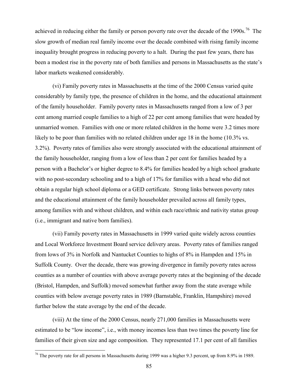achieved in reducing either the family or person poverty rate over the decade of the  $1990s$ .<sup>76</sup> The slow growth of median real family income over the decade combined with rising family income inequality brought progress in reducing poverty to a halt. During the past few years, there has been a modest rise in the poverty rate of both families and persons in Massachusetts as the state's labor markets weakened considerably.

(vi) Family poverty rates in Massachusetts at the time of the 2000 Census varied quite considerably by family type, the presence of children in the home, and the educational attainment of the family householder. Family poverty rates in Massachusetts ranged from a low of 3 per cent among married couple families to a high of 22 per cent among families that were headed by unmarried women. Families with one or more related children in the home were 3.2 times more likely to be poor than families with no related children under age 18 in the home (10.3% vs.) 3.2%). Poverty rates of families also were strongly associated with the educational attainment of the family householder, ranging from a low of less than 2 per cent for families headed by a person with a Bachelor's or higher degree to 8.4% for families headed by a high school graduate with no post-secondary schooling and to a high of 17% for families with a head who did not obtain a regular high school diploma or a GED certificate. Strong links between poverty rates and the educational attainment of the family householder prevailed across all family types, among families with and without children, and within each race/ethnic and nativity status group (i.e., immigrant and native born families).

(vii) Family poverty rates in Massachusetts in 1999 varied quite widely across counties and Local Workforce Investment Board service delivery areas. Poverty rates of families ranged from lows of 3% in Norfolk and Nantucket Counties to highs of 8% in Hampden and 15% in Suffolk County. Over the decade, there was growing divergence in family poverty rates across counties as a number of counties with above average poverty rates at the beginning of the decade (Bristol, Hampden, and Suffolk) moved somewhat further away from the state average while counties with below average poverty rates in 1989 (Barnstable, Franklin, Hampshire) moved further below the state average by the end of the decade.

(viii) At the time of the 2000 Census, nearly 271,000 families in Massachusetts were estimated to be "low income", i.e., with money incomes less than two times the poverty line for families of their given size and age composition. They represented 17.1 per cent of all families

 $76$  The poverty rate for all persons in Massachusetts during 1999 was a higher 9.3 percent, up from 8.9% in 1989.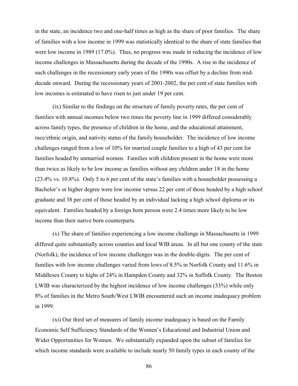in the state, an incidence two and one-half times as high as the share of poor families. The share of families with a low income in 1999 was statistically identical to the share of state families that were low income in 1989 (17.0%). Thus, no progress was made in reducing the incidence of low income challenges in Massachusetts during the decade of the 1990s. A rise in the incidence of such challenges in the recessionary early years of the 1990s was offset by a decline from middecade onward. During the recessionary years of 2001-2002, the per cent of state families with low incomes is estimated to have risen to just under 19 per cent.

(ix) Similar to the findings on the structure of family poverty rates, the per cent of families with annual incomes below two times the poverty line in 1999 differed considerably across family types, the presence of children in the home, and the educational attainment, race/ethnic origin, and nativity status of the family householder. The incidence of low income challenges ranged from a low of 10% for married couple families to a high of 43 per cent for families headed by unmarried women. Families with children present in the home were more than twice as likely to be low income as families without any children under 18 in the home (23.4% vs. 10.8%). Only 5 to 6 per cent of the state's families with a householder possessing a Bachelor's or higher degree were low income versus 22 per cent of those headed by a high school graduate and 38 per cent of those headed by an individual lacking a high school diploma or its equivalent. Families headed by a foreign born person were 2.4 times more likely to be low income than their native born counterparts.

(x) The share of families experiencing a low income challenge in Massachusetts in 1999 differed quite substantially across counties and local WIB areas. In all but one county of the state (Norfolk), the incidence of low income challenges was in the double-digits. The per cent of families with low income challenges varied from lows of 8.5% in Norfolk County and 11.6% in Middlesex County to highs of 24% in Hampden County and 32% in Suffolk County. The Boston LWIB was characterized by the highest incidence of low income challenges (33%) while only 8% of families in the Metro South/West LWIB encountered such an income inadequacy problem in 1999.

(xi) Our third set of measures of family income inadequacy is based on the Family Economic Self Sufficiency Standards of the Women's Educational and Industrial Union and Wider Opportunities for Women. We substantially expanded upon the subset of families for which income standards were available to include nearly 50 family types in each county of the

86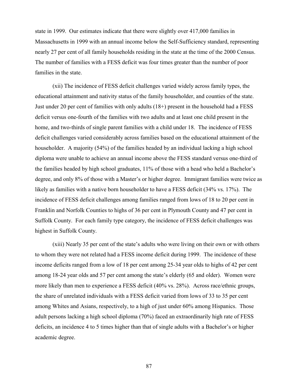state in 1999. Our estimates indicate that there were slightly over 417,000 families in Massachusetts in 1999 with an annual income below the Self-Sufficiency standard, representing nearly 27 per cent of all family households residing in the state at the time of the 2000 Census. The number of families with a FESS deficit was four times greater than the number of poor families in the state.

(xii) The incidence of FESS deficit challenges varied widely across family types, the educational attainment and nativity status of the family householder, and counties of the state. Just under 20 per cent of families with only adults (18+) present in the household had a FESS deficit versus one-fourth of the families with two adults and at least one child present in the home, and two-thirds of single parent families with a child under 18. The incidence of FESS deficit challenges varied considerably across families based on the educational attainment of the householder. A majority (54%) of the families headed by an individual lacking a high school diploma were unable to achieve an annual income above the FESS standard versus one-third of the families headed by high school graduates, 11% of those with a head who held a Bachelor's degree, and only 8% of those with a Master's or higher degree. Immigrant families were twice as likely as families with a native born householder to have a FESS deficit (34% vs. 17%). The incidence of FESS deficit challenges among families ranged from lows of 18 to 20 per cent in Franklin and Norfolk Counties to highs of 36 per cent in Plymouth County and 47 per cent in Suffolk County. For each family type category, the incidence of FESS deficit challenges was highest in Suffolk County.

(xiii) Nearly 35 per cent of the state's adults who were living on their own or with others to whom they were not related had a FESS income deficit during 1999. The incidence of these income deficits ranged from a low of 18 per cent among 25-34 year olds to highs of 42 per cent among 18-24 year olds and 57 per cent among the state's elderly (65 and older). Women were more likely than men to experience a FESS deficit (40% vs. 28%). Across race/ethnic groups, the share of unrelated individuals with a FESS deficit varied from lows of 33 to 35 per cent among Whites and Asians, respectively, to a high of just under 60% among Hispanics. Those adult persons lacking a high school diploma (70%) faced an extraordinarily high rate of FESS deficits, an incidence 4 to 5 times higher than that of single adults with a Bachelor's or higher academic degree.

87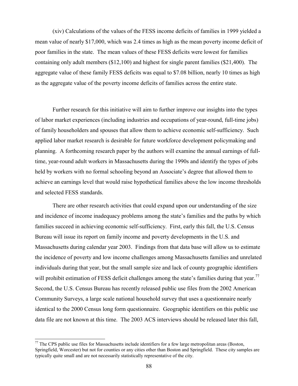(xiv) Calculations of the values of the FESS income deficits of families in 1999 yielded a mean value of nearly \$17,000, which was 2.4 times as high as the mean poverty income deficit of poor families in the state. The mean values of these FESS deficits were lowest for families containing only adult members (\$12,100) and highest for single parent families (\$21,400). The aggregate value of these family FESS deficits was equal to \$7.08 billion, nearly 10 times as high as the aggregate value of the poverty income deficits of families across the entire state.

Further research for this initiative will aim to further improve our insights into the types of labor market experiences (including industries and occupations of year-round, full-time jobs) of family householders and spouses that allow them to achieve economic self-sufficiency. Such applied labor market research is desirable for future workforce development policymaking and planning. A forthcoming research paper by the authors will examine the annual earnings of fulltime, year-round adult workers in Massachusetts during the 1990s and identify the types of jobs held by workers with no formal schooling beyond an Associate's degree that allowed them to achieve an earnings level that would raise hypothetical families above the low income thresholds and selected FESS standards.

There are other research activities that could expand upon our understanding of the size and incidence of income inadequacy problems among the state's families and the paths by which families succeed in achieving economic self-sufficiency. First, early this fall, the U.S. Census Bureau will issue its report on family income and poverty developments in the U.S. and Massachusetts during calendar year 2003. Findings from that data base will allow us to estimate the incidence of poverty and low income challenges among Massachusetts families and unrelated individuals during that year, but the small sample size and lack of county geographic identifiers will prohibit estimation of FESS deficit challenges among the state's families during that year.<sup>77</sup> Second, the U.S. Census Bureau has recently released public use files from the 2002 American Community Surveys, a large scale national household survey that uses a questionnaire nearly identical to the 2000 Census long form questionnaire. Geographic identifiers on this public use data file are not known at this time. The 2003 ACS interviews should be released later this fall,

 $77$  The CPS public use files for Massachusetts include identifiers for a few large metropolitan areas (Boston, Springfield, Worcester) but not for counties or any cities other than Boston and Springfield. These city samples are typically quite small and are not necessarily statistically representative of the city.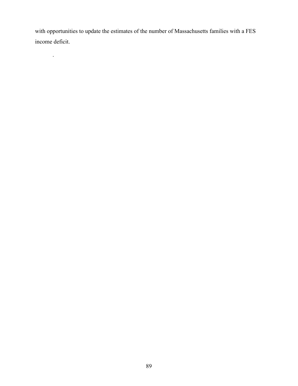with opportunities to update the estimates of the number of Massachusetts families with a FES income deficit.

.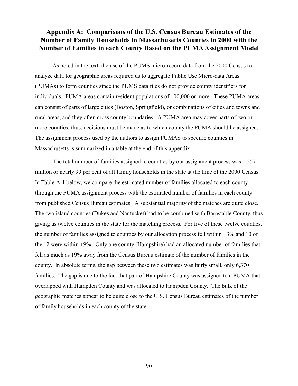## **Appendix A: Comparisons of the U.S. Census Bureau Estimates of the Number of Family Households in Massachusetts Counties in 2000 with the Number of Families in each County Based on the PUMA Assignment Model**

As noted in the text, the use of the PUMS micro-record data from the 2000 Census to analyze data for geographic areas required us to aggregate Public Use Micro-data Areas (PUMAs) to form counties since the PUMS data files do not provide county identifiers for individuals. PUMA areas contain resident populations of 100,000 or more. These PUMA areas can consist of parts of large cities (Boston, Springfield), or combinations of cities and towns and rural areas, and they often cross county boundaries. A PUMA area may cover parts of two or more counties; thus, decisions must be made as to which county the PUMA should be assigned. The assignment process used by the authors to assign PUMAS to specific counties in Massachusetts is summarized in a table at the end of this appendix.

The total number of families assigned to counties by our assignment process was 1.557 million or nearly 99 per cent of all family households in the state at the time of the 2000 Census. In Table A-1 below, we compare the estimated number of families allocated to each county through the PUMA assignment process with the estimated number of families in each county from published Census Bureau estimates. A substantial majority of the matches are quite close. The two island counties (Dukes and Nantucket) had to be combined with Barnstable County, thus giving us twelve counties in the state for the matching process. For five of these twelve counties, the number of families assigned to counties by our allocation process fell within +3% and 10 of the 12 were within +9%. Only one county (Hampshire) had an allocated number of families that fell as much as 19% away from the Census Bureau estimate of the number of families in the county. In absolute terms, the gap between these two estimates was fairly small, only 6,370 families. The gap is due to the fact that part of Hampshire County was assigned to a PUMA that overlapped with Hampden County and was allocated to Hampden County. The bulk of the geographic matches appear to be quite close to the U.S. Census Bureau estimates of the number of family households in each county of the state.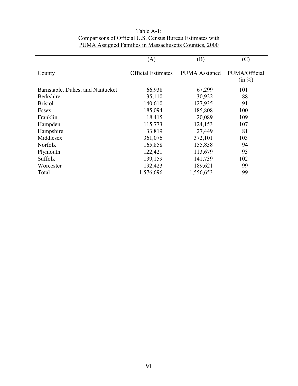|                                  | (A)                       | (B)           | (C)                     |
|----------------------------------|---------------------------|---------------|-------------------------|
| County                           | <b>Official Estimates</b> | PUMA Assigned | PUMA/Official<br>(in %) |
| Barnstable, Dukes, and Nantucket | 66,938                    | 67,299        | 101                     |
| Berkshire                        | 35,110                    | 30,922        | 88                      |
| <b>Bristol</b>                   | 140,610                   | 127,935       | 91                      |
| Essex                            | 185,094                   | 185,808       | 100                     |
| Franklin                         | 18,415                    | 20,089        | 109                     |
| Hampden                          | 115,773                   | 124,153       | 107                     |
| Hampshire                        | 33,819                    | 27,449        | 81                      |
| Middlesex                        | 361,076                   | 372,101       | 103                     |
| <b>Norfolk</b>                   | 165,858                   | 155,858       | 94                      |
| Plymouth                         | 122,421                   | 113,679       | 93                      |
| Suffolk                          | 139,159                   | 141,739       | 102                     |
| Worcester                        | 192,423                   | 189,621       | 99                      |
| Total                            | 1,576,696                 | 1,556,653     | 99                      |

#### Table A-1: Comparisons of Official U.S. Census Bureau Estimates with PUMA Assigned Families in Massachusetts Counties, 2000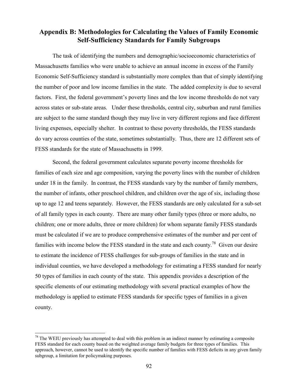### **Appendix B: Methodologies for Calculating the Values of Family Economic Self-Sufficiency Standards for Family Subgroups**

The task of identifying the numbers and demographic/socioeconomic characteristics of Massachusetts families who were unable to achieve an annual income in excess of the Family Economic Self-Sufficiency standard is substantially more complex than that of simply identifying the number of poor and low income families in the state. The added complexity is due to several factors. First, the federal government's poverty lines and the low income thresholds do not vary across states or sub-state areas. Under these thresholds, central city, suburban and rural families are subject to the same standard though they may live in very different regions and face different living expenses, especially shelter. In contrast to these poverty thresholds, the FESS standards do vary across counties of the state, sometimes substantially. Thus, there are 12 different sets of FESS standards for the state of Massachusetts in 1999.

Second, the federal government calculates separate poverty income thresholds for families of each size and age composition, varying the poverty lines with the number of children under 18 in the family. In contrast, the FESS standards vary by the number of family members, the number of infants, other preschool children, and children over the age of six, including those up to age 12 and teens separately. However, the FESS standards are only calculated for a sub-set of all family types in each county. There are many other family types (three or more adults, no children; one or more adults, three or more children) for whom separate family FESS standards must be calculated if we are to produce comprehensive estimates of the number and per cent of families with income below the FESS standard in the state and each county.<sup>78</sup> Given our desire to estimate the incidence of FESS challenges for sub-groups of families in the state and in individual counties, we have developed a methodology for estimating a FESS standard for nearly 50 types of families in each county of the state. This appendix provides a description of the specific elements of our estimating methodology with several practical examples of how the methodology is applied to estimate FESS standards for specific types of families in a given county.

 $\overline{\phantom{a}}$ 

 $78$  The WEIU previously has attempted to deal with this problem in an indirect manner by estimating a composite FESS standard for each county based on the weighted average family budgets for three types of families. This approach, however, cannot be used to identify the specific number of families with FESS deficits in any given family subgroup, a limitation for policymaking purposes.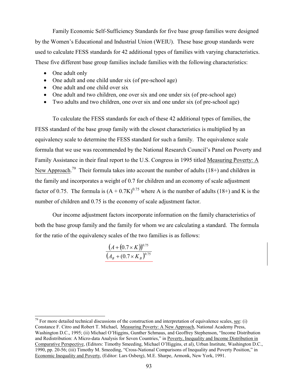Family Economic Self-Sufficiency Standards for five base group families were designed by the Women's Educational and Industrial Union (WEIU). These base group standards were used to calculate FESS standards for 42 additional types of families with varying characteristics. These five different base group families include families with the following characteristics:

• One adult only

 $\overline{\phantom{a}}$ 

- One adult and one child under six (of pre-school age)
- One adult and one child over six
- One adult and two children, one over six and one under six (of pre-school age)
- Two adults and two children, one over six and one under six (of pre-school age)

To calculate the FESS standards for each of these 42 additional types of families, the FESS standard of the base group family with the closest characteristics is multiplied by an equivalency scale to determine the FESS standard for such a family. The equivalence scale formula that we use was recommended by the National Research Council's Panel on Poverty and Family Assistance in their final report to the U.S. Congress in 1995 titled Measuring Poverty: A New Approach.<sup>79</sup> Their formula takes into account the number of adults (18+) and children in the family and incorporates a weight of 0.7 for children and an economy of scale adjustment factor of 0.75. The formula is  $(A + 0.7K)^{0.75}$  where A is the number of adults (18+) and K is the number of children and 0.75 is the economy of scale adjustment factor.

Our income adjustment factors incorporate information on the family characteristics of both the base group family and the family for whom we are calculating a standard. The formula for the ratio of the equivalency scales of the two families is as follows:

$$
\frac{\big(A + (0.7 \times K)\big)^{0.75}}{\big(A_B + (0.7 \times K_B\big)^{0.75}}
$$

 $79$  For more detailed technical discussions of the construction and interpretation of equivalence scales, see: (i) Constance F. Citro and Robert T. Michael, Measuring Poverty: A New Approach, National Academy Press, Washington D.C., 1995; (ii) Michael O'Higgins, Gunther Schmaus, and Geoffrey Stephenson, "Income Distribution and Redistribution: A Micro-data Analysis for Seven Countries," in Poverty, Inequality and Income Distribution in Comparative Perspective, (Editors: Timothy Smeeding, Michael O'Higgins, et al), Urban Institute, Washington D.C., 1990, pp. 20-56; (iii) Timothy M. Smeeding, "Cross-National Comparisons of Inequality and Poverty Position," in Economic Inequality and Poverty, (Editor: Lars Osberg), M.E. Sharpe, Armonk, New York, 1991.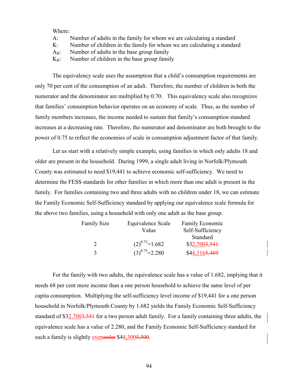Where:

- A: Number of adults in the family for whom we are calculating a standard
- K: Number of children in the family for whom we are calculating a standard
- $A_B$ : Number of adults in the base group family
- $K_B$ : Number of children in the base group family

The equivalency scale uses the assumption that a child's consumption requirements are only 70 per cent of the consumption of an adult. Therefore, the number of children in both the numerator and the denominator are multiplied by 0.70. This equivalency scale also recognizes that families' consumption behavior operates on an economy of scale. Thus, as the number of family members increases, the income needed to sustain that family's consumption standard increases at a decreasing rate. Therefore, the numerator and denominator are both brought to the power of 0.75 to reflect the economies of scale in consumption adjustment factor of that family.

Let us start with a relatively simple example, using families in which only adults 18 and older are present in the household. During 1999, a single adult living in Norfolk/Plymouth County was estimated to need \$19,441 to achieve economic self-sufficiency. We need to determine the FESS standards for other families in which more than one adult is present in the family. For families containing two and three adults with no children under 18, we can estimate the Family Economic Self-Sufficiency standard by applying our equivalence scale formula for the above two families, using a household with only one adult as the base group.

| Family Size | Equivalence Scale   | Family Economic  |
|-------------|---------------------|------------------|
|             | Value               | Self-Sufficiency |
|             |                     | Standard         |
|             | $(2)^{0.75}$ =1.682 | \$32,7003,541    |
| 3           | $(3)^{0.75}$ =2.280 | \$44,3165,469    |

For the family with two adults, the equivalence scale has a value of 1.682, implying that it needs 68 per cent more income than a one person household to achieve the same level of per capita consumption. Multiplying the self-sufficiency level income of \$19,441 for a one person household in Norfolk/Plymouth County by 1.682 yields the Family Economic Self-Sufficiency standard of \$32,7003,541 for a two person adult family. For a family containing three adults, the equivalence scale has a value of 2.280, and the Family Economic Self-Sufficiency standard for such a family is slightly overunder \$44,3005,500.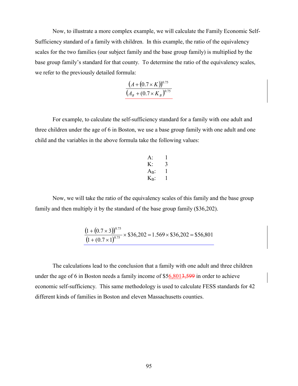Now, to illustrate a more complex example, we will calculate the Family Economic Self-Sufficiency standard of a family with children. In this example, the ratio of the equivalency scales for the two families (our subject family and the base group family) is multiplied by the base group family's standard for that county. To determine the ratio of the equivalency scales, we refer to the previously detailed formula:

$$
\frac{\left(A + (0.7 \times K)\right)^{0.75}}{\left(A_B + (0.7 \times K_B\right)^{0.75}}
$$

For example, to calculate the self-sufficiency standard for a family with one adult and three children under the age of 6 in Boston, we use a base group family with one adult and one child and the variables in the above formula take the following values:

A:  
\n
$$
\begin{array}{ccc}\n1 & 1 \\
K: & 3 \\
A_B: & 1 \\
K_B: & 1\n\end{array}
$$

Now, we will take the ratio of the equivalency scales of this family and the base group family and then multiply it by the standard of the base group family (\$36,202).

$$
\frac{(1 + (0.7 \times 3))^{0.75}}{(1 + (0.7 \times 1))^{0.75}} \times $36,202 = 1.569 \times $36,202 = $56,801
$$

The calculations lead to the conclusion that a family with one adult and three children under the age of 6 in Boston needs a family income of \$56,8013,599 in order to achieve economic self-sufficiency. This same methodology is used to calculate FESS standards for 42 different kinds of families in Boston and eleven Massachusetts counties.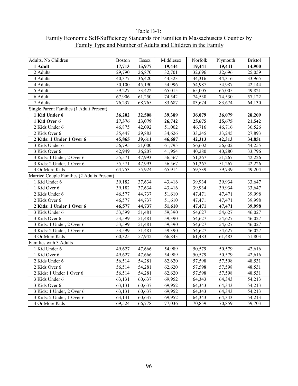Table B-1: Family Economic Self-Sufficiency Standards for Families in Massachusetts Counties by Family Type and Number of Adults and Children in the Family

| Adults, No Children                        | <b>Boston</b>       | Essex  | Middlesex | Norfolk | Plymouth | <b>Bristol</b> |
|--------------------------------------------|---------------------|--------|-----------|---------|----------|----------------|
| 1 Adult                                    | 17,713              | 15,977 | 19,444    | 19,441  | 19,441   | 14,900         |
| 2 Adults                                   | 29,790              | 26,870 | 32,701    | 32,696  | 32,696   | 25,059         |
| 3 Adults                                   | 40,377              | 36,420 | 44,323    | 44,316  | 44,316   | 33,965         |
| 4 Adults                                   | 50,100              | 45,190 | 54,996    | 54,987  | 54,987   | 42,144         |
| 5 Adult                                    | 59,227              | 53,422 | 65,015    | 65,005  | 65,005   | 49,821         |
| 6 Adult                                    | 67,906              | 61,250 | 74,542    | 74,530  | 74,530   | 57,122         |
| 7 Adults                                   | 76,237              | 68,765 | 83,687    | 83,674  | 83,674   | 64,130         |
| Single Parent Families (1 Adult Present)   |                     |        |           |         |          |                |
| 1 Kid Under 6                              | 36,202              | 32,508 | 39,389    | 36,079  | 36,079   | 28,209         |
| 1 Kid Over 6                               | 27,376              | 23,079 | 26,742    | 25,675  | 25,675   | 21,542         |
| 2 Kids Under 6                             | 46,875              | 42,092 | 51,002    | 46,716  | 46,716   | 36,526         |
| 2 Kids Over 6                              | 35,447              | 29,883 | 34,626    | 33,245  | 33,245   | 27,893         |
| 2 Kids: 1 Under 1 Over 6                   | 45,865              | 39,611 | 46,687    | 42,313  | 42,313   | 34,851         |
| 3 Kids Under 6                             | $\overline{56,795}$ | 51,000 | 61,795    | 56,602  | 56,602   | 44,255         |
| 3 Kids Over 6                              | 42,949              | 36,207 | 41,954    | 40,280  | 40,280   | 33,796         |
| 3 Kids: 1 Under, 2 Over 6                  | 55,571              | 47,993 | 56,567    | 51,267  | 51,267   | 42,226         |
| 3 Kids: 2 Under, 1 Over 6                  | 55,571              | 47,993 | 56,567    | 51,267  | 51,267   | 42,226         |
| 4 Or More Kids                             | 64,753              | 55,924 | 65,914    | 59,739  | 59,739   | 49,204         |
| Married Couple Families (2 Adults Present) |                     |        |           |         |          |                |
| 1 Kid Under 6                              | 39,182              | 37,634 | 43,416    | 39,934  | 39,934   | 33,647         |
| 1 Kid Over 6                               | 39,182              | 37,634 | 43,416    | 39,934  | 39,934   | 33,647         |
| 2 Kids Under 6                             | 46,577              | 44,737 | 51,610    | 47,471  | 47,471   | 39,998         |
| 2 Kids Over 6                              | 46,577              | 44,737 | 51,610    | 47,471  | 47,471   | 39,998         |
| 2 Kids: 1 Under 1 Over 6                   | 46,577              | 44,737 | 51,610    | 47,471  | 47,471   | 39,998         |
| 3 Kids Under 6                             | 53,599              | 51,481 | 59,390    | 54,627  | 54,627   | 46,027         |
| 3 Kids Over 6                              | 53,599              | 51,481 | 59,390    | 54,627  | 54,627   | 46,027         |
| 3 Kids: 1 Under, 2 Over 6                  | 53,599              | 51,481 | 59,390    | 54,627  | 54,627   | 46,027         |
| 3 Kids: 2 Under, 1 Over 6                  | 53,599              | 51,481 | 59,390    | 54,627  | 54,627   | 46,027         |
| 4 Or More Kids                             | 60,325              | 57,942 | 66,843    | 61,483  | 61,483   | 51,803         |
| Families with 3 Adults                     |                     |        |           |         |          |                |
| 1 Kid Under 6                              | 49,627              | 47,666 | 54,989    | 50,579  | 50,579   | 42,616         |
| 1 Kid Over 6                               | 49,627              | 47,666 | 54,989    | 50,579  | 50,579   | 42,616         |
| 2 Kids Under 6                             | 56,514              | 54,281 | 62,620    | 57,598  | 57,598   | 48,531         |
| 2 Kids Over 6                              | 56,514              | 54,281 | 62,620    | 57,598  | 57,598   | 48,531         |
| 2 Kids: 1 Under 1 Over 6                   | 56,514              | 54,281 | 62,620    | 57,598  | 57,598   | 48,531         |
| 3 Kids Under 6                             | 63,131              | 60,637 | 69,952    | 64,343  | 64,343   | 54,213         |
| 3 Kids Over 6                              | 63,131              | 60,637 | 69,952    | 64,343  | 64,343   | 54,213         |
| 3 Kids: 1 Under, 2 Over 6                  | 63,131              | 60,637 | 69,952    | 64,343  | 64,343   | 54,213         |
| 3 Kids: 2 Under, 1 Over 6                  | 63,131              | 60,637 | 69,952    | 64,343  | 64,343   | 54,213         |
| 4 Or More Kids                             | 69,524              | 66,778 | 77,036    | 70,859  | 70,859   | 59,703         |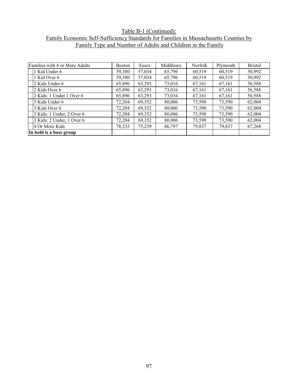#### Table B-1 (Continued): Family Economic Self-Sufficiency Standards for Families in Massachusetts Counties by Family Type and Number of Adults and Children in the Family

| Families with 4 or More Adults | <b>Boston</b> | Essex  | Middlesex | Norfolk | Plymouth | <b>Bristol</b> |
|--------------------------------|---------------|--------|-----------|---------|----------|----------------|
| 1 Kid Under 6                  | 59,380        | 57,034 | 65,796    | 60,519  | 60,519   | 50,992         |
| 1 Kid Over 6                   | 59,380        | 57,034 | 65,796    | 60,519  | 60,519   | 50,992         |
| 2 Kids Under 6                 | 65,896        | 63,293 | 73,016    | 67,161  | 67,161   | 56,588         |
| 2 Kids Over 6                  | 65,896        | 63,293 | 73,016    | 67,161  | 67,161   | 56,588         |
| $2$ Kids: 1 Under 1 Over 6     | 65,896        | 63,293 | 73,016    | 67,161  | 67,161   | 56,588         |
| 3 Kids Under 6                 | 72,204        | 69,352 | 80,006    | 73,590  | 73,590   | 62,004         |
| 3 Kids Over 6                  | 72,204        | 69,352 | 80,006    | 73,590  | 73,590   | 62,004         |
| 3 Kids: 1 Under, 2 Over 6      | 72,204        | 69,352 | 80,006    | 73,590  | 73,590   | 62,004         |
| 3 Kids: 2 Under, 1 Over 6      | 72,204        | 69,352 | 80,006    | 73,590  | 73,590   | 62,004         |
| 4 Or More Kids                 | 78,333        | 75,239 | 86,797    | 79,837  | 79,837   | 67,268         |
| In bold is a base group        |               |        |           |         |          |                |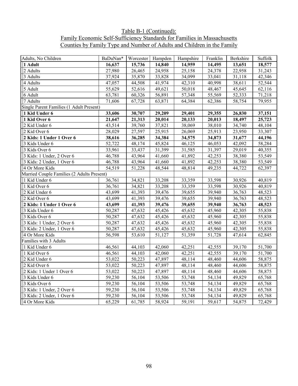#### Table B-1 (Continued): Family Economic Self-Sufficiency Standards for Families in Massachusetts Counties by Family Type and Number of Adults and Children in the Family

| Adults, No Children                        | BaDuNan* | Worcester   Hampden |        | Hampshire | Franklin | Berkshire | Suffolk |
|--------------------------------------------|----------|---------------------|--------|-----------|----------|-----------|---------|
| 1 Adult                                    | 16,637   | 15,736              | 14,840 | 14,959    | 14,495   | 13,651    | 18,577  |
| 2 Adults                                   | 27,980   | 26,465              | 24,958 | 25,158    | 24,378   | 22,958    | 31,243  |
| 3 Adults                                   | 37,924   | 35,870              | 33,828 | 34,099    | 33,041   | 31,118    | 42,346  |
| 4 Adults                                   | 47,057   | 44,508              | 41,974 | 42,310    | 40,998   | 38,611    | 52,544  |
| 5 Adult                                    | 55,629   | 52,616              | 49,621 | 50,018    | 48,467   | 45,645    | 62,116  |
| 6 Adult                                    | 63,781   | 60,326              | 56,891 | 57,348    | 55,569   | 52,333    | 71,218  |
| 7 Adults                                   | 71,606   | 67,728              | 63,871 | 64,384    | 62,386   | 58,754    | 79,955  |
| Single Parent Families (1 Adult Present)   |          |                     |        |           |          |           |         |
| 1 Kid Under 6                              | 33,606   | 30,707              | 29,209 | 29,401    | 29,355   | 26,830    | 37,151  |
| 1 Kid Over 6                               | 21,647   | 21,313              | 20,014 | 20,133    | 20,013   | 18,497    | 25,723  |
| 2 Kid Under 6                              | 43,514   | 39,760              | 37,821 | 38,069    | 38,010   | 34,740    | 48,104  |
| 2 Kid Over 6                               | 28,029   | 27,597              | 25,915 | 26,069    | 25,913   | 23,950    | 33,307  |
| 2 Kids: 1 Under 1 Over 6                   | 38,616   | 36,285              | 34,384 | 34,575    | 34,873   | 31,677    | 44,196  |
| 3 Kids Under 6                             | 52,722   | 48,174              | 45,824 | 46,125    | 46,053   | 42,092    | 58,284  |
| 3 Kids Over 6                              | 33,961   | 33,437              | 31,399 | 31,585    | 31,397   | 29,019    | 40,355  |
| 3 Kids: 1 Under, 2 Over 6                  | 46,788   | 43,964              | 41,660 | 41,892    | 42,253   | 38,380    | 53,549  |
| 3 Kids: 2 Under, 1 Over 6                  | 46,788   | 43,964              | 41,660 | 41,892    | 42,253   | 38,380    | 53,549  |
| 4 Or More Kids                             | 54,519   | 51,228              | 48,544 | 48,814    | 49,235   | 44,722    | 62,397  |
| Married Couple Families (2 Adults Present) |          |                     |        |           |          |           |         |
| 1 Kid Under 6                              | 36,761   | 34,821              | 33,208 | 33,359    | 33,598   | 30,926    | 40,819  |
| 1 Kid Over 6                               | 36,761   | 34,821              | 33,208 | 33,359    | 33,598   | 30,926    | 40,819  |
| 2 Kid Under 6                              | 43,699   | 41,393              | 39,476 | 39,655    | 39,940   | 36,763    | 48,523  |
| 2 Kid Over 6                               | 43,699   | 41,393              | 39,476 | 39,655    | 39,940   | 36,763    | 48,523  |
| 2 Kids: 1 Under 1 Over 6                   | 43,699   | 41,393              | 39,476 | 39,655    | 39,940   | 36,763    | 48,523  |
| 3 Kids Under 6                             | 50,287   | 47,632              | 45,426 | 45,632    | 45,960   | 42,305    | 55,838  |
| 3 Kids Over 6                              | 50,287   | 47,632              | 45,426 | 45,632    | 45,960   | 42,305    | 55,838  |
| 3 Kids: 1 Under, 2 Over 6                  | 50,287   | 47,632              | 45,426 | 45,632    | 45,960   | 42,305    | 55,838  |
| 3 Kids: 2 Under, 1 Over 6                  | 50,287   | 47,632              | 45,426 | 45,632    | 45,960   | 42,305    | 55,838  |
| 4 Or More Kids                             | 56,598   | 53,610              | 51,127 | 51,359    | 51,728   | 47,614    | 62,845  |
| Families with 3 Adults                     |          |                     |        |           |          |           |         |
| 1 Kid Under 6                              | 46,561   | 44,103              | 42,060 | 42,251    | 42,555   | 39,170    | 51,700  |
| 1 Kid Over 6                               | 46,561   | 44,103              | 42,060 | 42,251    | 42,555   | 39,170    | 51,700  |
| 2 Kid Under 6                              | 53,022   | 50,223              | 47,897 | 48,114    | 48,460   | 44,606    | 58,875  |
| 2 Kid Over 6                               | 53,022   | 50,223              | 47,897 | 48,114    | 48,460   | 44,606    | 58,875  |
| 2 Kids: 1 Under 1 Over 6                   | 53,022   | 50,223              | 47,897 | 48,114    | 48,460   | 44,606    | 58,875  |
| 3 Kids Under 6                             | 59,230   | 56,104              | 53,506 | 53,748    | 54,134   | 49,829    | 65,768  |
| 3 Kids Over 6                              | 59,230   | 56,104              | 53,506 | 53,748    | 54,134   | 49,829    | 65,768  |
| 3 Kids: 1 Under, 2 Over 6                  | 59,230   | 56,104              | 53,506 | 53,748    | 54,134   | 49,829    | 65,768  |
| 3 Kids: 2 Under, 1 Over 6                  | 59,230   | 56,104              | 53,506 | 53,748    | 54,134   | 49,829    | 65,768  |
| 4 Or More Kids                             | 65,229   | 61,785              | 58,924 | 59,191    | 59,617   | 54,875    | 72,429  |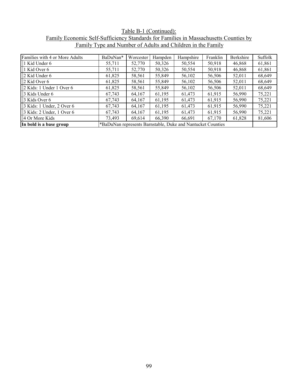#### Table B-1 (Continued): Family Economic Self-Sufficiency Standards for Families in Massachusetts Counties by Family Type and Number of Adults and Children in the Family

| Families with 4 or More Adults | BaDuNan* | Worcester | Hampden | Hampshire                                                   | Franklin | Berkshire | Suffolk |
|--------------------------------|----------|-----------|---------|-------------------------------------------------------------|----------|-----------|---------|
| 1 Kid Under 6                  | 55,711   | 52,770    | 50,326  | 50,554                                                      | 50,918   | 46,868    | 61,861  |
| 1 Kid Over 6                   | 55,711   | 52,770    | 50,326  | 50,554                                                      | 50,918   | 46,868    | 61,861  |
| 2 Kid Under 6                  | 61,825   | 58,561    | 55,849  | 56,102                                                      | 56,506   | 52,011    | 68,649  |
| 2 Kid Over 6                   | 61,825   | 58,561    | 55,849  | 56,102                                                      | 56,506   | 52,011    | 68,649  |
| 2 Kids: 1 Under 1 Over 6       | 61,825   | 58,561    | 55,849  | 56,102                                                      | 56,506   | 52,011    | 68,649  |
| 3 Kids Under 6                 | 67,743   | 64,167    | 61,195  | 61,473                                                      | 61,915   | 56,990    | 75,221  |
| 3 Kids Over 6                  | 67,743   | 64,167    | 61,195  | 61,473                                                      | 61,915   | 56,990    | 75,221  |
| 3 Kids: 1 Under, 2 Over 6      | 67,743   | 64,167    | 61,195  | 61,473                                                      | 61,915   | 56,990    | 75,221  |
| 3 Kids: 2 Under, 1 Over 6      | 67,743   | 64,167    | 61,195  | 61,473                                                      | 61,915   | 56,990    | 75,221  |
| 4 Or More Kids                 | 73,493   | 69,614    | 66,390  | 66,691                                                      | 67,170   | 61,828    | 81,606  |
| In bold is a base group        |          |           |         | *BaDuNan represents Barnstable, Duke and Nantucket Counties |          |           |         |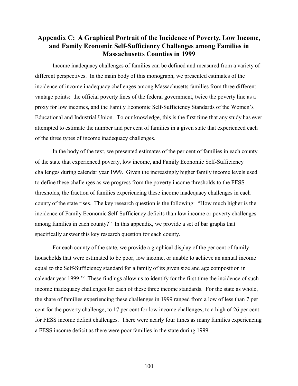### **Appendix C: A Graphical Portrait of the Incidence of Poverty, Low Income, and Family Economic Self-Sufficiency Challenges among Families in Massachusetts Counties in 1999**

Income inadequacy challenges of families can be defined and measured from a variety of different perspectives. In the main body of this monograph, we presented estimates of the incidence of income inadequacy challenges among Massachusetts families from three different vantage points: the official poverty lines of the federal government, twice the poverty line as a proxy for low incomes, and the Family Economic Self-Sufficiency Standards of the Women's Educational and Industrial Union. To our knowledge, this is the first time that any study has ever attempted to estimate the number and per cent of families in a given state that experienced each of the three types of income inadequacy challenges.

In the body of the text, we presented estimates of the per cent of families in each county of the state that experienced poverty, low income, and Family Economic Self-Sufficiency challenges during calendar year 1999. Given the increasingly higher family income levels used to define these challenges as we progress from the poverty income thresholds to the FESS thresholds, the fraction of families experiencing these income inadequacy challenges in each county of the state rises. The key research question is the following: "How much higher is the incidence of Family Economic Self-Sufficiency deficits than low income or poverty challenges among families in each county?" In this appendix, we provide a set of bar graphs that specifically answer this key research question for each county.

For each county of the state, we provide a graphical display of the per cent of family households that were estimated to be poor, low income, or unable to achieve an annual income equal to the Self-Sufficiency standard for a family of its given size and age composition in calendar year 1999.<sup>80</sup> These findings allow us to identify for the first time the incidence of such income inadequacy challenges for each of these three income standards. For the state as whole, the share of families experiencing these challenges in 1999 ranged from a low of less than 7 per cent for the poverty challenge, to 17 per cent for low income challenges, to a high of 26 per cent for FESS income deficit challenges. There were nearly four times as many families experiencing a FESS income deficit as there were poor families in the state during 1999.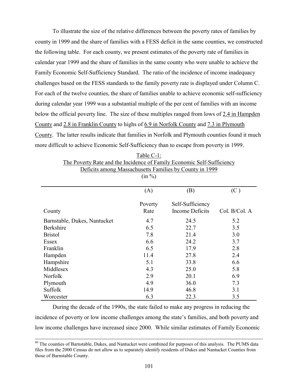To illustrate the size of the relative differences between the poverty rates of families by county in 1999 and the share of families with a FESS deficit in the same counties, we constructed the following table. For each county, we present estimates of the poverty rate of families in calendar year 1999 and the share of families in the same county who were unable to achieve the Family Economic Self-Sufficiency Standard. The ratio of the incidence of income inadequacy challenges based on the FESS standards to the family poverty rate is displayed under Column C. For each of the twelve counties, the share of families unable to achieve economic self-sufficiency during calendar year 1999 was a substantial multiple of the per cent of families with an income below the official poverty line. The size of these multiples ranged from lows of 2.4 in Hampden County and 2.8 in Franklin County to highs of 6.9 in Norfolk County and 7.3 in Plymouth County. The latter results indicate that families in Norfolk and Plymouth counties found it much more difficult to achieve Economic Self-Sufficiency than to escape from poverty in 1999.

| The Toyerty Kate and the including of Pannity Economic Sen-Sumericity<br>Deficits among Massachusetts Families by County in 1999<br>(in %) |         |                  |               |  |  |  |  |  |  |  |
|--------------------------------------------------------------------------------------------------------------------------------------------|---------|------------------|---------------|--|--|--|--|--|--|--|
|                                                                                                                                            | (A)     | (B)              | (C)           |  |  |  |  |  |  |  |
|                                                                                                                                            | Poverty | Self-Sufficiency |               |  |  |  |  |  |  |  |
| County                                                                                                                                     | Rate    | Income Deficits  | Col. B/Col. A |  |  |  |  |  |  |  |
| Barnstable, Dukes, Nantucket                                                                                                               | 4.7     | 24.5             | 5.2           |  |  |  |  |  |  |  |
| <b>Berkshire</b>                                                                                                                           | 6.5     | 22.7             | 3.5           |  |  |  |  |  |  |  |
| <b>Bristol</b>                                                                                                                             | 7.8     | 21.4             | 3.0           |  |  |  |  |  |  |  |
| Essex                                                                                                                                      | 6.6     | 24.2             | 3.7           |  |  |  |  |  |  |  |
| Franklin                                                                                                                                   | 6.5     | 17.9             | 2.8           |  |  |  |  |  |  |  |
| Hampden                                                                                                                                    | 11.4    | 27.8             | 2.4           |  |  |  |  |  |  |  |
| Hampshire                                                                                                                                  | 5.1     | 33.8             | 6.6           |  |  |  |  |  |  |  |
| Middlesex                                                                                                                                  | 4.3     | 25.0             | 5.8           |  |  |  |  |  |  |  |
| <b>Norfolk</b>                                                                                                                             | 2.9     | 20.1             | 6.9           |  |  |  |  |  |  |  |
| Plymouth                                                                                                                                   | 4.9     | 36.0             | 7.3           |  |  |  |  |  |  |  |
| Suffolk                                                                                                                                    | 14.9    | 46.8             | 3.1           |  |  |  |  |  |  |  |
| Worcester                                                                                                                                  | 6.3     | 22.3             | 3.5           |  |  |  |  |  |  |  |

Table C-1: The Poverty Rate and the Incidence of Family Economic Self-Sufficiency

During the decade of the 1990s, the state failed to make any progress in reducing the incidence of poverty or low income challenges among the state's families, and both poverty and low income challenges have increased since 2000. While similar estimates of Family Economic

<sup>&</sup>lt;sup>80</sup> The counties of Barnstable, Dukes, and Nantucket were combined for purposes of this analysis. The PUMS data files from the 2000 Census do not allow us to separately identify residents of Dukes and Nantucket Counties from those of Barnstable County.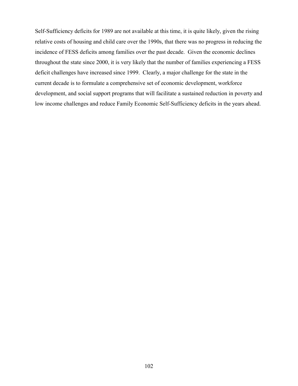Self-Sufficiency deficits for 1989 are not available at this time, it is quite likely, given the rising relative costs of housing and child care over the 1990s, that there was no progress in reducing the incidence of FESS deficits among families over the past decade. Given the economic declines throughout the state since 2000, it is very likely that the number of families experiencing a FESS deficit challenges have increased since 1999. Clearly, a major challenge for the state in the current decade is to formulate a comprehensive set of economic development, workforce development, and social support programs that will facilitate a sustained reduction in poverty and low income challenges and reduce Family Economic Self-Sufficiency deficits in the years ahead.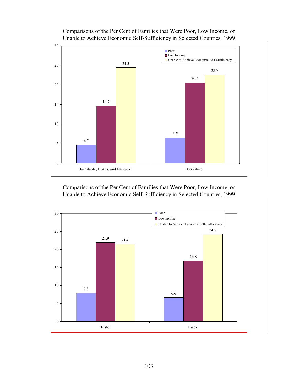

#### Comparisons of the Per Cent of Families that Were Poor, Low Income, or Unable to Achieve Economic Self-Sufficiency in Selected Counties, 1999

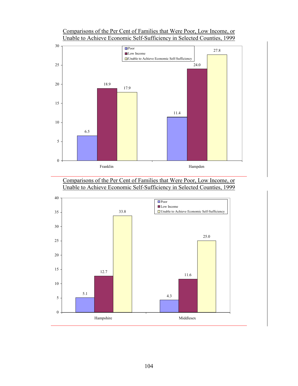

### Comparisons of the Per Cent of Families that Were Poor, Low Income, or Unable to Achieve Economic Self-Sufficiency in Selected Counties, 1999



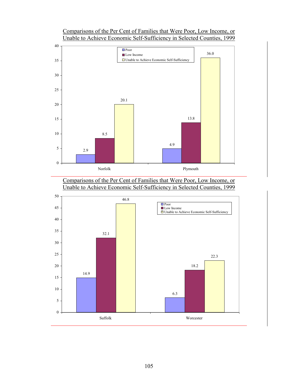

Comparisons of the Per Cent of Families that Were Poor, Low Income, or Unable to Achieve Economic Self-Sufficiency in Selected Counties, 1999

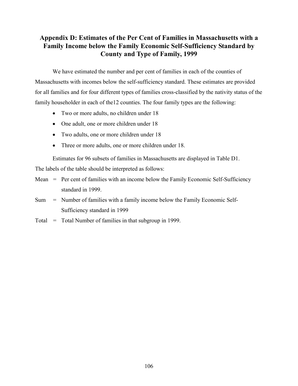# **Appendix D: Estimates of the Per Cent of Families in Massachusetts with a Family Income below the Family Economic Self-Sufficiency Standard by County and Type of Family, 1999**

We have estimated the number and per cent of families in each of the counties of Massachusetts with incomes below the self-sufficiency standard. These estimates are provided for all families and for four different types of families cross-classified by the nativity status of the family householder in each of the12 counties. The four family types are the following:

- Two or more adults, no children under 18
- One adult, one or more children under 18
- Two adults, one or more children under 18
- Three or more adults, one or more children under 18.

Estimates for 96 subsets of families in Massachusetts are displayed in Table D1.

The labels of the table should be interpreted as follows:

- Mean = Per cent of families with an income below the Family Economic Self-Sufficiency standard in 1999.
- Sum = Number of families with a family income below the Family Economic Self-Sufficiency standard in 1999
- Total = Total Number of families in that subgroup in 1999.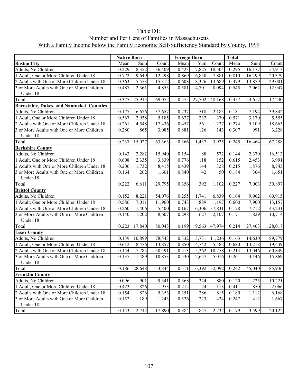Table D1: Number and Per Cent of Families in Massachusetts With a Family Income below the Family Economic Self-Sufficiency Standard by County, 1999

|                                                  | <b>Native Born</b> |                    |         | <b>Foreign Born</b> |                       |        | <b>Total</b> |        |         |
|--------------------------------------------------|--------------------|--------------------|---------|---------------------|-----------------------|--------|--------------|--------|---------|
| <b>Boston City</b>                               | Mean               | Sum                | Count   | Mean                | Sum                   | Count  | Mean         | Sum    | Count   |
| Adults, No Children                              | 0.229              | $\overline{8,352}$ | 36,409  | 0.423               | 7,825                 | 18,504 | 0.295        | 16,177 | 54,913  |
| 1 Adult, One or More Children Under 18           | 0.772              | 9,649              | 12,498  | 0.869               | 6,850                 | 7,881  | 0.810        | 16,499 | 20,379  |
| 2 Adults with One or More Children Under 18      | 0.363              | 5,553              | 15,312  | 0.608               | 8,326                 | 13,689 | 0.479        | 13,879 | 29,001  |
| 3 or More Adults with One or More Children       | 0.487              | 2,361              | 4,853   | 0.581               | 4,701                 | 8,094  | 0.545        | 7,062  | 12,947  |
| Under 18                                         |                    |                    |         |                     |                       |        |              |        |         |
| Total                                            | 0.375              | 25,915             | 69,072  | 0.575               | 27,702                | 48,168 | 0.457        | 53,617 | 117,240 |
| <b>Barnstable, Dukes, and Nantucket Counties</b> |                    |                    |         |                     |                       |        |              |        |         |
| Adults, No Children                              | 0.177              | 6,676              | 37,657  | 0.237               | 518                   | 2,185  | 0.181        | 7,194  | 39,842  |
| 1 Adult, One or More Children Under 18           | 0.567              | 2,938              | 5,185   | 0.627               | 232                   | 370    | 0.571        | 3,170  | 5,555   |
| 2 Adults with One or More Children Under 18      | 0.261              | 4,548              | 17,436  | 0.457               | 561                   | 1,227  | 0.274        | 5,109  | 18,663  |
| 3 or More Adults with One or More Children       | 0.280              | 865                | 3,085   | 0.881               | 126                   | 143    | 0.307        | 991    | 3,228   |
| Under 18                                         |                    |                    |         |                     |                       |        |              |        |         |
| Total                                            | 0.237              | 15,027             | 63,363  | 0.366               | 1,437                 | 3,925  | 0.245        | 16,464 | 67,288  |
| <b>Berkshire County</b>                          |                    |                    |         |                     |                       |        |              |        |         |
| Adults, No Children                              | 0.143              | 2,282              | 15,940  | 0.154               | 88                    | 572    | 0.144        | 2,370  | 16,512  |
| 1 Adult, One or More Children Under 18           | 0.608              | 2,335              | 3,839   | 0.776               | 118                   | 152    | 0.615        | 2,453  | 3,991   |
| 2 Adults with One or More Children Under 18      | 0.206              | 1,732              | 8,415   | 0.439               | 144                   | 328    | 0.215        | 1,876  | 8,743   |
| 3 or More Adults with One or More Children       | 0.164              | 262                | 1,601   | 0.840               | 42                    | 50     | 0.184        | 304    | 1,651   |
| Under 18                                         |                    |                    |         |                     |                       |        |              |        |         |
| Total                                            | 0.222              | 6,611              | 29,795  | 0.356               | 392                   | 1,102  | 0.227        | 7,003  | 30,897  |
| <b>Bristol County</b>                            |                    |                    |         |                     |                       |        |              |        |         |
| Adults, No Children                              | 0.152              | 8,221              | 54,076  | 0.255               | 1,741                 | 6,839  | 0.164        | 9,962  | 60,915  |
| 1 Adult, One or More Children Under 18           | 0.586              | 7,011              | 11,960  | 0.743               | 889                   | 1,197  | 0.600        | 7,900  | 13,157  |
| 2 Adults with One or More Children Under 18      | 0.260              | 1,406              | 5,400   | 0.167               | 6,306                 | 37,831 | 0.178        | 7,712  | 43,231  |
| 3 or More Adults with One or More Children       | 0.140              | 1,202              | 8,607   | 0.298               | 627                   | 2,107  | 0.171        | 1,829  | 10,714  |
| Under 18                                         |                    |                    |         |                     |                       |        |              |        |         |
| Total                                            | 0.223              | 17,840             | 80,043  | 0.199               | 9,563                 | 47,974 | 0.214        | 27,403 | 128,017 |
| <b>Essex County</b>                              |                    |                    |         |                     |                       |        |              |        |         |
| Adults, No Children                              | 0.139              | 10,899             | 78,543  | 0.332               | 3,731                 | 11,236 | 0.163        | 14,630 | 89,779  |
| 1 Adult, One or More Children Under 18           | 0.612              | 8,476              | 13,857  | 0.850               | 4,742                 | 5,582  | 0.680        | 13,218 | 19,439  |
| 2 Adults with One or More Children Under 18      | 0.154              | 7,784              | 50,591  | 0.513               | 5,262                 | 10,258 | 0.214        | 13,046 | 60,849  |
| 3 or More Adults with One or More Children       | 0.137              | 1,489              | 10,853  | 0.530               | 2,657                 | 5,016  | 0.261        | 4,146  | 15,869  |
| Under 18                                         |                    |                    |         |                     |                       |        |              |        |         |
| Total                                            |                    | 0.186 28,648       | 153,844 |                     | $0.511$ 16,392 32,092 |        | 0.242        | 45.040 | 185,936 |
| <b>Franklin County</b>                           |                    |                    |         |                     |                       |        |              |        |         |
| Adults, No Children                              | 0.096              | 901                | 9,341   | 0.368               | 324                   | 880    | 0.120        | 1,225  | 10,221  |
| 1 Adult, One or More Children Under 18           | 0.423              | 826                | 1,953   | 0.212               | 24                    | 113    | 0.411        | 850    | 2,066   |
| 2 Adults with One or More Children Under 18      | 0.154              | 826                | 5,353   | 0.351               | 286                   | 815    | 0.180        | 1,112  | 6,168   |
| 3 or More Adults with One or More Children       | 0.152              | 189                | 1,243   | 0.526               | 223                   | 424    | 0.247        | 412    | 1,667   |
| Under 18                                         |                    |                    |         |                     |                       |        |              |        |         |
| Total                                            | 0.153              | 2,742              | 17,890  | 0.384               | 857                   | 2,232  | 0.179        | 3,599  | 20,122  |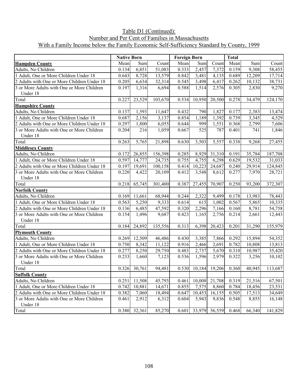## Table D1 (Continued): Number and Per Cent of Families in Massachusetts With a Family Income below the Family Economic Self-Sufficiency Standard by County, 1999

|                                                        | <b>Native Born</b> |              |                    | <b>Foreign Born</b> |              |        | <b>Total</b> |        |         |
|--------------------------------------------------------|--------------------|--------------|--------------------|---------------------|--------------|--------|--------------|--------|---------|
| <b>Hampden County</b>                                  | Mean               | Sum          | Count              | Mean                | Sum          | Count  | Mean         | Sum    | Count   |
| Adults, No Children                                    | 0.134              | 6,851        | 51,083             | 0.333               | 2,457        | 7,372  | 0.159        | 9,308  | 58,455  |
| 1 Adult, One or More Children Under 18                 | 0.643              | 8,728        | 13,579             | 0.842               | 3,481        | 4,135  | 0.689        | 12,209 | 17,714  |
| 2 Adults with One or More Children Under 18            | 0.205              | 6,634        | 32,314             | 0.545               | 3,498        | 6,417  | 0.262        | 10,132 | 38,731  |
| 3 or More Adults with One or More Children             | 0.197              | 1,316        | 6,694              | 0.588               | 1,514        | 2,576  | 0.305        | 2,830  | 9,270   |
| Under 18                                               |                    |              |                    |                     |              |        |              |        |         |
| Total                                                  | 0.227              | 23,529       | 103,670            | 0.534               | 10,950       | 20,500 | 0.278        | 34,479 | 124,170 |
| <b>Hampshire County</b>                                |                    |              |                    |                     |              |        |              |        |         |
| Adults, No Children                                    | 0.137              | 1,593        | 11,647             | 0.432               | 790          | 1,827  | 0.177        | 2,383  | 13,474  |
| 1 Adult, One or More Children Under 18                 | 0.687              | 2,156        | 3,137              | 0.854               | 1,189        | 1,392  | 0.739        | 3,345  | 4,529   |
| 2 Adults with One or More Children Under 18            | 0.297              | 1,800        | 6,055              | 0.644               | 999          | 1,551  | 0.368        | 2,799  | 7,606   |
| 3 or More Adults with One or More Children<br>Under 18 | 0.204              | 216          | 1,059              | 0.667               | 525          | 787    | 0.401        | 741    | 1,846   |
| Total                                                  | 0.263              | 5,765        | 21,898             | 0.630               | 3,503        | 5,557  | 0.338        | 9,268  | 27,455  |
| <b>Middlesex County</b>                                |                    |              |                    |                     |              |        |              |        |         |
| Adults, No Children                                    | 0.172              | 26,855       | 156,398            | 0.285               | 8,929        | 31,310 | 0.191        | 35,784 | 187,708 |
| 1 Adult, One or More Children Under 18                 | 0.597              | 14,777       | 24,735             | 0.755               | 4,755        | 6,298  | 0.629        | 19,532 | 31,033  |
| 2 Adults with One or More Children Under 18            | 0.197              | 19,691       | 100,158            | 0.414               | 10,223       | 24,687 | 0.240        | 29,914 | 124,845 |
| 3 or More Adults with One or More Children             | 0.220              | 4,422        | 20,109             | 0.412               | 3,548        | 8,612  | 0.277        | 7,970  | 28,721  |
| Under 18                                               |                    |              |                    |                     |              |        |              |        |         |
| Total                                                  | 0.218              | 65,745       | 301,400            | 0.387               | 27,455       | 70,907 | 0.250        | 93,200 | 372,307 |
| <b>Norfolk County</b>                                  |                    |              |                    |                     |              |        |              |        |         |
| Adults, No Children                                    | 0.169              | 11,661       | 68,944             | 0.244               | 2,322        | 9,499  | 0.178        | 13,983 | 78,443  |
| 1 Adult, One or More Children Under 18                 | 0.563              | 5,250        | 9,333              | 0.614               | 615          | 1,002  | 0.567        | 5,865  | 10,335  |
| 2 Adults with One or More Children Under 18            | 0.136              | 6,485        | 47,592             | 0.320               | 2,296        | 7,166  | 0.160        | 8,781  | 54,758  |
| 3 or More Adults with One or More Children             | 0.154              | 1,496        | 9,687              | 0.423               | 1,165        | 2,756  | 0.214        | 2,661  | 12,443  |
| Under 18                                               |                    |              |                    |                     |              |        |              |        |         |
| Total                                                  | 0.184              | 24,892       | 135,556            | 0.313               | 6,398        | 20,423 | 0.201        | 31,290 | 155,979 |
| <b>Plymouth County</b>                                 |                    |              |                    |                     |              |        |              |        |         |
| Adults, No Children                                    | 0.269              | 12,509       | 46,486             | 0.430               | 3,385        | 7,866  | 0.292        | 15,894 | 54,352  |
| 1 Adult, One or More Children Under 18                 | 0.750              | 8,342        | 11,122             | 0.916               | 2,466        | 2,691  | 0.782        | 10,808 | 13,813  |
| 2 Adults with One or More Children Under 18            | 0.277              | 8,250        | 29,750             | 0.483               | 2,737        | 5,670  | 0.310        | 10,987 | 35,420  |
| 3 or More Adults with One or More Children<br>Under 18 | 0.233              | 1,660        | $7,12\overline{3}$ | 0.536               | 1,596        | 2,979  | 0.322        | 3,256  | 10,102  |
| Total                                                  |                    | 0.326 30,761 | 94,481             |                     | 0.530 10,184 | 19,206 | 0.360        | 40,945 | 113,687 |
| <b>Suffolk County</b>                                  |                    |              |                    |                     |              |        |              |        |         |
| Adults, No Children                                    | 0.251              | 11,508       | 45,793             | 0.461               | 10,008       | 21,708 | 0.319        | 21,516 | 67,501  |
| 1 Adult, One or More Children Under 18                 | 0.742              | 10,881       | 14,671             | 0.855               | 7,575        | 8,860  | 0.784        | 18,456 | 23,531  |
| 2 Adults with One or More Children Under 18            | 0.382              | 7,060        | 18,494             | 0.647               | 10,453       | 16,155 | 0.505        | 17,513 | 34,649  |
| 3 or More Adults with One or More Children             | 0.461              | 2,912        | 6,312              | 0.604               | 5,943        | 9,836  | 0.548        | 8,855  | 16,148  |
| Under 18                                               |                    |              |                    |                     |              |        |              |        |         |
| Total                                                  | 0.380              | 32,361       | 85,270             | 0.601               | 33,979       | 56,559 | 0.468        | 66,340 | 141,829 |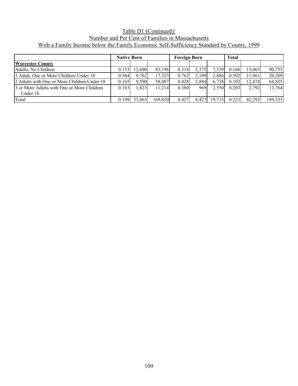## Table D1 (Continued): Number and Per Cent of Families in Massachusetts With a Family Income below the Family Economic Self-Sufficiency Standard by County, 1999

|                                             | <b>Native Born</b> |        |         | <b>Foreign Born</b> |       |        | <b>Total</b> |        |         |
|---------------------------------------------|--------------------|--------|---------|---------------------|-------|--------|--------------|--------|---------|
| <b>Worcester County</b>                     |                    |        |         |                     |       |        |              |        |         |
| Adults, No Children                         | 0.153              | 12.690 | 83.196  | 0.314               | 2.375 | 7.559  | 0.166        | 15.065 | 90,755  |
| 1 Adult, One or More Children Under 18      | 0.564              | 9.762  | 17.323  | 0.762               | 2.199 | 2.886  | 0.592        | 11.961 | 20,209  |
| 2 Adults with One or More Children Under 18 | 0.165              | 9.590  | 58,087  | 0.428               | 2.884 | 6.738  | 0.192        | 12.474 | 64,825  |
| 3 or More Adults with One or More Children  | 0.163              | 1.823  | 11.214  | 0.380               | 969   | 2,550  | 0.203        | 2.792  | 13,764  |
| Under 18                                    |                    |        |         |                     |       |        |              |        |         |
| Total                                       | 0.199              | 33.865 | 169.820 | 0.427               | 8.427 | 19.733 | 0.223        | 42.292 | 189,553 |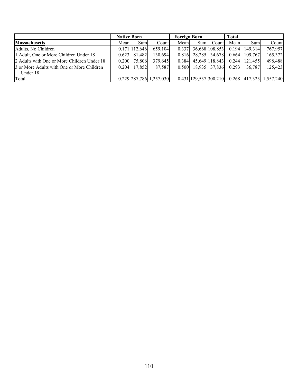|                                             | <b>Native Born</b> |               |                         | <b>Foreign Born</b> |        |                            | <b>Total</b> |         |                           |
|---------------------------------------------|--------------------|---------------|-------------------------|---------------------|--------|----------------------------|--------------|---------|---------------------------|
| <b>Massachusetts</b>                        | Mean               | Sum           | Count                   | Mean                | Sum    | Count                      | Mean         | Sum     | Count                     |
| Adults, No Children                         |                    | 0.1711112.646 | 659.104                 | 0.337               |        | 36.668 108.853             | 0.194        | 149.314 | 767,957                   |
| 1 Adult, One or More Children Under 18      | 0.623              | 81,482        | 130.694                 | 0.816               | 28.285 | 34,678                     | 0.664        | 109.767 | 165,372                   |
| 2 Adults with One or More Children Under 18 | 0.200              | 75.806        | 379.645                 | 0.384               |        | 45.649 118.843             | 0.244        | 121.455 | 498,488                   |
| 3 or More Adults with One or More Children  | 0.204              | 17.852        | 87.587                  | 0.500               |        | 18.935 37.836              | 0.293        | 36,787  | 125,423                   |
| Under 18                                    |                    |               |                         |                     |        |                            |              |         |                           |
| Total                                       |                    |               | 0.229 287,786 1,257,030 |                     |        | $0.431$   129,537  300,210 |              |         | $0.268$ 417,323 1,557,240 |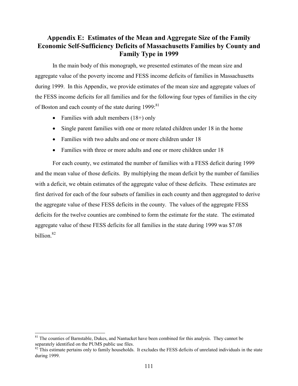# **Appendix E: Estimates of the Mean and Aggregate Size of the Family Economic Self-Sufficiency Deficits of Massachusetts Families by County and Family Type in 1999**

In the main body of this monograph, we presented estimates of the mean size and aggregate value of the poverty income and FESS income deficits of families in Massachusetts during 1999. In this Appendix, we provide estimates of the mean size and aggregate values of the FESS income deficits for all families and for the following four types of families in the city of Boston and each county of the state during 1999:<sup>81</sup>

- Families with adult members (18+) only
- Single parent families with one or more related children under 18 in the home
- Families with two adults and one or more children under 18
- Families with three or more adults and one or more children under 18

For each county, we estimated the number of families with a FESS deficit during 1999 and the mean value of those deficits. By multiplying the mean deficit by the number of families with a deficit, we obtain estimates of the aggregate value of these deficits. These estimates are first derived for each of the four subsets of families in each county and then aggregated to derive the aggregate value of these FESS deficits in the county. The values of the aggregate FESS deficits for the twelve counties are combined to form the estimate for the state. The estimated aggregate value of these FESS deficits for all families in the state during 1999 was \$7.08 billion $82$ 

 $\overline{a}$ 

 $81$  The counties of Barnstable, Dukes, and Nantucket have been combined for this analysis. They cannot be separately identified on the PUMS public use files.

 $82$ <sup>82</sup> This estimate pertains only to family households. It excludes the FESS deficits of unrelated individuals in the state during 1999.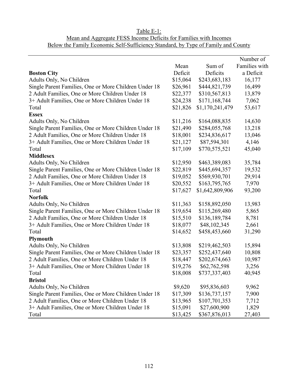|                                                       |          |                 | Number of     |
|-------------------------------------------------------|----------|-----------------|---------------|
|                                                       | Mean     | Sum of          | Families with |
| <b>Boston City</b>                                    | Deficit  | Deficits        | a Deficit     |
| Adults Only, No Children                              | \$15,064 | \$243,683,183   | 16,177        |
| Single Parent Families, One or More Children Under 18 | \$26,961 | \$444,821,739   | 16,499        |
| 2 Adult Families, One or More Children Under 18       | \$22,377 | \$310,567,813   | 13,879        |
| 3+ Adult Families, One or More Children Under 18      | \$24,238 | \$171,168,744   | 7,062         |
| Total                                                 | \$21,826 | \$1,170,241,479 | 53,617        |
| <b>Essex</b>                                          |          |                 |               |
| Adults Only, No Children                              | \$11,216 | \$164,088,835   | 14,630        |
| Single Parent Families, One or More Children Under 18 | \$21,490 | \$284,055,768   | 13,218        |
| 2 Adult Families, One or More Children Under 18       | \$18,001 | \$234,836,617   | 13,046        |
| 3+ Adult Families, One or More Children Under 18      | \$21,127 | \$87,594,301    | 4,146         |
| Total                                                 | \$17,109 | \$770,575,521   | 45,040        |
| <b>Middlesex</b>                                      |          |                 |               |
| Adults Only, No Children                              | \$12,950 | \$463,389,083   | 35,784        |
| Single Parent Families, One or More Children Under 18 | \$22,819 | \$445,694,357   | 19,532        |
| 2 Adult Families, One or More Children Under 18       | \$19,052 | \$569,930,701   | 29,914        |
| 3+ Adult Families, One or More Children Under 18      | \$20,552 | \$163,795,765   | 7,970         |
| Total                                                 | \$17,627 | \$1,642,809,906 | 93,200        |
| <b>Norfolk</b>                                        |          |                 |               |
| Adults Only, No Children                              | \$11,363 | \$158,892,050   | 13,983        |
| Single Parent Families, One or More Children Under 18 | \$19,654 | \$115,269,480   | 5,865         |
| 2 Adult Families, One or More Children Under 18       | \$15,510 | \$136,189,784   | 8,781         |
| 3+ Adult Families, One or More Children Under 18      | \$18,077 | \$48,102,345    | 2,661         |
| Total                                                 | \$14,652 | \$458,453,660   | 31,290        |
| <b>Plymouth</b>                                       |          |                 |               |
| Adults Only, No Children                              | \$13,808 | \$219,462,503   | 15,894        |
| Single Parent Families, One or More Children Under 18 | \$23,357 | \$252,437,640   | 10,808        |
| 2 Adult Families, One or More Children Under 18       | \$18,447 | \$202,674,663   | 10,987        |
| 3+ Adult Families, One or More Children Under 18      | \$19,276 | \$62,762,598    | 3,256         |
| Total                                                 | \$18,008 | \$737,337,403   | 40,945        |
| <b>Bristol</b>                                        |          |                 |               |
| Adults Only, No Children                              | \$9,620  | \$95,836,603    | 9,962         |
| Single Parent Families, One or More Children Under 18 | \$17,309 | \$136,737,157   | 7,900         |
| 2 Adult Families, One or More Children Under 18       | \$13,965 | \$107,701,353   | 7,712         |
| 3+ Adult Families, One or More Children Under 18      | \$15,091 | \$27,600,900    | 1,829         |
| Total                                                 | \$13,425 | \$367,876,013   | 27,403        |

## Table E-1: Mean and Aggregate FESS Income Deficits for Families with Incomes Below the Family Economic Self-Sufficiency Standard, by Type of Family and County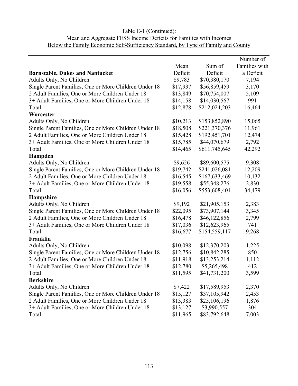|                                                       |          |               | Number of     |
|-------------------------------------------------------|----------|---------------|---------------|
|                                                       | Mean     | Sum of        | Families with |
| <b>Barnstable, Dukes and Nantucket</b>                | Deficit  | Deficit       | a Deficit     |
| Adults Only, No Children                              | \$9,783  | \$70,380,170  | 7,194         |
| Single Parent Families, One or More Children Under 18 | \$17,937 | \$56,859,459  | 3,170         |
| 2 Adult Families, One or More Children Under 18       | \$13,849 | \$70,754,007  | 5,109         |
| 3+ Adult Families, One or More Children Under 18      | \$14,158 | \$14,030,567  | 991           |
| Total                                                 | \$12,878 | \$212,024,203 | 16,464        |
| Worcester                                             |          |               |               |
| Adults Only, No Children                              | \$10,213 | \$153,852,890 | 15,065        |
| Single Parent Families, One or More Children Under 18 | \$18,508 | \$221,370,376 | 11,961        |
| 2 Adult Families, One or More Children Under 18       | \$15,428 | \$192,451,701 | 12,474        |
| 3+ Adult Families, One or More Children Under 18      | \$15,785 | \$44,070,679  | 2,792         |
| Total                                                 | \$14,465 | \$611,745,645 | 42,292        |
| Hampden                                               |          |               |               |
| Adults Only, No Children                              | \$9,626  | \$89,600,575  | 9,308         |
| Single Parent Families, One or More Children Under 18 | \$19,742 | \$241,026,081 | 12,209        |
| 2 Adult Families, One or More Children Under 18       | \$16,545 | \$167,633,469 | 10,132        |
| 3+ Adult Families, One or More Children Under 18      | \$19,558 | \$55,348,276  | 2,830         |
| Total                                                 | \$16,056 | \$553,608,401 | 34,479        |
| Hampshire                                             |          |               |               |
| Adults Only, No Children                              | \$9,192  | \$21,905,153  | 2,383         |
| Single Parent Families, One or More Children Under 18 | \$22,095 | \$73,907,144  | 3,345         |
| 2 Adult Families, One or More Children Under 18       | \$16,478 | \$46,122,856  | 2,799         |
| 3+ Adult Families, One or More Children Under 18      | \$17,036 | \$12,623,965  | 741           |
| Total                                                 | \$16,677 | \$154,559,117 | 9,268         |
| Franklin                                              |          |               |               |
| Adults Only, No Children                              | \$10,098 | \$12,370,203  | 1,225         |
| Single Parent Families, One or More Children Under 18 | \$12,756 | \$10,842,285  | 850           |
| 2 Adult Families, One or More Children Under 18       | \$11,918 | \$13,253,214  | 1,112         |
| 3+ Adult Families, One or More Children Under 18      | \$12,780 | \$5,265,498   | 412           |
| Total                                                 | \$11,595 | \$41,731,200  | 3,599         |
| <b>Berkshire</b>                                      |          |               |               |
| Adults Only, No Children                              | \$7,422  | \$17,589,953  | 2,370         |
| Single Parent Families, One or More Children Under 18 | \$15,127 | \$37,105,942  | 2,453         |
| 2 Adult Families, One or More Children Under 18       | \$13,383 | \$25,106,196  | 1,876         |
| 3+ Adult Families, One or More Children Under 18      | \$13,127 | \$3,990,557   | 304           |
| Total                                                 | \$11,965 | \$83,792,648  | 7,003         |

## Table E-1 (Continued): Mean and Aggregate FESS Income Deficits for Families with Incomes Below the Family Economic Self-Sufficiency Standard, by Type of Family and County